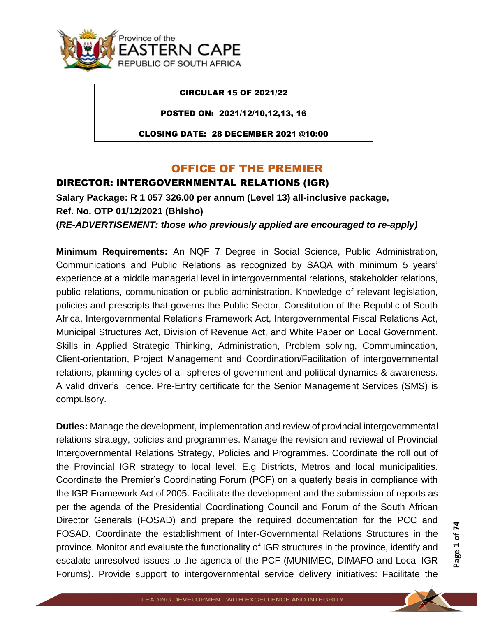

#### CIRCULAR 15 OF 2021/22

POSTED ON: 2021/12/10,12,13, 16

CLOSING DATE: 28 DECEMBER 2021 @10:00

## OFFICE OF THE PREMIER

#### DIRECTOR: INTERGOVERNMENTAL RELATIONS (IGR)

**Salary Package: R 1 057 326.00 per annum (Level 13) all-inclusive package, Ref. No. OTP 01/12/2021 (Bhisho) (***RE-ADVERTISEMENT: those who previously applied are encouraged to re-apply)*

**Minimum Requirements:** An NQF 7 Degree in Social Science, Public Administration, Communications and Public Relations as recognized by SAQA with minimum 5 years' experience at a middle managerial level in intergovernmental relations, stakeholder relations, public relations, communication or public administration. Knowledge of relevant legislation, policies and prescripts that governs the Public Sector, Constitution of the Republic of South Africa, Intergovernmental Relations Framework Act, Intergovernmental Fiscal Relations Act, Municipal Structures Act, Division of Revenue Act, and White Paper on Local Government. Skills in Applied Strategic Thinking, Administration, Problem solving, Commumincation, Client-orientation, Project Management and Coordination/Facilitation of intergovernmental relations, planning cycles of all spheres of government and political dynamics & awareness. A valid driver's licence. Pre-Entry certificate for the Senior Management Services (SMS) is compulsory.

**Duties:** Manage the development, implementation and review of provincial intergovernmental relations strategy, policies and programmes. Manage the revision and reviewal of Provincial Intergovernmental Relations Strategy, Policies and Programmes. Coordinate the roll out of the Provincial IGR strategy to local level. E.g Districts, Metros and local municipalities. Coordinate the Premier's Coordinating Forum (PCF) on a quaterly basis in compliance with the IGR Framework Act of 2005. Facilitate the development and the submission of reports as per the agenda of the Presidential Coordinationg Council and Forum of the South African Director Generals (FOSAD) and prepare the required documentation for the PCC and FOSAD. Coordinate the establishment of Inter-Governmental Relations Structures in the province. Monitor and evaluate the functionality of IGR structures in the province, identify and escalate unresolved issues to the agenda of the PCF (MUNIMEC, DIMAFO and Local IGR Forums). Provide support to intergovernmental service delivery initiatives: Facilitate the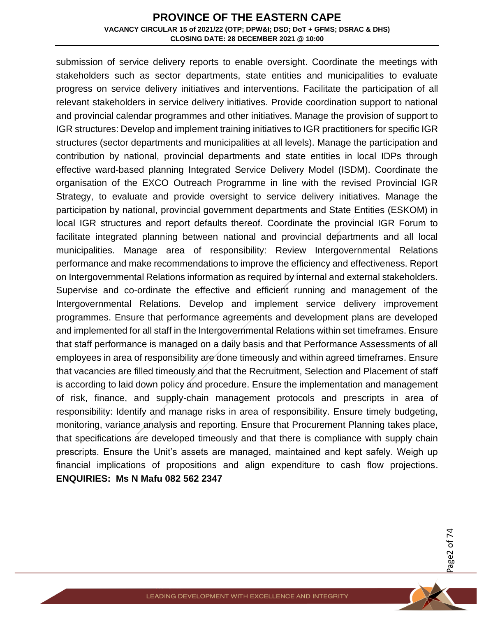submission of service delivery reports to enable oversight. Coordinate the meetings with stakeholders such as sector departments, state entities and municipalities to evaluate progress on service delivery initiatives and interventions. Facilitate the participation of all relevant stakeholders in service delivery initiatives. Provide coordination support to national and provincial calendar programmes and other initiatives. Manage the provision of support to IGR structures: Develop and implement training initiatives to IGR practitioners for specific IGR structures (sector departments and municipalities at all levels). Manage the participation and contribution by national, provincial departments and state entities in local IDPs through effective ward-based planning Integrated Service Delivery Model (ISDM). Coordinate the organisation of the EXCO Outreach Programme in line with the revised Provincial IGR Strategy, to evaluate and provide oversight to service delivery initiatives. Manage the participation by national, provincial government departments and State Entities (ESKOM) in local IGR structures and report defaults thereof. Coordinate the provincial IGR Forum to facilitate integrated planning between national and provincial departments and all local municipalities. Manage area of responsibility: Review Intergovernmental Relations performance and make recommendations to improve the efficiency and effectiveness. Report on Intergovernmental Relations information as required by internal and external stakeholders. Supervise and co-ordinate the effective and efficient running and management of the Intergovernmental Relations. Develop and implement service delivery improvement programmes. Ensure that performance agreements and development plans are developed and implemented for all staff in the Intergovernmental Relations within set timeframes. Ensure that staff performance is managed on a daily basis and that Performance Assessments of all employees in area of responsibility are done timeously and within agreed timeframes. Ensure that vacancies are filled timeously and that the Recruitment, Selection and Placement of staff is according to laid down policy and procedure. Ensure the implementation and management of risk, finance, and supply-chain management protocols and prescripts in area of responsibility: Identify and manage risks in area of responsibility. Ensure timely budgeting, monitoring, variance analysis and reporting. Ensure that Procurement Planning takes place, that specifications are developed timeously and that there is compliance with supply chain prescripts. Ensure the Unit's assets are managed, maintained and kept safely. Weigh up financial implications of propositions and align expenditure to cash flow projections. **ENQUIRIES: Ms N Mafu 082 562 2347** 

Page 2 of 7 4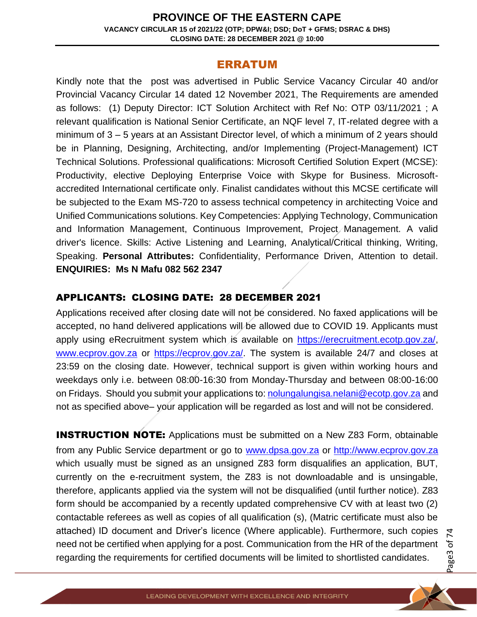### ERRATUM

Kindly note that the post was advertised in Public Service Vacancy Circular 40 and/or Provincial Vacancy Circular 14 dated 12 November 2021, The Requirements are amended as follows: (1) Deputy Director: ICT Solution Architect with Ref No: OTP 03/11/2021 ; A relevant qualification is National Senior Certificate, an NQF level 7, IT-related degree with a minimum of 3 – 5 years at an Assistant Director level, of which a minimum of 2 years should be in Planning, Designing, Architecting, and/or Implementing (Project-Management) ICT Technical Solutions. Professional qualifications: Microsoft Certified Solution Expert (MCSE): Productivity, elective Deploying Enterprise Voice with Skype for Business. Microsoftaccredited International certificate only. Finalist candidates without this MCSE certificate will be subjected to the Exam MS-720 to assess technical competency in architecting Voice and Unified Communications solutions. Key Competencies: Applying Technology, Communication and Information Management, Continuous Improvement, Project Management. A valid driver's licence. Skills: Active Listening and Learning, Analytical/Critical thinking, Writing, Speaking. **Personal Attributes:** Confidentiality, Performance Driven, Attention to detail. **ENQUIRIES: Ms N Mafu 082 562 2347**

## APPLICANTS: CLOSING DATE: 28 DECEMBER 2021

Applications received after closing date will not be considered. No faxed applications will be accepted, no hand delivered applications will be allowed due to COVID 19. Applicants must apply using eRecruitment system which is available on [https://erecruitment.ecotp.gov.za/,](https://erecruitment.ecotp.gov.za/) [www.ecprov.gov.za](http://www.ecprov.gov.za/) or [https://ecprov.gov.za/.](https://ecprov.gov.za/) The system is available 24/7 and closes at 23:59 on the closing date. However, technical support is given within working hours and weekdays only i.e. between 08:00-16:30 from Monday-Thursday and between 08:00-16:00 on Fridays. Should you submit your applications to[: nolungalungisa.nelani@ecotp.gov.za](mailto:nolungalungisa.nelani@ecotp.gov.za) and not as specified above– your application will be regarded as lost and will not be considered.

**INSTRUCTION NOTE:** Applications must be submitted on a New Z83 Form, obtainable from any Public Service department or go to [www.dpsa.gov.za](http://www.dpsa.gov.za/) or [http://www.ecprov.gov.za](http://www.ecprov.gov.za/) which usually must be signed as an unsigned Z83 form disqualifies an application, BUT, currently on the e-recruitment system, the Z83 is not downloadable and is unsingable, therefore, applicants applied via the system will not be disqualified (until further notice). Z83 form should be accompanied by a recently updated comprehensive CV with at least two (2) contactable referees as well as copies of all qualification (s), (Matric certificate must also be attached) ID document and Driver's licence (Where applicable). Furthermore, such copies need not be certified when applying for a post. Communication from the HR of the department regarding the requirements for certified documents will be limited to shortlisted candidates.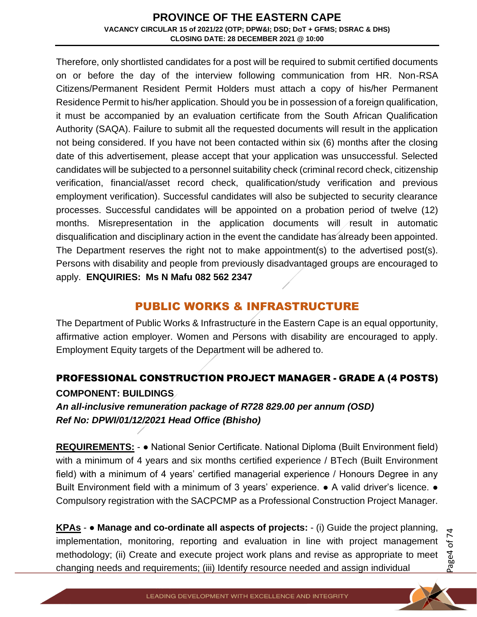Therefore, only shortlisted candidates for a post will be required to submit certified documents on or before the day of the interview following communication from HR. Non-RSA Citizens/Permanent Resident Permit Holders must attach a copy of his/her Permanent Residence Permit to his/her application. Should you be in possession of a foreign qualification, it must be accompanied by an evaluation certificate from the South African Qualification Authority (SAQA). Failure to submit all the requested documents will result in the application not being considered. If you have not been contacted within six (6) months after the closing date of this advertisement, please accept that your application was unsuccessful. Selected candidates will be subjected to a personnel suitability check (criminal record check, citizenship verification, financial/asset record check, qualification/study verification and previous employment verification). Successful candidates will also be subjected to security clearance processes. Successful candidates will be appointed on a probation period of twelve (12) months. Misrepresentation in the application documents will result in automatic disqualification and disciplinary action in the event the candidate has already been appointed. The Department reserves the right not to make appointment(s) to the advertised post(s). Persons with disability and people from previously disadvantaged groups are encouraged to apply. **ENQUIRIES: Ms N Mafu 082 562 2347**

## PUBLIC WORKS & INFRASTRUCTURE

The Department of Public Works & Infrastructure in the Eastern Cape is an equal opportunity, affirmative action employer. Women and Persons with disability are encouraged to apply. Employment Equity targets of the Department will be adhered to.

## PROFESSIONAL CONSTRUCTION PROJECT MANAGER - GRADE A (4 POSTS) **COMPONENT: BUILDINGS**

*An all-inclusive remuneration package of R728 829.00 per annum (OSD) Ref No: DPWI/01/12/2021 Head Office (Bhisho)*

**REQUIREMENTS:** - ● National Senior Certificate. National Diploma (Built Environment field) with a minimum of 4 years and six months certified experience / BTech (Built Environment field) with a minimum of 4 years' certified managerial experience / Honours Degree in any Built Environment field with a minimum of 3 years' experience. • A valid driver's licence. • Compulsory registration with the SACPCMP as a Professional Construction Project Manager.

**KPAs** - ● **Manage and co-ordinate all aspects of projects:** - (i) Guide the project planning, implementation, monitoring, reporting and evaluation in line with project management methodology; (ii) Create and execute project work plans and revise as appropriate to meet changing needs and requirements; (iii) Identify resource needed and assign individual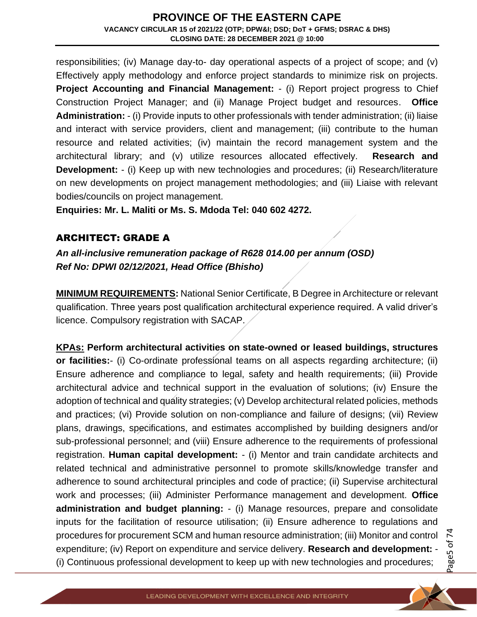responsibilities; (iv) Manage day-to- day operational aspects of a project of scope; and (v) Effectively apply methodology and enforce project standards to minimize risk on projects. **Project Accounting and Financial Management:** - (i) Report project progress to Chief Construction Project Manager; and (ii) Manage Project budget and resources. **Office Administration:** - (i) Provide inputs to other professionals with tender administration; (ii) liaise and interact with service providers, client and management; (iii) contribute to the human resource and related activities; (iv) maintain the record management system and the architectural library; and (v) utilize resources allocated effectively. **Research and Development:** - (i) Keep up with new technologies and procedures; (ii) Research/literature on new developments on project management methodologies; and (iii) Liaise with relevant bodies/councils on project management.

**Enquiries: Mr. L. Maliti or Ms. S. Mdoda Tel: 040 602 4272.**

#### ARCHITECT: GRADE A

*An all-inclusive remuneration package of R628 014.00 per annum (OSD) Ref No: DPWI 02/12/2021, Head Office (Bhisho)*

**MINIMUM REQUIREMENTS:** National Senior Certificate, B Degree in Architecture or relevant qualification. Three years post qualification architectural experience required. A valid driver's licence. Compulsory registration with SACAP.

**KPAs: Perform architectural activities on state-owned or leased buildings, structures or facilities:**- (i) Co-ordinate professional teams on all aspects regarding architecture; (ii) Ensure adherence and compliance to legal, safety and health requirements; (iii) Provide architectural advice and technical support in the evaluation of solutions; (iv) Ensure the adoption of technical and quality strategies; (v) Develop architectural related policies, methods and practices; (vi) Provide solution on non-compliance and failure of designs; (vii) Review plans, drawings, specifications, and estimates accomplished by building designers and/or sub-professional personnel; and (viii) Ensure adherence to the requirements of professional registration. **Human capital development:** - (i) Mentor and train candidate architects and related technical and administrative personnel to promote skills/knowledge transfer and adherence to sound architectural principles and code of practice; (ii) Supervise architectural work and processes; (iii) Administer Performance management and development. **Office administration and budget planning:** - (i) Manage resources, prepare and consolidate inputs for the facilitation of resource utilisation; (ii) Ensure adherence to regulations and procedures for procurement SCM and human resource administration; (iii) Monitor and control expenditure; (iv) Report on expenditure and service delivery. **Research and development:** - (i) Continuous professional development to keep up with new technologies and procedures;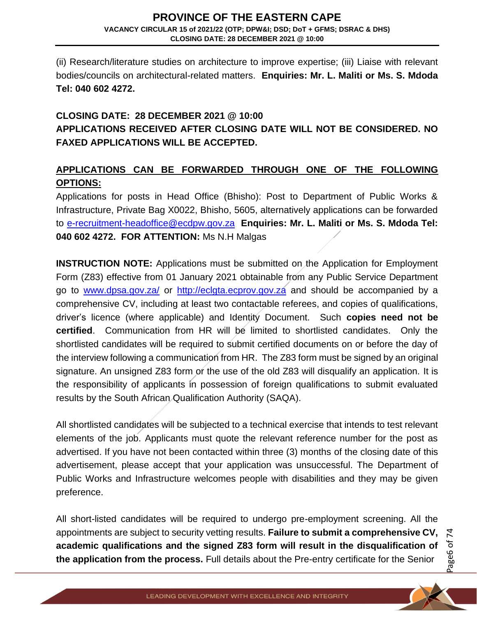(ii) Research/literature studies on architecture to improve expertise; (iii) Liaise with relevant bodies/councils on architectural-related matters. **Enquiries: Mr. L. Maliti or Ms. S. Mdoda Tel: 040 602 4272.**

## **CLOSING DATE: 28 DECEMBER 2021 @ 10:00 APPLICATIONS RECEIVED AFTER CLOSING DATE WILL NOT BE CONSIDERED. NO FAXED APPLICATIONS WILL BE ACCEPTED.**

## **APPLICATIONS CAN BE FORWARDED THROUGH ONE OF THE FOLLOWING OPTIONS:**

Applications for posts in Head Office (Bhisho): Post to Department of Public Works & Infrastructure, Private Bag X0022, Bhisho, 5605, alternatively applications can be forwarded to [e-recruitment-headoffice@ecdpw.gov.za](mailto:e-recruitment-headoffice@ecdpw.gov.za) **Enquiries: Mr. L. Maliti or Ms. S. Mdoda Tel: 040 602 4272. FOR ATTENTION:** Ms N.H Malgas

**INSTRUCTION NOTE:** Applications must be submitted on the Application for Employment Form (Z83) effective from 01 January 2021 obtainable from any Public Service Department go to [www.dpsa.gov.za/](http://www.dpsa.gov.za/) or [http://eclgta.ecprov.gov.za](http://eclgta.ecprov.gov.za/) and should be accompanied by a comprehensive CV, including at least two contactable referees, and copies of qualifications, driver's licence (where applicable) and Identity Document. Such **copies need not be certified**. Communication from HR will be limited to shortlisted candidates. Only the shortlisted candidates will be required to submit certified documents on or before the day of the interview following a communication from HR. The Z83 form must be signed by an original signature. An unsigned Z83 form or the use of the old Z83 will disqualify an application. It is the responsibility of applicants in possession of foreign qualifications to submit evaluated results by the South African Qualification Authority (SAQA).

All shortlisted candidates will be subjected to a technical exercise that intends to test relevant elements of the job. Applicants must quote the relevant reference number for the post as advertised. If you have not been contacted within three (3) months of the closing date of this advertisement, please accept that your application was unsuccessful. The Department of Public Works and Infrastructure welcomes people with disabilities and they may be given preference.

All short-listed candidates will be required to undergo pre-employment screening. All the appointments are subject to security vetting results. **Failure to submit a comprehensive CV, academic qualifications and the signed Z83 form will result in the disqualification of the application from the process.** Full details about the Pre-entry certificate for the Senior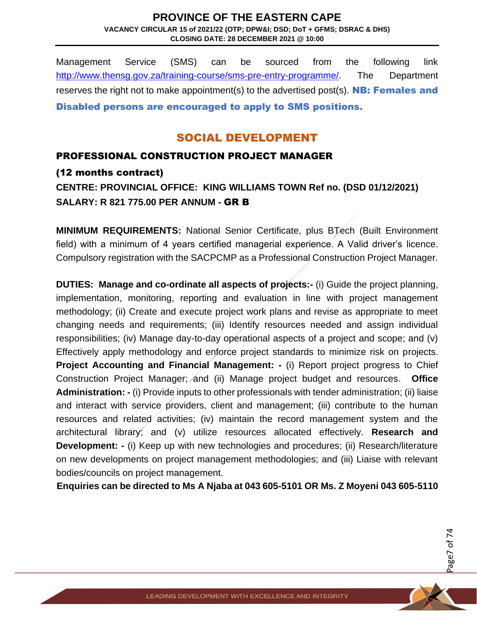Management Service (SMS) can be sourced from the following link [http://www.thensg.gov.za/training-course/sms-pre-entry-programme/.](http://www.thensg.gov.za/training-course/sms-pre-entry-programme/) The Department reserves the right not to make appointment(s) to the advertised post(s). **NB: Females and** Disabled persons are encouraged to apply to SMS positions.

## SOCIAL DEVELOPMENT

### PROFESSIONAL CONSTRUCTION PROJECT MANAGER

#### (12 months contract)

**CENTRE: PROVINCIAL OFFICE: KING WILLIAMS TOWN Ref no. (DSD 01/12/2021) SALARY: R 821 775.00 PER ANNUM -** GR B

**MINIMUM REQUIREMENTS:** National Senior Certificate, plus BTech (Built Environment field) with a minimum of 4 years certified managerial experience. A Valid driver's licence. Compulsory registration with the SACPCMP as a Professional Construction Project Manager.

**DUTIES: Manage and co-ordinate all aspects of projects:-** (i) Guide the project planning, implementation, monitoring, reporting and evaluation in line with project management methodology; (ii) Create and execute project work plans and revise as appropriate to meet changing needs and requirements; (iii) Identify resources needed and assign individual responsibilities; (iv) Manage day-to-day operational aspects of a project and scope; and (v) Effectively apply methodology and enforce project standards to minimize risk on projects. **Project Accounting and Financial Management: - (i) Report project progress to Chief** Construction Project Manager; and (ii) Manage project budget and resources. **Office Administration: -** (i) Provide inputs to other professionals with tender administration; (ii) liaise and interact with service providers, client and management; (iii) contribute to the human resources and related activities; (iv) maintain the record management system and the architectural library; and (v) utilize resources allocated effectively. **Research and Development:** - (i) Keep up with new technologies and procedures; (ii) Research/literature on new developments on project management methodologies; and (iii) Liaise with relevant bodies/councils on project management.

**Enquiries can be directed to Ms A Njaba at 043 605-5101 OR Ms. Z Moyeni 043 605-5110**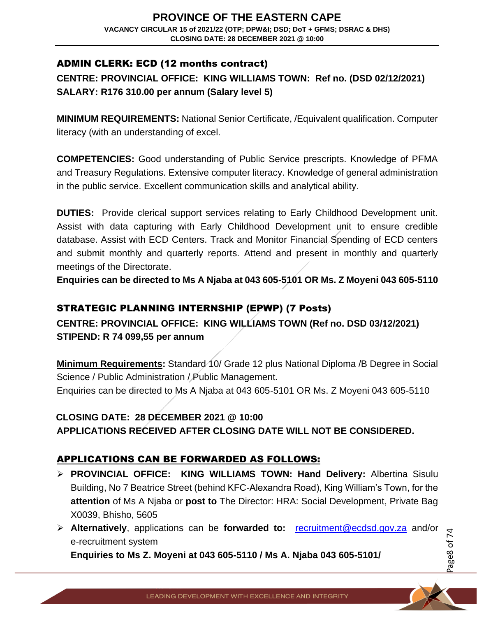### ADMIN CLERK: ECD (12 months contract)

## **CENTRE: PROVINCIAL OFFICE: KING WILLIAMS TOWN: Ref no. (DSD 02/12/2021) SALARY: R176 310.00 per annum (Salary level 5)**

**MINIMUM REQUIREMENTS:** National Senior Certificate, /Equivalent qualification. Computer literacy (with an understanding of excel.

**COMPETENCIES:** Good understanding of Public Service prescripts. Knowledge of PFMA and Treasury Regulations. Extensive computer literacy. Knowledge of general administration in the public service. Excellent communication skills and analytical ability.

**DUTIES:** Provide clerical support services relating to Early Childhood Development unit. Assist with data capturing with Early Childhood Development unit to ensure credible database. Assist with ECD Centers. Track and Monitor Financial Spending of ECD centers and submit monthly and quarterly reports. Attend and present in monthly and quarterly meetings of the Directorate.

**Enquiries can be directed to Ms A Njaba at 043 605-5101 OR Ms. Z Moyeni 043 605-5110**

### STRATEGIC PLANNING INTERNSHIP (EPWP) (7 Posts)

**CENTRE: PROVINCIAL OFFICE: KING WILLIAMS TOWN (Ref no. DSD 03/12/2021) STIPEND: R 74 099,55 per annum** 

**Minimum Requirements:** Standard 10/ Grade 12 plus National Diploma /B Degree in Social Science / Public Administration / Public Management. Enquiries can be directed to Ms A Njaba at 043 605-5101 OR Ms. Z Moyeni 043 605-5110

# **CLOSING DATE: 28 DECEMBER 2021 @ 10:00**

**APPLICATIONS RECEIVED AFTER CLOSING DATE WILL NOT BE CONSIDERED.**

## APPLICATIONS CAN BE FORWARDED AS FOLLOWS:

- ➢ **PROVINCIAL OFFICE: KING WILLIAMS TOWN: Hand Delivery:** Albertina Sisulu Building, No 7 Beatrice Street (behind KFC-Alexandra Road), King William's Town, for the **attention** of Ms A Njaba or **post to** The Director: HRA: Social Development, Private Bag X0039, Bhisho, 5605
- ➢ **Alternatively**, applications can be **forwarded to:** [recruitment@ecdsd.gov.za](mailto:recruitment@ecdsd.gov.za) and/or e-recruitment system

**Enquiries to Ms Z. Moyeni at 043 605-5110 / Ms A. Njaba 043 605-5101/** 

Page 8 of 7 4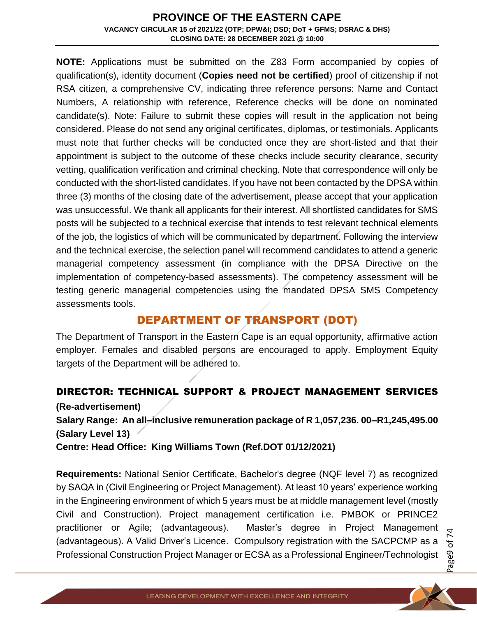**NOTE:** Applications must be submitted on the Z83 Form accompanied by copies of qualification(s), identity document (**Copies need not be certified**) proof of citizenship if not RSA citizen, a comprehensive CV, indicating three reference persons: Name and Contact Numbers, A relationship with reference, Reference checks will be done on nominated candidate(s). Note: Failure to submit these copies will result in the application not being considered. Please do not send any original certificates, diplomas, or testimonials. Applicants must note that further checks will be conducted once they are short-listed and that their appointment is subject to the outcome of these checks include security clearance, security vetting, qualification verification and criminal checking. Note that correspondence will only be conducted with the short-listed candidates. If you have not been contacted by the DPSA within three (3) months of the closing date of the advertisement, please accept that your application was unsuccessful. We thank all applicants for their interest. All shortlisted candidates for SMS posts will be subjected to a technical exercise that intends to test relevant technical elements of the job, the logistics of which will be communicated by department. Following the interview and the technical exercise, the selection panel will recommend candidates to attend a generic managerial competency assessment (in compliance with the DPSA Directive on the implementation of competency-based assessments). The competency assessment will be testing generic managerial competencies using the mandated DPSA SMS Competency assessments tools.

## DEPARTMENT OF TRANSPORT (DOT)

The Department of Transport in the Eastern Cape is an equal opportunity, affirmative action employer. Females and disabled persons are encouraged to apply. Employment Equity targets of the Department will be adhered to.

## DIRECTOR: TECHNICAL SUPPORT & PROJECT MANAGEMENT SERVICES

#### **(Re-advertisement)**

**Salary Range: An all–inclusive remuneration package of R 1,057,236. 00–R1,245,495.00 (Salary Level 13)**

**Centre: Head Office: King Williams Town (Ref.DOT 01/12/2021)**

**Requirements:** National Senior Certificate, Bachelor's degree (NQF level 7) as recognized by SAQA in (Civil Engineering or Project Management). At least 10 years' experience working in the Engineering environment of which 5 years must be at middle management level (mostly Civil and Construction). Project management certification i.e. PMBOK or PRINCE2 practitioner or Agile; (advantageous). Master's degree in Project Management (advantageous). A Valid Driver's Licence. Compulsory registration with the SACPCMP as a Professional Construction Project Manager or ECSA as a Professional Engineer/Technologist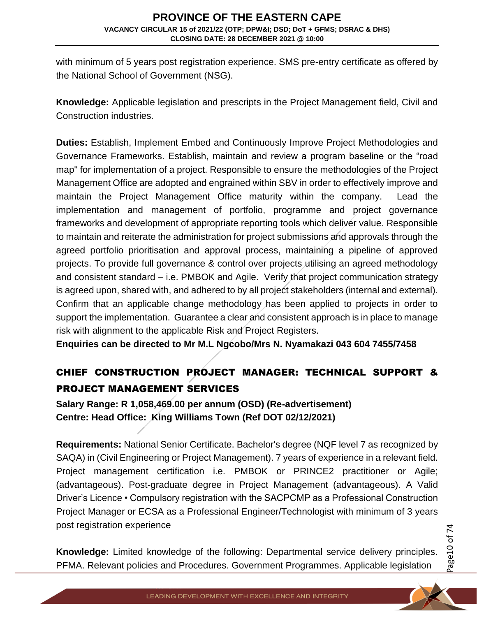with minimum of 5 years post registration experience. SMS pre-entry certificate as offered by the National School of Government (NSG).

**Knowledge:** Applicable legislation and prescripts in the Project Management field, Civil and Construction industries.

**Duties:** Establish, Implement Embed and Continuously Improve Project Methodologies and Governance Frameworks. Establish, maintain and review a program baseline or the "road map" for implementation of a project. Responsible to ensure the methodologies of the Project Management Office are adopted and engrained within SBV in order to effectively improve and maintain the Project Management Office maturity within the company. Lead the implementation and management of portfolio, programme and project governance frameworks and development of appropriate reporting tools which deliver value. Responsible to maintain and reiterate the administration for project submissions and approvals through the agreed portfolio prioritisation and approval process, maintaining a pipeline of approved projects. To provide full governance & control over projects utilising an agreed methodology and consistent standard – i.e. PMBOK and Agile. Verify that project communication strategy is agreed upon, shared with, and adhered to by all project stakeholders (internal and external). Confirm that an applicable change methodology has been applied to projects in order to support the implementation. Guarantee a clear and consistent approach is in place to manage risk with alignment to the applicable Risk and Project Registers.

**Enquiries can be directed to Mr M.L Ngcobo/Mrs N. Nyamakazi 043 604 7455/7458**

# CHIEF CONSTRUCTION PROJECT MANAGER: TECHNICAL SUPPORT & PROJECT MANAGEMENT SERVICES

**Salary Range: R 1,058,469.00 per annum (OSD) (Re-advertisement) Centre: Head Office: King Williams Town (Ref DOT 02/12/2021)** 

**Requirements:** National Senior Certificate. Bachelor's degree (NQF level 7 as recognized by SAQA) in (Civil Engineering or Project Management). 7 years of experience in a relevant field. Project management certification i.e. PMBOK or PRINCE2 practitioner or Agile; (advantageous). Post-graduate degree in Project Management (advantageous). A Valid Driver's Licence • Compulsory registration with the SACPCMP as a Professional Construction Project Manager or ECSA as a Professional Engineer/Technologist with minimum of 3 years post registration experience

**Knowledge:** Limited knowledge of the following: Departmental service delivery principles. PFMA. Relevant policies and Procedures. Government Programmes. Applicable legislation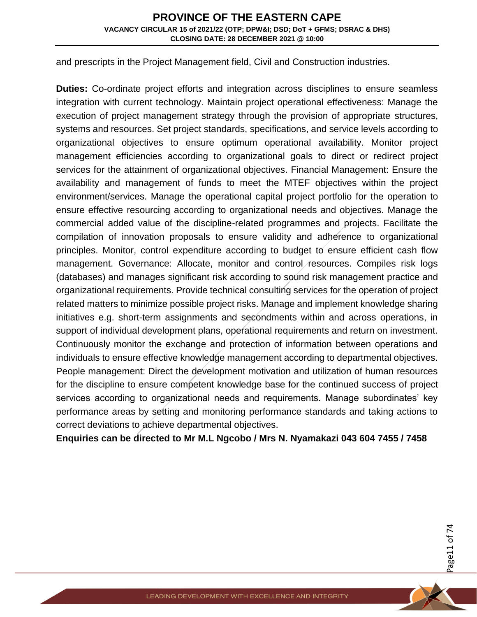and prescripts in the Project Management field, Civil and Construction industries.

**Duties:** Co-ordinate project efforts and integration across disciplines to ensure seamless integration with current technology. Maintain project operational effectiveness: Manage the execution of project management strategy through the provision of appropriate structures, systems and resources. Set project standards, specifications, and service levels according to organizational objectives to ensure optimum operational availability. Monitor project management efficiencies according to organizational goals to direct or redirect project services for the attainment of organizational objectives. Financial Management: Ensure the availability and management of funds to meet the MTEF objectives within the project environment/services. Manage the operational capital project portfolio for the operation to ensure effective resourcing according to organizational needs and objectives. Manage the commercial added value of the discipline-related programmes and projects. Facilitate the compilation of innovation proposals to ensure validity and adherence to organizational principles. Monitor, control expenditure according to budget to ensure efficient cash flow management. Governance: Allocate, monitor and control resources. Compiles risk logs (databases) and manages significant risk according to sound risk management practice and organizational requirements. Provide technical consulting services for the operation of project related matters to minimize possible project risks. Manage and implement knowledge sharing initiatives e.g. short-term assignments and secondments within and across operations, in support of individual development plans, operational requirements and return on investment. Continuously monitor the exchange and protection of information between operations and individuals to ensure effective knowledge management according to departmental objectives. People management: Direct the development motivation and utilization of human resources for the discipline to ensure competent knowledge base for the continued success of project services according to organizational needs and requirements. Manage subordinates' key performance areas by setting and monitoring performance standards and taking actions to correct deviations to achieve departmental objectives.

**Enquiries can be directed to Mr M.L Ngcobo / Mrs N. Nyamakazi 043 604 7455 / 7458**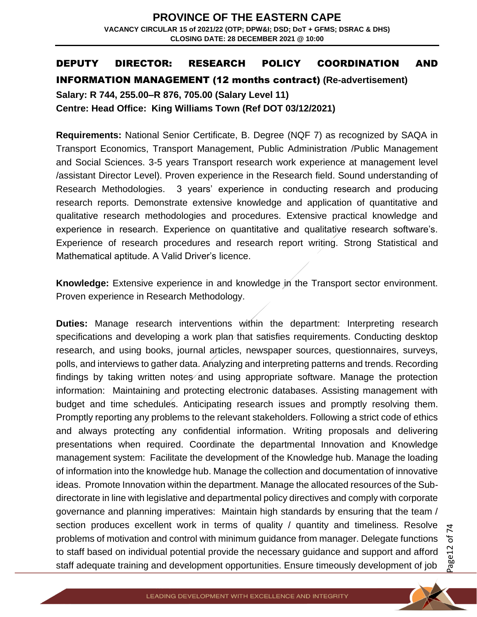### DEPUTY DIRECTOR: RESEARCH POLICY COORDINATION AND

#### INFORMATION MANAGEMENT (12 months contract) **(Re-advertisement)**

**Salary: R 744, 255.00–R 876, 705.00 (Salary Level 11) Centre: Head Office: King Williams Town (Ref DOT 03/12/2021)** 

**Requirements:** National Senior Certificate, B. Degree (NQF 7) as recognized by SAQA in Transport Economics, Transport Management, Public Administration /Public Management and Social Sciences. 3-5 years Transport research work experience at management level /assistant Director Level). Proven experience in the Research field. Sound understanding of Research Methodologies. 3 years' experience in conducting research and producing research reports. Demonstrate extensive knowledge and application of quantitative and qualitative research methodologies and procedures. Extensive practical knowledge and experience in research. Experience on quantitative and qualitative research software's. Experience of research procedures and research report writing. Strong Statistical and Mathematical aptitude. A Valid Driver's licence.

**Knowledge:** Extensive experience in and knowledge in the Transport sector environment. Proven experience in Research Methodology.

**Duties:** Manage research interventions within the department: Interpreting research specifications and developing a work plan that satisfies requirements. Conducting desktop research, and using books, journal articles, newspaper sources, questionnaires, surveys, polls, and interviews to gather data. Analyzing and interpreting patterns and trends. Recording findings by taking written notes and using appropriate software. Manage the protection information: Maintaining and protecting electronic databases. Assisting management with budget and time schedules. Anticipating research issues and promptly resolving them. Promptly reporting any problems to the relevant stakeholders. Following a strict code of ethics and always protecting any confidential information. Writing proposals and delivering presentations when required. Coordinate the departmental Innovation and Knowledge management system: Facilitate the development of the Knowledge hub. Manage the loading of information into the knowledge hub. Manage the collection and documentation of innovative ideas. Promote Innovation within the department. Manage the allocated resources of the Subdirectorate in line with legislative and departmental policy directives and comply with corporate governance and planning imperatives: Maintain high standards by ensuring that the team / section produces excellent work in terms of quality / quantity and timeliness. Resolve problems of motivation and control with minimum guidance from manager. Delegate functions to staff based on individual potential provide the necessary guidance and support and afford staff adequate training and development opportunities. Ensure timeously development of job

Page12 of 4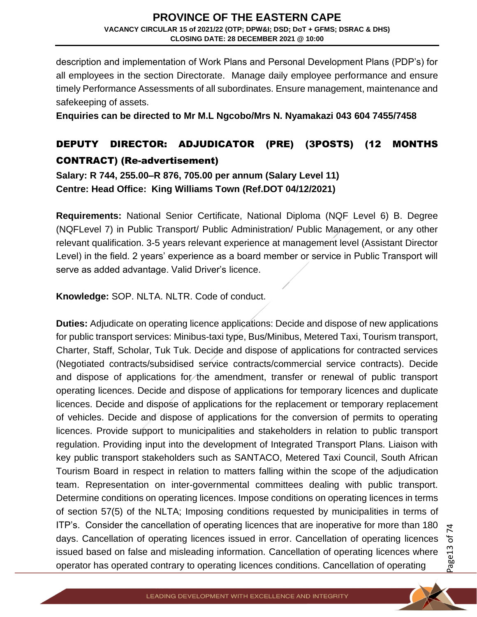description and implementation of Work Plans and Personal Development Plans (PDP's) for all employees in the section Directorate. Manage daily employee performance and ensure timely Performance Assessments of all subordinates. Ensure management, maintenance and safekeeping of assets.

**Enquiries can be directed to Mr M.L Ngcobo/Mrs N. Nyamakazi 043 604 7455/7458**

## DEPUTY DIRECTOR: ADJUDICATOR (PRE) (3POSTS) (12 MONTHS CONTRACT) (Re-advertisement)

**Salary: R 744, 255.00–R 876, 705.00 per annum (Salary Level 11) Centre: Head Office: King Williams Town (Ref.DOT 04/12/2021)** 

**Requirements:** National Senior Certificate, National Diploma (NQF Level 6) B. Degree (NQFLevel 7) in Public Transport/ Public Administration/ Public Management, or any other relevant qualification. 3-5 years relevant experience at management level (Assistant Director Level) in the field. 2 years' experience as a board member or service in Public Transport will serve as added advantage. Valid Driver's licence.

**Knowledge:** SOP. NLTA. NLTR. Code of conduct.

**Duties:** Adjudicate on operating licence applications: Decide and dispose of new applications for public transport services: Minibus-taxi type, Bus/Minibus, Metered Taxi, Tourism transport, Charter, Staff, Scholar, Tuk Tuk. Decide and dispose of applications for contracted services (Negotiated contracts/subsidised service contracts/commercial service contracts). Decide and dispose of applications for the amendment, transfer or renewal of public transport operating licences. Decide and dispose of applications for temporary licences and duplicate licences. Decide and dispose of applications for the replacement or temporary replacement of vehicles. Decide and dispose of applications for the conversion of permits to operating licences. Provide support to municipalities and stakeholders in relation to public transport regulation. Providing input into the development of Integrated Transport Plans. Liaison with key public transport stakeholders such as SANTACO, Metered Taxi Council, South African Tourism Board in respect in relation to matters falling within the scope of the adjudication team. Representation on inter-governmental committees dealing with public transport. Determine conditions on operating licences. Impose conditions on operating licences in terms of section 57(5) of the NLTA; Imposing conditions requested by municipalities in terms of ITP's. Consider the cancellation of operating licences that are inoperative for more than 180 days. Cancellation of operating licences issued in error. Cancellation of operating licences issued based on false and misleading information. Cancellation of operating licences where operator has operated contrary to operating licences conditions. Cancellation of operating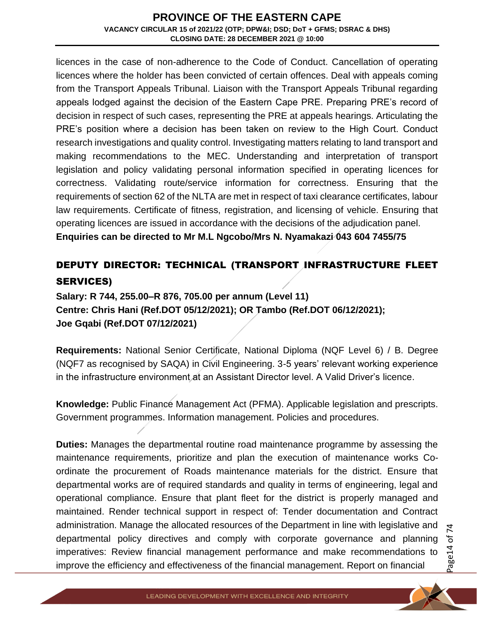licences in the case of non-adherence to the Code of Conduct. Cancellation of operating licences where the holder has been convicted of certain offences. Deal with appeals coming from the Transport Appeals Tribunal. Liaison with the Transport Appeals Tribunal regarding appeals lodged against the decision of the Eastern Cape PRE. Preparing PRE's record of decision in respect of such cases, representing the PRE at appeals hearings. Articulating the PRE's position where a decision has been taken on review to the High Court. Conduct research investigations and quality control. Investigating matters relating to land transport and making recommendations to the MEC. Understanding and interpretation of transport legislation and policy validating personal information specified in operating licences for correctness. Validating route/service information for correctness. Ensuring that the requirements of section 62 of the NLTA are met in respect of taxi clearance certificates, labour law requirements. Certificate of fitness, registration, and licensing of vehicle. Ensuring that operating licences are issued in accordance with the decisions of the adjudication panel. **Enquiries can be directed to Mr M.L Ngcobo/Mrs N. Nyamakazi 043 604 7455/75**

# DEPUTY DIRECTOR: TECHNICAL (TRANSPORT INFRASTRUCTURE FLEET SERVICES)

**Salary: R 744, 255.00–R 876, 705.00 per annum (Level 11) Centre: Chris Hani (Ref.DOT 05/12/2021); OR Tambo (Ref.DOT 06/12/2021); Joe Gqabi (Ref.DOT 07/12/2021)** 

**Requirements:** National Senior Certificate, National Diploma (NQF Level 6) / B. Degree (NQF7 as recognised by SAQA) in Civil Engineering. 3-5 years' relevant working experience in the infrastructure environment at an Assistant Director level. A Valid Driver's licence.

**Knowledge:** Public Finance Management Act (PFMA). Applicable legislation and prescripts. Government programmes. Information management. Policies and procedures.

**Duties:** Manages the departmental routine road maintenance programme by assessing the maintenance requirements, prioritize and plan the execution of maintenance works Coordinate the procurement of Roads maintenance materials for the district. Ensure that departmental works are of required standards and quality in terms of engineering, legal and operational compliance. Ensure that plant fleet for the district is properly managed and maintained. Render technical support in respect of: Tender documentation and Contract administration. Manage the allocated resources of the Department in line with legislative and departmental policy directives and comply with corporate governance and planning imperatives: Review financial management performance and make recommendations to improve the efficiency and effectiveness of the financial management. Report on financial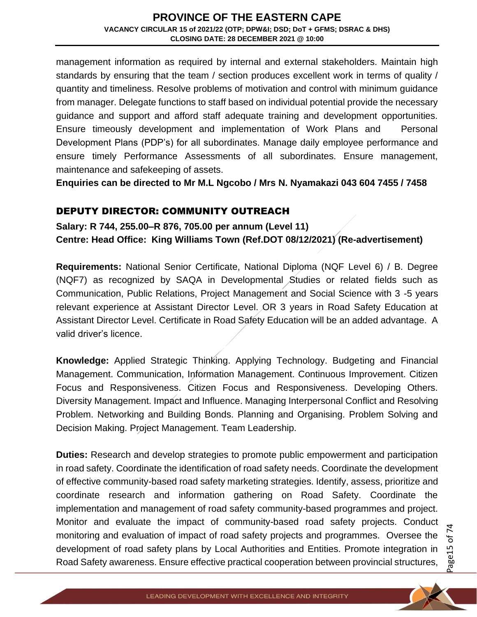management information as required by internal and external stakeholders. Maintain high standards by ensuring that the team / section produces excellent work in terms of quality / quantity and timeliness. Resolve problems of motivation and control with minimum guidance from manager. Delegate functions to staff based on individual potential provide the necessary guidance and support and afford staff adequate training and development opportunities. Ensure timeously development and implementation of Work Plans and Personal Development Plans (PDP's) for all subordinates. Manage daily employee performance and ensure timely Performance Assessments of all subordinates. Ensure management, maintenance and safekeeping of assets.

**Enquiries can be directed to Mr M.L Ngcobo / Mrs N. Nyamakazi 043 604 7455 / 7458**

#### DEPUTY DIRECTOR: COMMUNITY OUTREACH

**Salary: R 744, 255.00–R 876, 705.00 per annum (Level 11) Centre: Head Office: King Williams Town (Ref.DOT 08/12/2021) (Re-advertisement)**

**Requirements:** National Senior Certificate, National Diploma (NQF Level 6) / B. Degree (NQF7) as recognized by SAQA in Developmental Studies or related fields such as Communication, Public Relations, Project Management and Social Science with 3 -5 years relevant experience at Assistant Director Level. OR 3 years in Road Safety Education at Assistant Director Level. Certificate in Road Safety Education will be an added advantage. A valid driver's licence.

**Knowledge:** Applied Strategic Thinking. Applying Technology. Budgeting and Financial Management. Communication, Information Management. Continuous Improvement. Citizen Focus and Responsiveness. Citizen Focus and Responsiveness. Developing Others. Diversity Management. Impact and Influence. Managing Interpersonal Conflict and Resolving Problem. Networking and Building Bonds. Planning and Organising. Problem Solving and Decision Making. Project Management. Team Leadership.

**Duties:** Research and develop strategies to promote public empowerment and participation in road safety. Coordinate the identification of road safety needs. Coordinate the development of effective community-based road safety marketing strategies. Identify, assess, prioritize and coordinate research and information gathering on Road Safety. Coordinate the implementation and management of road safety community-based programmes and project. Monitor and evaluate the impact of community-based road safety projects. Conduct monitoring and evaluation of impact of road safety projects and programmes. Oversee the development of road safety plans by Local Authorities and Entities. Promote integration in Road Safety awareness. Ensure effective practical cooperation between provincial structures,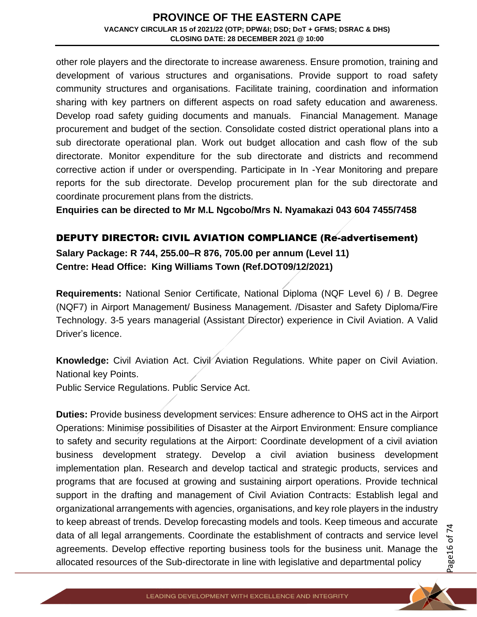other role players and the directorate to increase awareness. Ensure promotion, training and development of various structures and organisations. Provide support to road safety community structures and organisations. Facilitate training, coordination and information sharing with key partners on different aspects on road safety education and awareness. Develop road safety guiding documents and manuals. Financial Management. Manage procurement and budget of the section. Consolidate costed district operational plans into a sub directorate operational plan. Work out budget allocation and cash flow of the sub directorate. Monitor expenditure for the sub directorate and districts and recommend corrective action if under or overspending. Participate in In -Year Monitoring and prepare reports for the sub directorate. Develop procurement plan for the sub directorate and coordinate procurement plans from the districts.

**Enquiries can be directed to Mr M.L Ngcobo/Mrs N. Nyamakazi 043 604 7455/7458**

#### DEPUTY DIRECTOR: CIVIL AVIATION COMPLIANCE (Re-advertisement)

**Salary Package: R 744, 255.00–R 876, 705.00 per annum (Level 11) Centre: Head Office: King Williams Town (Ref.DOT09/12/2021)** 

**Requirements:** National Senior Certificate, National Diploma (NQF Level 6) / B. Degree (NQF7) in Airport Management/ Business Management. /Disaster and Safety Diploma/Fire Technology. 3-5 years managerial (Assistant Director) experience in Civil Aviation. A Valid Driver's licence.

**Knowledge:** Civil Aviation Act. Civil Aviation Regulations. White paper on Civil Aviation. National key Points.

Public Service Regulations. Public Service Act.

**Duties:** Provide business development services: Ensure adherence to OHS act in the Airport Operations: Minimise possibilities of Disaster at the Airport Environment: Ensure compliance to safety and security regulations at the Airport: Coordinate development of a civil aviation business development strategy. Develop a civil aviation business development implementation plan. Research and develop tactical and strategic products, services and programs that are focused at growing and sustaining airport operations. Provide technical support in the drafting and management of Civil Aviation Contracts: Establish legal and organizational arrangements with agencies, organisations, and key role players in the industry to keep abreast of trends. Develop forecasting models and tools. Keep timeous and accurate data of all legal arrangements. Coordinate the establishment of contracts and service level agreements. Develop effective reporting business tools for the business unit. Manage the allocated resources of the Sub-directorate in line with legislative and departmental policy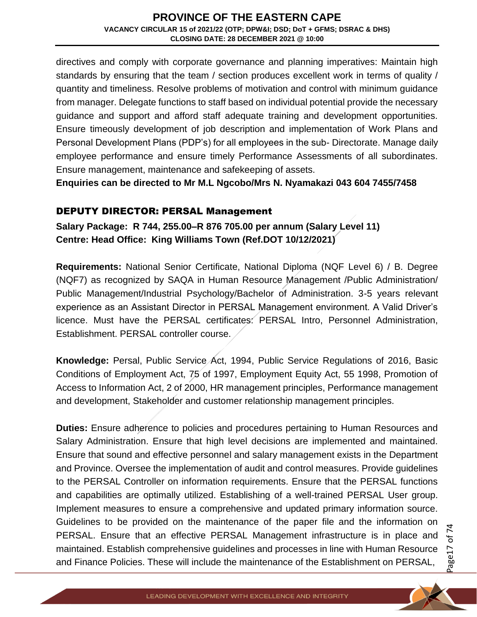directives and comply with corporate governance and planning imperatives: Maintain high standards by ensuring that the team / section produces excellent work in terms of quality / quantity and timeliness. Resolve problems of motivation and control with minimum guidance from manager. Delegate functions to staff based on individual potential provide the necessary guidance and support and afford staff adequate training and development opportunities. Ensure timeously development of job description and implementation of Work Plans and Personal Development Plans (PDP's) for all employees in the sub- Directorate. Manage daily employee performance and ensure timely Performance Assessments of all subordinates. Ensure management, maintenance and safekeeping of assets.

**Enquiries can be directed to Mr M.L Ngcobo/Mrs N. Nyamakazi 043 604 7455/7458**

#### DEPUTY DIRECTOR: PERSAL Management

**Salary Package: R 744, 255.00–R 876 705.00 per annum (Salary Level 11) Centre: Head Office: King Williams Town (Ref.DOT 10/12/2021)** 

**Requirements:** National Senior Certificate, National Diploma (NQF Level 6) / B. Degree (NQF7) as recognized by SAQA in Human Resource Management /Public Administration/ Public Management/Industrial Psychology/Bachelor of Administration. 3-5 years relevant experience as an Assistant Director in PERSAL Management environment. A Valid Driver's licence. Must have the PERSAL certificates: PERSAL Intro, Personnel Administration, Establishment. PERSAL controller course.

**Knowledge:** Persal, Public Service Act, 1994, Public Service Regulations of 2016, Basic Conditions of Employment Act, 75 of 1997, Employment Equity Act, 55 1998, Promotion of Access to Information Act, 2 of 2000, HR management principles, Performance management and development, Stakeholder and customer relationship management principles.

**Duties:** Ensure adherence to policies and procedures pertaining to Human Resources and Salary Administration. Ensure that high level decisions are implemented and maintained. Ensure that sound and effective personnel and salary management exists in the Department and Province. Oversee the implementation of audit and control measures. Provide guidelines to the PERSAL Controller on information requirements. Ensure that the PERSAL functions and capabilities are optimally utilized. Establishing of a well-trained PERSAL User group. Implement measures to ensure a comprehensive and updated primary information source. Guidelines to be provided on the maintenance of the paper file and the information on PERSAL. Ensure that an effective PERSAL Management infrastructure is in place and maintained. Establish comprehensive guidelines and processes in line with Human Resource and Finance Policies. These will include the maintenance of the Establishment on PERSAL,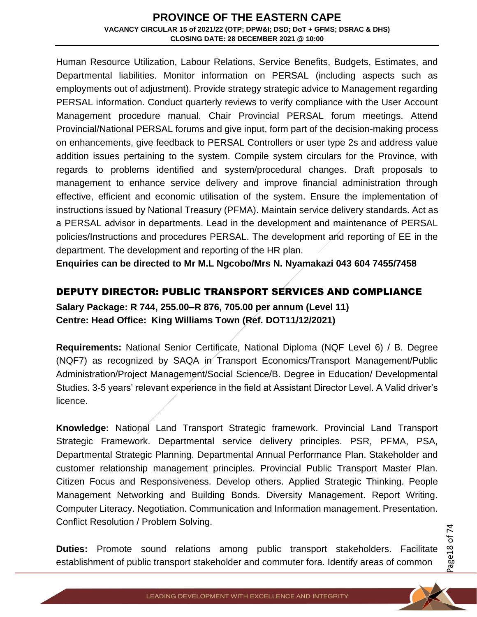Human Resource Utilization, Labour Relations, Service Benefits, Budgets, Estimates, and Departmental liabilities. Monitor information on PERSAL (including aspects such as employments out of adjustment). Provide strategy strategic advice to Management regarding PERSAL information. Conduct quarterly reviews to verify compliance with the User Account Management procedure manual. Chair Provincial PERSAL forum meetings. Attend Provincial/National PERSAL forums and give input, form part of the decision-making process on enhancements, give feedback to PERSAL Controllers or user type 2s and address value addition issues pertaining to the system. Compile system circulars for the Province, with regards to problems identified and system/procedural changes. Draft proposals to management to enhance service delivery and improve financial administration through effective, efficient and economic utilisation of the system. Ensure the implementation of instructions issued by National Treasury (PFMA). Maintain service delivery standards. Act as a PERSAL advisor in departments. Lead in the development and maintenance of PERSAL policies/Instructions and procedures PERSAL. The development and reporting of EE in the department. The development and reporting of the HR plan.

**Enquiries can be directed to Mr M.L Ngcobo/Mrs N. Nyamakazi 043 604 7455/7458**

## DEPUTY DIRECTOR: PUBLIC TRANSPORT SERVICES AND COMPLIANCE

**Salary Package: R 744, 255.00–R 876, 705.00 per annum (Level 11) Centre: Head Office: King Williams Town (Ref. DOT11/12/2021)** 

**Requirements:** National Senior Certificate, National Diploma (NQF Level 6) / B. Degree (NQF7) as recognized by SAQA in Transport Economics/Transport Management/Public Administration/Project Management/Social Science/B. Degree in Education/ Developmental Studies. 3-5 years' relevant experience in the field at Assistant Director Level. A Valid driver's licence.

**Knowledge:** National Land Transport Strategic framework. Provincial Land Transport Strategic Framework. Departmental service delivery principles. PSR, PFMA, PSA, Departmental Strategic Planning. Departmental Annual Performance Plan. Stakeholder and customer relationship management principles. Provincial Public Transport Master Plan. Citizen Focus and Responsiveness. Develop others. Applied Strategic Thinking. People Management Networking and Building Bonds. Diversity Management. Report Writing. Computer Literacy. Negotiation. Communication and Information management. Presentation. Conflict Resolution / Problem Solving.

**Duties:** Promote sound relations among public transport stakeholders. Facilitate establishment of public transport stakeholder and commuter fora. Identify areas of common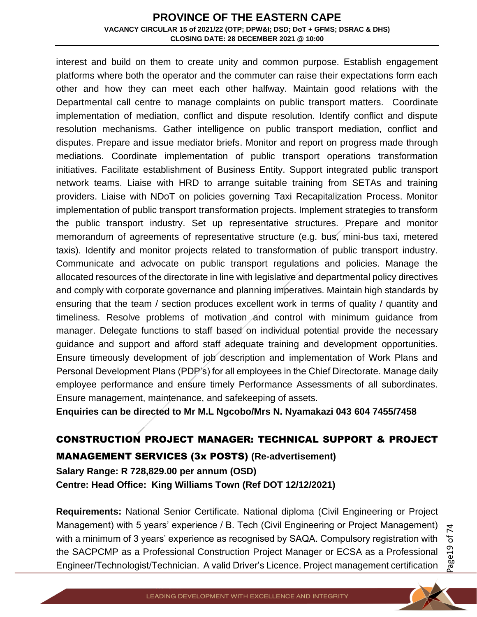interest and build on them to create unity and common purpose. Establish engagement platforms where both the operator and the commuter can raise their expectations form each other and how they can meet each other halfway. Maintain good relations with the Departmental call centre to manage complaints on public transport matters. Coordinate implementation of mediation, conflict and dispute resolution. Identify conflict and dispute resolution mechanisms. Gather intelligence on public transport mediation, conflict and disputes. Prepare and issue mediator briefs. Monitor and report on progress made through mediations. Coordinate implementation of public transport operations transformation initiatives. Facilitate establishment of Business Entity. Support integrated public transport network teams. Liaise with HRD to arrange suitable training from SETAs and training providers. Liaise with NDoT on policies governing Taxi Recapitalization Process. Monitor implementation of public transport transformation projects. Implement strategies to transform the public transport industry. Set up representative structures. Prepare and monitor memorandum of agreements of representative structure (e.g. bus, mini-bus taxi, metered taxis). Identify and monitor projects related to transformation of public transport industry. Communicate and advocate on public transport regulations and policies. Manage the allocated resources of the directorate in line with legislative and departmental policy directives and comply with corporate governance and planning imperatives. Maintain high standards by ensuring that the team / section produces excellent work in terms of quality / quantity and timeliness. Resolve problems of motivation and control with minimum guidance from manager. Delegate functions to staff based on individual potential provide the necessary guidance and support and afford staff adequate training and development opportunities. Ensure timeously development of job description and implementation of Work Plans and Personal Development Plans (PDP's) for all employees in the Chief Directorate. Manage daily employee performance and ensure timely Performance Assessments of all subordinates. Ensure management, maintenance, and safekeeping of assets.

**Enquiries can be directed to Mr M.L Ngcobo/Mrs N. Nyamakazi 043 604 7455/7458**

# CONSTRUCTION PROJECT MANAGER: TECHNICAL SUPPORT & PROJECT MANAGEMENT SERVICES (3x POSTS) **(Re-advertisement)**

**Salary Range: R 728,829.00 per annum (OSD) Centre: Head Office: King Williams Town (Ref DOT 12/12/2021)** 

**Requirements:** National Senior Certificate. National diploma (Civil Engineering or Project Management) with 5 years' experience / B. Tech (Civil Engineering or Project Management) with a minimum of 3 years' experience as recognised by SAQA. Compulsory registration with the SACPCMP as a Professional Construction Project Manager or ECSA as a Professional Engineer/Technologist/Technician. A valid Driver's Licence. Project management certification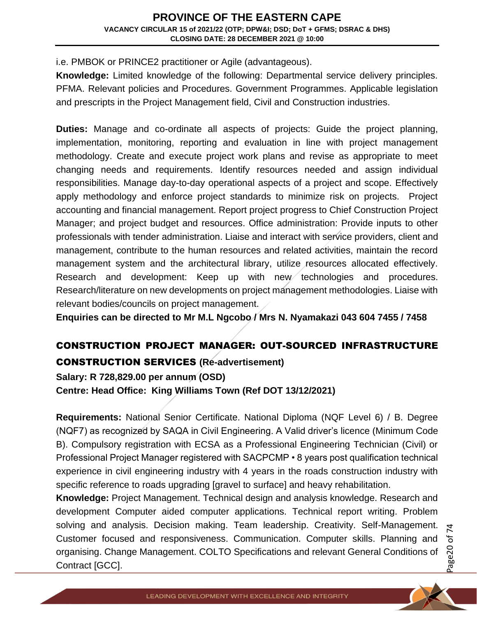i.e. PMBOK or PRINCE2 practitioner or Agile (advantageous).

**Knowledge:** Limited knowledge of the following: Departmental service delivery principles. PFMA. Relevant policies and Procedures. Government Programmes. Applicable legislation and prescripts in the Project Management field, Civil and Construction industries.

**Duties:** Manage and co-ordinate all aspects of projects: Guide the project planning, implementation, monitoring, reporting and evaluation in line with project management methodology. Create and execute project work plans and revise as appropriate to meet changing needs and requirements. Identify resources needed and assign individual responsibilities. Manage day-to-day operational aspects of a project and scope. Effectively apply methodology and enforce project standards to minimize risk on projects. Project accounting and financial management. Report project progress to Chief Construction Project Manager; and project budget and resources. Office administration: Provide inputs to other professionals with tender administration. Liaise and interact with service providers, client and management, contribute to the human resources and related activities, maintain the record management system and the architectural library, utilize resources allocated effectively. Research and development: Keep up with new technologies and procedures. Research/literature on new developments on project management methodologies. Liaise with relevant bodies/councils on project management.

**Enquiries can be directed to Mr M.L Ngcobo / Mrs N. Nyamakazi 043 604 7455 / 7458** 

## CONSTRUCTION PROJECT MANAGER: OUT-SOURCED INFRASTRUCTURE CONSTRUCTION SERVICES **(Re-advertisement)**

**Salary: R 728,829.00 per annum (OSD) Centre: Head Office: King Williams Town (Ref DOT 13/12/2021)** 

**Requirements:** National Senior Certificate. National Diploma (NQF Level 6) / B. Degree (NQF7) as recognized by SAQA in Civil Engineering. A Valid driver's licence (Minimum Code B). Compulsory registration with ECSA as a Professional Engineering Technician (Civil) or Professional Project Manager registered with SACPCMP • 8 years post qualification technical experience in civil engineering industry with 4 years in the roads construction industry with specific reference to roads upgrading [gravel to surface] and heavy rehabilitation.

**Knowledge:** Project Management. Technical design and analysis knowledge. Research and development Computer aided computer applications. Technical report writing. Problem solving and analysis. Decision making. Team leadership. Creativity. Self-Management. Customer focused and responsiveness. Communication. Computer skills. Planning and organising. Change Management. COLTO Specifications and relevant General Conditions of Contract [GCC].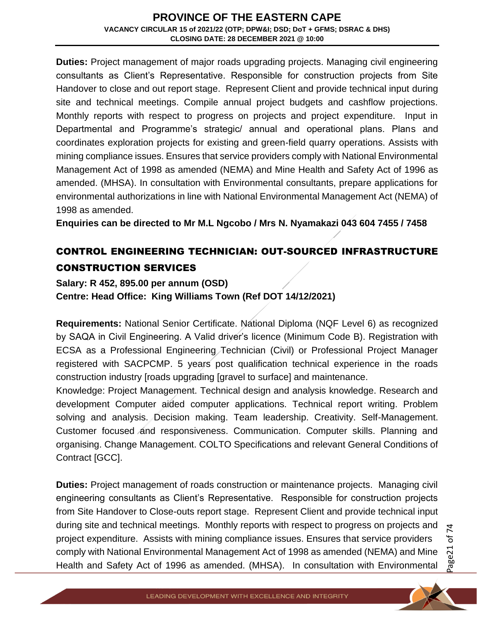**Duties:** Project management of major roads upgrading projects. Managing civil engineering consultants as Client's Representative. Responsible for construction projects from Site Handover to close and out report stage. Represent Client and provide technical input during site and technical meetings. Compile annual project budgets and cashflow projections. Monthly reports with respect to progress on projects and project expenditure. Input in Departmental and Programme's strategic/ annual and operational plans. Plans and coordinates exploration projects for existing and green-field quarry operations. Assists with mining compliance issues. Ensures that service providers comply with National Environmental Management Act of 1998 as amended (NEMA) and Mine Health and Safety Act of 1996 as amended. (MHSA). In consultation with Environmental consultants, prepare applications for environmental authorizations in line with National Environmental Management Act (NEMA) of 1998 as amended.

**Enquiries can be directed to Mr M.L Ngcobo / Mrs N. Nyamakazi 043 604 7455 / 7458**

## CONTROL ENGINEERING TECHNICIAN: OUT-SOURCED INFRASTRUCTURE CONSTRUCTION SERVICES

## **Salary: R 452, 895.00 per annum (OSD) Centre: Head Office: King Williams Town (Ref DOT 14/12/2021)**

**Requirements:** National Senior Certificate. National Diploma (NQF Level 6) as recognized by SAQA in Civil Engineering. A Valid driver's licence (Minimum Code B). Registration with ECSA as a Professional Engineering Technician (Civil) or Professional Project Manager registered with SACPCMP. 5 years post qualification technical experience in the roads construction industry [roads upgrading [gravel to surface] and maintenance.

Knowledge: Project Management. Technical design and analysis knowledge. Research and development Computer aided computer applications. Technical report writing. Problem solving and analysis. Decision making. Team leadership. Creativity. Self-Management. Customer focused and responsiveness. Communication. Computer skills. Planning and organising. Change Management. COLTO Specifications and relevant General Conditions of Contract [GCC].

**Duties:** Project management of roads construction or maintenance projects. Managing civil engineering consultants as Client's Representative. Responsible for construction projects from Site Handover to Close-outs report stage. Represent Client and provide technical input during site and technical meetings. Monthly reports with respect to progress on projects and project expenditure. Assists with mining compliance issues. Ensures that service providers comply with National Environmental Management Act of 1998 as amended (NEMA) and Mine Health and Safety Act of 1996 as amended. (MHSA). In consultation with Environmental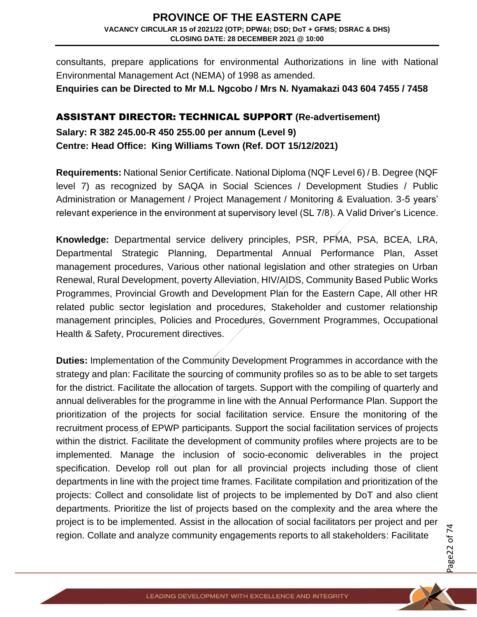consultants, prepare applications for environmental Authorizations in line with National Environmental Management Act (NEMA) of 1998 as amended.

**Enquiries can be Directed to Mr M.L Ngcobo / Mrs N. Nyamakazi 043 604 7455 / 7458** 

#### ASSISTANT DIRECTOR: TECHNICAL SUPPORT **(Re-advertisement)**

**Salary: R 382 245.00-R 450 255.00 per annum (Level 9) Centre: Head Office: King Williams Town (Ref. DOT 15/12/2021)** 

**Requirements:** National Senior Certificate. National Diploma (NQF Level 6) / B. Degree (NQF level 7) as recognized by SAQA in Social Sciences / Development Studies / Public Administration or Management / Project Management / Monitoring & Evaluation. 3-5 years' relevant experience in the environment at supervisory level (SL 7/8). A Valid Driver's Licence.

**Knowledge:** Departmental service delivery principles, PSR, PFMA, PSA, BCEA, LRA, Departmental Strategic Planning, Departmental Annual Performance Plan, Asset management procedures, Various other national legislation and other strategies on Urban Renewal, Rural Development, poverty Alleviation, HIV/AIDS, Community Based Public Works Programmes, Provincial Growth and Development Plan for the Eastern Cape, All other HR related public sector legislation and procedures, Stakeholder and customer relationship management principles, Policies and Procedures, Government Programmes, Occupational Health & Safety, Procurement directives.

**Duties:** Implementation of the Community Development Programmes in accordance with the strategy and plan: Facilitate the sourcing of community profiles so as to be able to set targets for the district. Facilitate the allocation of targets. Support with the compiling of quarterly and annual deliverables for the programme in line with the Annual Performance Plan. Support the prioritization of the projects for social facilitation service. Ensure the monitoring of the recruitment process of EPWP participants. Support the social facilitation services of projects within the district. Facilitate the development of community profiles where projects are to be implemented. Manage the inclusion of socio-economic deliverables in the project specification. Develop roll out plan for all provincial projects including those of client departments in line with the project time frames. Facilitate compilation and prioritization of the projects: Collect and consolidate list of projects to be implemented by DoT and also client departments. Prioritize the list of projects based on the complexity and the area where the project is to be implemented. Assist in the allocation of social facilitators per project and per region. Collate and analyze community engagements reports to all stakeholders: Facilitate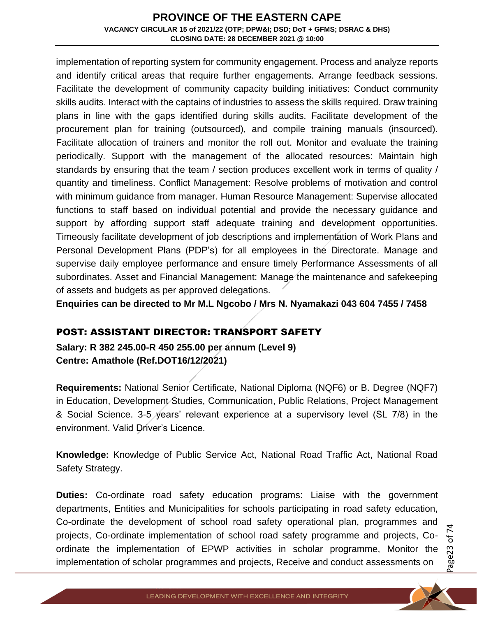implementation of reporting system for community engagement. Process and analyze reports and identify critical areas that require further engagements. Arrange feedback sessions. Facilitate the development of community capacity building initiatives: Conduct community skills audits. Interact with the captains of industries to assess the skills required. Draw training plans in line with the gaps identified during skills audits. Facilitate development of the procurement plan for training (outsourced), and compile training manuals (insourced). Facilitate allocation of trainers and monitor the roll out. Monitor and evaluate the training periodically. Support with the management of the allocated resources: Maintain high standards by ensuring that the team / section produces excellent work in terms of quality / quantity and timeliness. Conflict Management: Resolve problems of motivation and control with minimum guidance from manager. Human Resource Management: Supervise allocated functions to staff based on individual potential and provide the necessary guidance and support by affording support staff adequate training and development opportunities. Timeously facilitate development of job descriptions and implementation of Work Plans and Personal Development Plans (PDP's) for all employees in the Directorate. Manage and supervise daily employee performance and ensure timely Performance Assessments of all subordinates. Asset and Financial Management: Manage the maintenance and safekeeping of assets and budgets as per approved delegations.

**Enquiries can be directed to Mr M.L Ngcobo / Mrs N. Nyamakazi 043 604 7455 / 7458**

#### POST: ASSISTANT DIRECTOR: TRANSPORT SAFETY

**Salary: R 382 245.00-R 450 255.00 per annum (Level 9) Centre: Amathole (Ref.DOT16/12/2021)** 

**Requirements:** National Senior Certificate, National Diploma (NQF6) or B. Degree (NQF7) in Education, Development Studies, Communication, Public Relations, Project Management & Social Science. 3-5 years' relevant experience at a supervisory level (SL 7/8) in the environment. Valid Driver's Licence.

**Knowledge:** Knowledge of Public Service Act, National Road Traffic Act, National Road Safety Strategy.

**Duties:** Co-ordinate road safety education programs: Liaise with the government departments, Entities and Municipalities for schools participating in road safety education, Co-ordinate the development of school road safety operational plan, programmes and projects, Co-ordinate implementation of school road safety programme and projects, Coordinate the implementation of EPWP activities in scholar programme, Monitor the implementation of scholar programmes and projects, Receive and conduct assessments on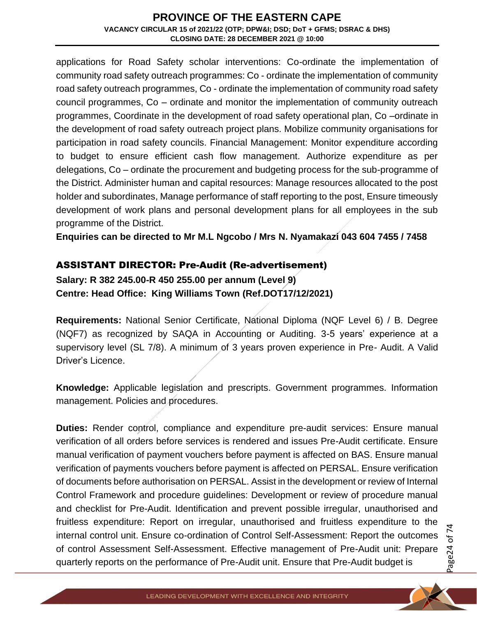applications for Road Safety scholar interventions: Co-ordinate the implementation of community road safety outreach programmes: Co - ordinate the implementation of community road safety outreach programmes, Co - ordinate the implementation of community road safety council programmes, Co – ordinate and monitor the implementation of community outreach programmes, Coordinate in the development of road safety operational plan, Co –ordinate in the development of road safety outreach project plans. Mobilize community organisations for participation in road safety councils. Financial Management: Monitor expenditure according to budget to ensure efficient cash flow management. Authorize expenditure as per delegations, Co – ordinate the procurement and budgeting process for the sub-programme of the District. Administer human and capital resources: Manage resources allocated to the post holder and subordinates, Manage performance of staff reporting to the post, Ensure timeously development of work plans and personal development plans for all employees in the sub programme of the District.

**Enquiries can be directed to Mr M.L Ngcobo / Mrs N. Nyamakazi 043 604 7455 / 7458**

### ASSISTANT DIRECTOR: Pre-Audit (Re-advertisement)

**Salary: R 382 245.00-R 450 255.00 per annum (Level 9) Centre: Head Office: King Williams Town (Ref.DOT17/12/2021)** 

**Requirements:** National Senior Certificate, National Diploma (NQF Level 6) / B. Degree (NQF7) as recognized by SAQA in Accounting or Auditing. 3-5 years' experience at a supervisory level (SL 7/8). A minimum of 3 years proven experience in Pre- Audit. A Valid Driver's Licence.

**Knowledge:** Applicable legislation and prescripts. Government programmes. Information management. Policies and procedures.

**Duties:** Render control, compliance and expenditure pre-audit services: Ensure manual verification of all orders before services is rendered and issues Pre-Audit certificate. Ensure manual verification of payment vouchers before payment is affected on BAS. Ensure manual verification of payments vouchers before payment is affected on PERSAL. Ensure verification of documents before authorisation on PERSAL. Assist in the development or review of Internal Control Framework and procedure guidelines: Development or review of procedure manual and checklist for Pre-Audit. Identification and prevent possible irregular, unauthorised and fruitless expenditure: Report on irregular, unauthorised and fruitless expenditure to the internal control unit. Ensure co-ordination of Control Self-Assessment: Report the outcomes of control Assessment Self-Assessment. Effective management of Pre-Audit unit: Prepare quarterly reports on the performance of Pre-Audit unit. Ensure that Pre-Audit budget is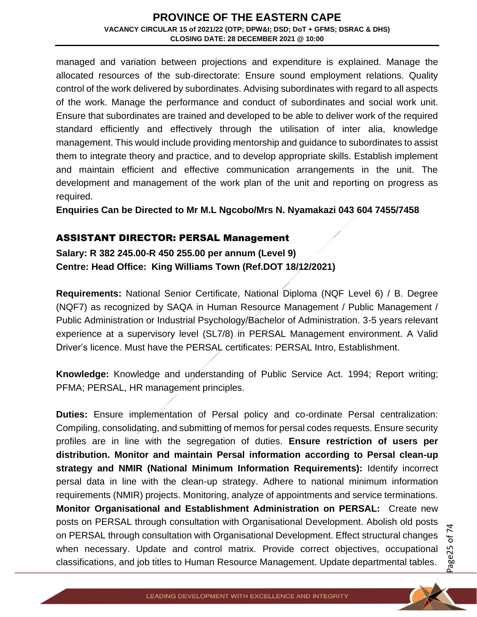managed and variation between projections and expenditure is explained. Manage the allocated resources of the sub-directorate: Ensure sound employment relations. Quality control of the work delivered by subordinates. Advising subordinates with regard to all aspects of the work. Manage the performance and conduct of subordinates and social work unit. Ensure that subordinates are trained and developed to be able to deliver work of the required standard efficiently and effectively through the utilisation of inter alia, knowledge management. This would include providing mentorship and guidance to subordinates to assist them to integrate theory and practice, and to develop appropriate skills. Establish implement and maintain efficient and effective communication arrangements in the unit. The development and management of the work plan of the unit and reporting on progress as required.

**Enquiries Can be Directed to Mr M.L Ngcobo/Mrs N. Nyamakazi 043 604 7455/7458**

#### ASSISTANT DIRECTOR: PERSAL Management

**Salary: R 382 245.00-R 450 255.00 per annum (Level 9) Centre: Head Office: King Williams Town (Ref.DOT 18/12/2021)** 

**Requirements:** National Senior Certificate, National Diploma (NQF Level 6) / B. Degree (NQF7) as recognized by SAQA in Human Resource Management / Public Management / Public Administration or Industrial Psychology/Bachelor of Administration. 3-5 years relevant experience at a supervisory level (SL7/8) in PERSAL Management environment. A Valid Driver's licence. Must have the PERSAL certificates: PERSAL Intro, Establishment.

**Knowledge:** Knowledge and understanding of Public Service Act. 1994; Report writing; PFMA; PERSAL, HR management principles.

**Duties:** Ensure implementation of Persal policy and co-ordinate Persal centralization: Compiling, consolidating, and submitting of memos for persal codes requests. Ensure security profiles are in line with the segregation of duties. **Ensure restriction of users per distribution. Monitor and maintain Persal information according to Persal clean-up strategy and NMIR (National Minimum Information Requirements):** Identify incorrect persal data in line with the clean-up strategy. Adhere to national minimum information requirements (NMIR) projects. Monitoring, analyze of appointments and service terminations. **Monitor Organisational and Establishment Administration on PERSAL:** Create new posts on PERSAL through consultation with Organisational Development. Abolish old posts on PERSAL through consultation with Organisational Development. Effect structural changes when necessary. Update and control matrix. Provide correct objectives, occupational classifications, and job titles to Human Resource Management. Update departmental tables.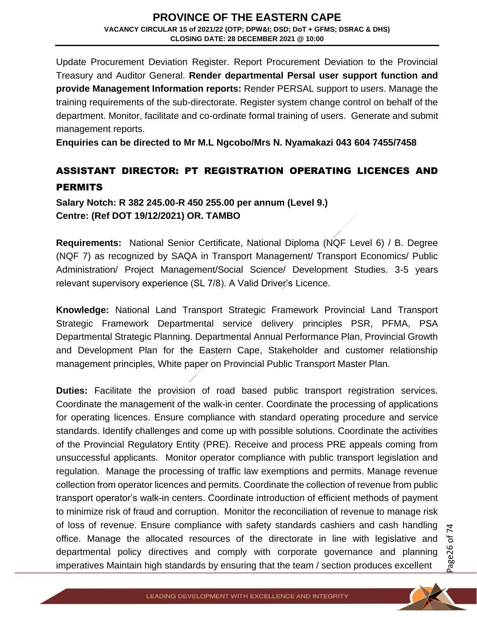Update Procurement Deviation Register. Report Procurement Deviation to the Provincial Treasury and Auditor General. **Render departmental Persal user support function and provide Management Information reports:** Render PERSAL support to users. Manage the training requirements of the sub-directorate. Register system change control on behalf of the department. Monitor, facilitate and co-ordinate formal training of users. Generate and submit management reports.

**Enquiries can be directed to Mr M.L Ngcobo/Mrs N. Nyamakazi 043 604 7455/7458**

## ASSISTANT DIRECTOR: PT REGISTRATION OPERATING LICENCES AND **PERMITS**

**Salary Notch: R 382 245.00-R 450 255.00 per annum (Level 9.) Centre: (Ref DOT 19/12/2021) OR. TAMBO**

**Requirements:** National Senior Certificate, National Diploma (NQF Level 6) / B. Degree (NQF 7) as recognized by SAQA in Transport Management/ Transport Economics/ Public Administration/ Project Management/Social Science/ Development Studies. 3-5 years relevant supervisory experience (SL 7/8). A Valid Driver's Licence.

**Knowledge:** National Land Transport Strategic Framework Provincial Land Transport Strategic Framework Departmental service delivery principles PSR, PFMA, PSA Departmental Strategic Planning. Departmental Annual Performance Plan, Provincial Growth and Development Plan for the Eastern Cape, Stakeholder and customer relationship management principles, White paper on Provincial Public Transport Master Plan.

**Duties:** Facilitate the provision of road based public transport registration services. Coordinate the management of the walk-in center. Coordinate the processing of applications for operating licences. Ensure compliance with standard operating procedure and service standards. Identify challenges and come up with possible solutions. Coordinate the activities of the Provincial Regulatory Entity (PRE). Receive and process PRE appeals coming from unsuccessful applicants. Monitor operator compliance with public transport legislation and regulation. Manage the processing of traffic law exemptions and permits. Manage revenue collection from operator licences and permits. Coordinate the collection of revenue from public transport operator's walk-in centers. Coordinate introduction of efficient methods of payment to minimize risk of fraud and corruption. Monitor the reconciliation of revenue to manage risk of loss of revenue. Ensure compliance with safety standards cashiers and cash handling office. Manage the allocated resources of the directorate in line with legislative and departmental policy directives and comply with corporate governance and planning imperatives Maintain high standards by ensuring that the team / section produces excellent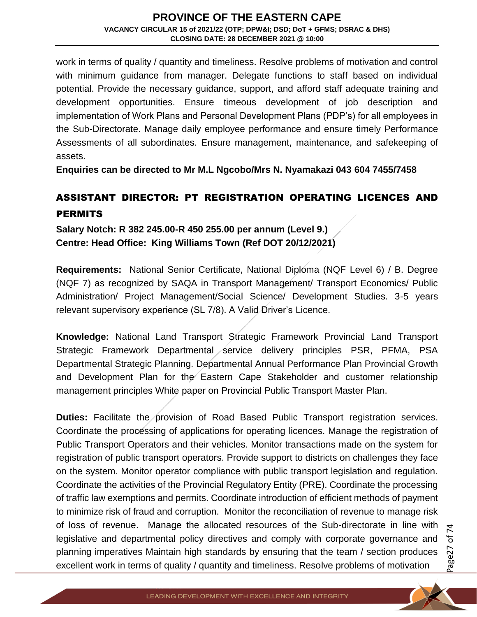work in terms of quality / quantity and timeliness. Resolve problems of motivation and control with minimum guidance from manager. Delegate functions to staff based on individual potential. Provide the necessary guidance, support, and afford staff adequate training and development opportunities. Ensure timeous development of job description and implementation of Work Plans and Personal Development Plans (PDP's) for all employees in the Sub-Directorate. Manage daily employee performance and ensure timely Performance Assessments of all subordinates. Ensure management, maintenance, and safekeeping of assets.

**Enquiries can be directed to Mr M.L Ngcobo/Mrs N. Nyamakazi 043 604 7455/7458**

## ASSISTANT DIRECTOR: PT REGISTRATION OPERATING LICENCES AND **PERMITS**

**Salary Notch: R 382 245.00-R 450 255.00 per annum (Level 9.) Centre: Head Office: King Williams Town (Ref DOT 20/12/2021)** 

**Requirements:** National Senior Certificate, National Diploma (NQF Level 6) / B. Degree (NQF 7) as recognized by SAQA in Transport Management/ Transport Economics/ Public Administration/ Project Management/Social Science/ Development Studies. 3-5 years relevant supervisory experience (SL 7/8). A Valid Driver's Licence.

**Knowledge:** National Land Transport Strategic Framework Provincial Land Transport Strategic Framework Departmental service delivery principles PSR, PFMA, PSA Departmental Strategic Planning. Departmental Annual Performance Plan Provincial Growth and Development Plan for the Eastern Cape Stakeholder and customer relationship management principles White paper on Provincial Public Transport Master Plan.

**Duties:** Facilitate the provision of Road Based Public Transport registration services. Coordinate the processing of applications for operating licences. Manage the registration of Public Transport Operators and their vehicles. Monitor transactions made on the system for registration of public transport operators. Provide support to districts on challenges they face on the system. Monitor operator compliance with public transport legislation and regulation. Coordinate the activities of the Provincial Regulatory Entity (PRE). Coordinate the processing of traffic law exemptions and permits. Coordinate introduction of efficient methods of payment to minimize risk of fraud and corruption. Monitor the reconciliation of revenue to manage risk of loss of revenue. Manage the allocated resources of the Sub-directorate in line with legislative and departmental policy directives and comply with corporate governance and planning imperatives Maintain high standards by ensuring that the team / section produces excellent work in terms of quality / quantity and timeliness. Resolve problems of motivation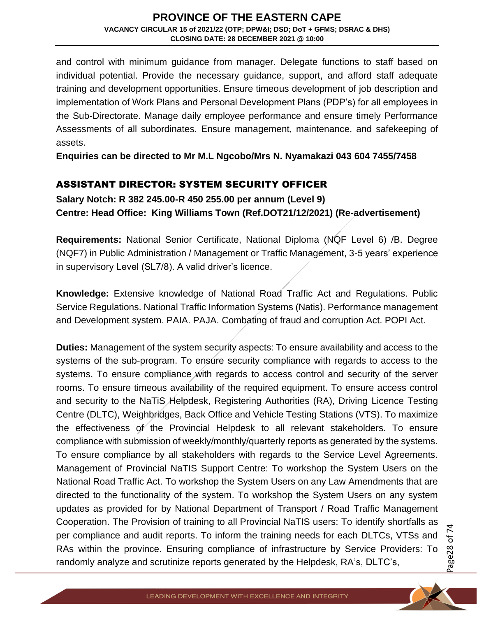and control with minimum guidance from manager. Delegate functions to staff based on individual potential. Provide the necessary guidance, support, and afford staff adequate training and development opportunities. Ensure timeous development of job description and implementation of Work Plans and Personal Development Plans (PDP's) for all employees in the Sub-Directorate. Manage daily employee performance and ensure timely Performance Assessments of all subordinates. Ensure management, maintenance, and safekeeping of assets.

**Enquiries can be directed to Mr M.L Ngcobo/Mrs N. Nyamakazi 043 604 7455/7458**

#### ASSISTANT DIRECTOR: SYSTEM SECURITY OFFICER

**Salary Notch: R 382 245.00-R 450 255.00 per annum (Level 9) Centre: Head Office: King Williams Town (Ref.DOT21/12/2021) (Re-advertisement)**

**Requirements:** National Senior Certificate, National Diploma (NQF Level 6) /B. Degree (NQF7) in Public Administration / Management or Traffic Management, 3-5 years' experience in supervisory Level (SL7/8). A valid driver's licence.

**Knowledge:** Extensive knowledge of National Road Traffic Act and Regulations. Public Service Regulations. National Traffic Information Systems (Natis). Performance management and Development system. PAIA. PAJA. Combating of fraud and corruption Act. POPI Act.

**Duties:** Management of the system security aspects: To ensure availability and access to the systems of the sub-program. To ensure security compliance with regards to access to the systems. To ensure compliance with regards to access control and security of the server rooms. To ensure timeous availability of the required equipment. To ensure access control and security to the NaTiS Helpdesk, Registering Authorities (RA), Driving Licence Testing Centre (DLTC), Weighbridges, Back Office and Vehicle Testing Stations (VTS). To maximize the effectiveness of the Provincial Helpdesk to all relevant stakeholders. To ensure compliance with submission of weekly/monthly/quarterly reports as generated by the systems. To ensure compliance by all stakeholders with regards to the Service Level Agreements. Management of Provincial NaTIS Support Centre: To workshop the System Users on the National Road Traffic Act. To workshop the System Users on any Law Amendments that are directed to the functionality of the system. To workshop the System Users on any system updates as provided for by National Department of Transport / Road Traffic Management Cooperation. The Provision of training to all Provincial NaTIS users: To identify shortfalls as per compliance and audit reports. To inform the training needs for each DLTCs, VTSs and RAs within the province. Ensuring compliance of infrastructure by Service Providers: To randomly analyze and scrutinize reports generated by the Helpdesk, RA's, DLTC's,

Page28 of 7 4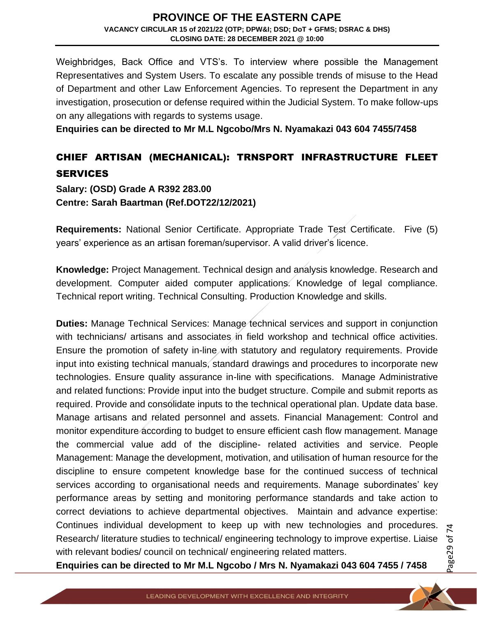Weighbridges, Back Office and VTS's. To interview where possible the Management Representatives and System Users. To escalate any possible trends of misuse to the Head of Department and other Law Enforcement Agencies. To represent the Department in any investigation, prosecution or defense required within the Judicial System. To make follow-ups on any allegations with regards to systems usage.

**Enquiries can be directed to Mr M.L Ngcobo/Mrs N. Nyamakazi 043 604 7455/7458**

# CHIEF ARTISAN (MECHANICAL): TRNSPORT INFRASTRUCTURE FLEET **SERVICES**

**Salary: (OSD) Grade A R392 283.00 Centre: Sarah Baartman (Ref.DOT22/12/2021)** 

**Requirements:** National Senior Certificate. Appropriate Trade Test Certificate. Five (5) years' experience as an artisan foreman/supervisor. A valid driver's licence.

**Knowledge:** Project Management. Technical design and analysis knowledge. Research and development. Computer aided computer applications. Knowledge of legal compliance. Technical report writing. Technical Consulting. Production Knowledge and skills.

**Duties:** Manage Technical Services: Manage technical services and support in conjunction with technicians/ artisans and associates in field workshop and technical office activities. Ensure the promotion of safety in-line with statutory and regulatory requirements. Provide input into existing technical manuals, standard drawings and procedures to incorporate new technologies. Ensure quality assurance in-line with specifications. Manage Administrative and related functions: Provide input into the budget structure. Compile and submit reports as required. Provide and consolidate inputs to the technical operational plan. Update data base. Manage artisans and related personnel and assets. Financial Management: Control and monitor expenditure according to budget to ensure efficient cash flow management. Manage the commercial value add of the discipline- related activities and service. People Management: Manage the development, motivation, and utilisation of human resource for the discipline to ensure competent knowledge base for the continued success of technical services according to organisational needs and requirements. Manage subordinates' key performance areas by setting and monitoring performance standards and take action to correct deviations to achieve departmental objectives. Maintain and advance expertise: Continues individual development to keep up with new technologies and procedures. Research/ literature studies to technical/ engineering technology to improve expertise. Liaise with relevant bodies/ council on technical/ engineering related matters.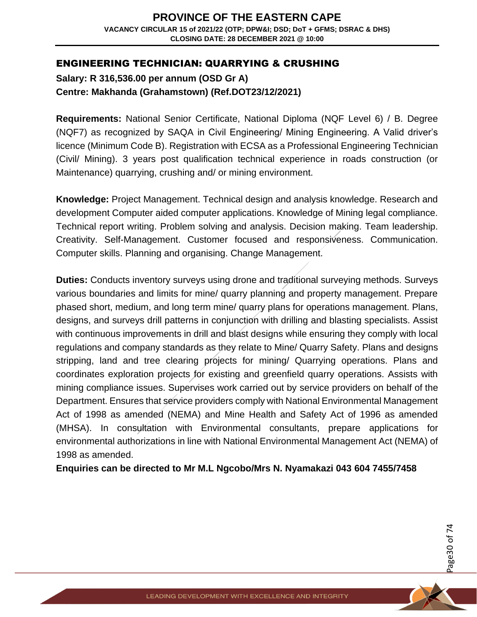#### ENGINEERING TECHNICIAN: QUARRYING & CRUSHING

**Salary: R 316,536.00 per annum (OSD Gr A) Centre: Makhanda (Grahamstown) (Ref.DOT23/12/2021)** 

**Requirements:** National Senior Certificate, National Diploma (NQF Level 6) / B. Degree (NQF7) as recognized by SAQA in Civil Engineering/ Mining Engineering. A Valid driver's licence (Minimum Code B). Registration with ECSA as a Professional Engineering Technician (Civil/ Mining). 3 years post qualification technical experience in roads construction (or Maintenance) quarrying, crushing and/ or mining environment.

**Knowledge:** Project Management. Technical design and analysis knowledge. Research and development Computer aided computer applications. Knowledge of Mining legal compliance. Technical report writing. Problem solving and analysis. Decision making. Team leadership. Creativity. Self-Management. Customer focused and responsiveness. Communication. Computer skills. Planning and organising. Change Management.

**Duties:** Conducts inventory surveys using drone and traditional surveying methods. Surveys various boundaries and limits for mine/ quarry planning and property management. Prepare phased short, medium, and long term mine/ quarry plans for operations management. Plans, designs, and surveys drill patterns in conjunction with drilling and blasting specialists. Assist with continuous improvements in drill and blast designs while ensuring they comply with local regulations and company standards as they relate to Mine/ Quarry Safety. Plans and designs stripping, land and tree clearing projects for mining/ Quarrying operations. Plans and coordinates exploration projects for existing and greenfield quarry operations. Assists with mining compliance issues. Supervises work carried out by service providers on behalf of the Department. Ensures that service providers comply with National Environmental Management Act of 1998 as amended (NEMA) and Mine Health and Safety Act of 1996 as amended (MHSA). In consultation with Environmental consultants, prepare applications for environmental authorizations in line with National Environmental Management Act (NEMA) of 1998 as amended.

**Enquiries can be directed to Mr M.L Ngcobo/Mrs N. Nyamakazi 043 604 7455/7458**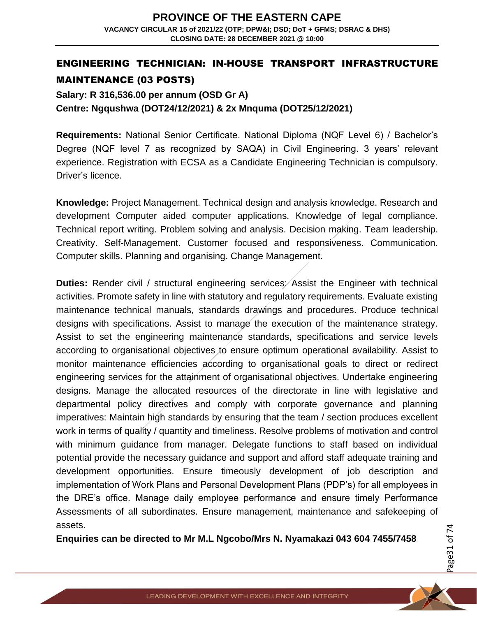## ENGINEERING TECHNICIAN: IN-HOUSE TRANSPORT INFRASTRUCTURE MAINTENANCE (03 POSTS)

**Salary: R 316,536.00 per annum (OSD Gr A) Centre: Ngqushwa (DOT24/12/2021) & 2x Mnquma (DOT25/12/2021)** 

**Requirements:** National Senior Certificate. National Diploma (NQF Level 6) / Bachelor's Degree (NQF level 7 as recognized by SAQA) in Civil Engineering. 3 years' relevant experience. Registration with ECSA as a Candidate Engineering Technician is compulsory. Driver's licence.

**Knowledge:** Project Management. Technical design and analysis knowledge. Research and development Computer aided computer applications. Knowledge of legal compliance. Technical report writing. Problem solving and analysis. Decision making. Team leadership. Creativity. Self-Management. Customer focused and responsiveness. Communication. Computer skills. Planning and organising. Change Management.

**Duties:** Render civil / structural engineering services: Assist the Engineer with technical activities. Promote safety in line with statutory and regulatory requirements. Evaluate existing maintenance technical manuals, standards drawings and procedures. Produce technical designs with specifications. Assist to manage the execution of the maintenance strategy. Assist to set the engineering maintenance standards, specifications and service levels according to organisational objectives to ensure optimum operational availability. Assist to monitor maintenance efficiencies according to organisational goals to direct or redirect engineering services for the attainment of organisational objectives. Undertake engineering designs. Manage the allocated resources of the directorate in line with legislative and departmental policy directives and comply with corporate governance and planning imperatives: Maintain high standards by ensuring that the team / section produces excellent work in terms of quality / quantity and timeliness. Resolve problems of motivation and control with minimum guidance from manager. Delegate functions to staff based on individual potential provide the necessary guidance and support and afford staff adequate training and development opportunities. Ensure timeously development of job description and implementation of Work Plans and Personal Development Plans (PDP's) for all employees in the DRE's office. Manage daily employee performance and ensure timely Performance Assessments of all subordinates. Ensure management, maintenance and safekeeping of assets.

**Enquiries can be directed to Mr M.L Ngcobo/Mrs N. Nyamakazi 043 604 7455/7458**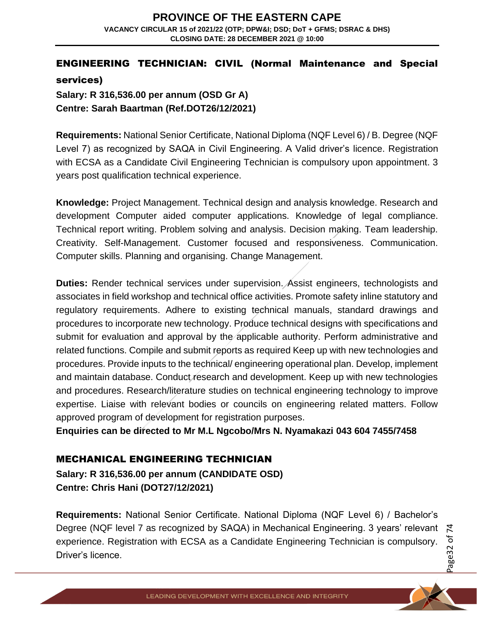# ENGINEERING TECHNICIAN: CIVIL (Normal Maintenance and Special

services)

**Salary: R 316,536.00 per annum (OSD Gr A) Centre: Sarah Baartman (Ref.DOT26/12/2021)**

**Requirements:** National Senior Certificate, National Diploma (NQF Level 6) / B. Degree (NQF Level 7) as recognized by SAQA in Civil Engineering. A Valid driver's licence. Registration with ECSA as a Candidate Civil Engineering Technician is compulsory upon appointment. 3 years post qualification technical experience.

**Knowledge:** Project Management. Technical design and analysis knowledge. Research and development Computer aided computer applications. Knowledge of legal compliance. Technical report writing. Problem solving and analysis. Decision making. Team leadership. Creativity. Self-Management. Customer focused and responsiveness. Communication. Computer skills. Planning and organising. Change Management.

**Duties:** Render technical services under supervision. Assist engineers, technologists and associates in field workshop and technical office activities. Promote safety inline statutory and regulatory requirements. Adhere to existing technical manuals, standard drawings and procedures to incorporate new technology. Produce technical designs with specifications and submit for evaluation and approval by the applicable authority. Perform administrative and related functions. Compile and submit reports as required Keep up with new technologies and procedures. Provide inputs to the technical/ engineering operational plan. Develop, implement and maintain database. Conduct research and development. Keep up with new technologies and procedures. Research/literature studies on technical engineering technology to improve expertise. Liaise with relevant bodies or councils on engineering related matters. Follow approved program of development for registration purposes.

**Enquiries can be directed to Mr M.L Ngcobo/Mrs N. Nyamakazi 043 604 7455/7458**

## MECHANICAL ENGINEERING TECHNICIAN

**Salary: R 316,536.00 per annum (CANDIDATE OSD) Centre: Chris Hani (DOT27/12/2021)**

**Requirements:** National Senior Certificate. National Diploma (NQF Level 6) / Bachelor's Degree (NQF level 7 as recognized by SAQA) in Mechanical Engineering. 3 years' relevant experience. Registration with ECSA as a Candidate Engineering Technician is compulsory. Driver's licence.

Page32 of 7 4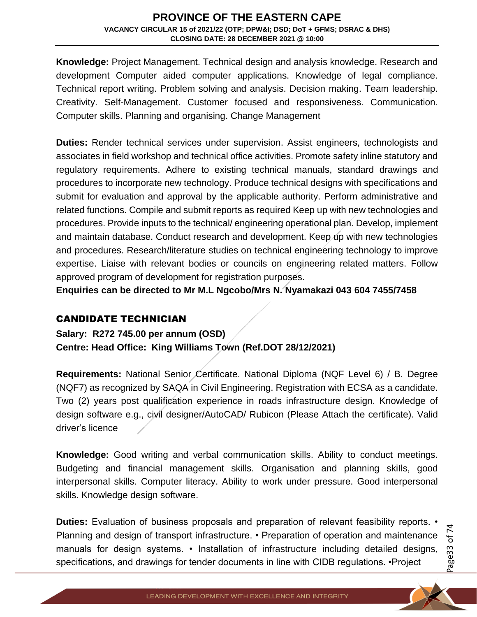**Knowledge:** Project Management. Technical design and analysis knowledge. Research and development Computer aided computer applications. Knowledge of legal compliance. Technical report writing. Problem solving and analysis. Decision making. Team leadership. Creativity. Self-Management. Customer focused and responsiveness. Communication. Computer skills. Planning and organising. Change Management

**Duties:** Render technical services under supervision. Assist engineers, technologists and associates in field workshop and technical office activities. Promote safety inline statutory and regulatory requirements. Adhere to existing technical manuals, standard drawings and procedures to incorporate new technology. Produce technical designs with specifications and submit for evaluation and approval by the applicable authority. Perform administrative and related functions. Compile and submit reports as required Keep up with new technologies and procedures. Provide inputs to the technical/ engineering operational plan. Develop, implement and maintain database. Conduct research and development. Keep up with new technologies and procedures. Research/literature studies on technical engineering technology to improve expertise. Liaise with relevant bodies or councils on engineering related matters. Follow approved program of development for registration purposes.

**Enquiries can be directed to Mr M.L Ngcobo/Mrs N. Nyamakazi 043 604 7455/7458**

#### CANDIDATE TECHNICIAN

**Salary: R272 745.00 per annum (OSD) Centre: Head Office: King Williams Town (Ref.DOT 28/12/2021)** 

**Requirements:** National Senior Certificate. National Diploma (NQF Level 6) / B. Degree (NQF7) as recognized by SAQA in Civil Engineering. Registration with ECSA as a candidate. Two (2) years post qualification experience in roads infrastructure design. Knowledge of design software e.g., civil designer/AutoCAD/ Rubicon (Please Attach the certificate). Valid driver's licence

**Knowledge:** Good writing and verbal communication skills. Ability to conduct meetings. Budgeting and financial management skills. Organisation and planning skiIls, good interpersonal skills. Computer literacy. Ability to work under pressure. Good interpersonal skills. Knowledge design software.

**Duties:** Evaluation of business proposals and preparation of relevant feasibility reports. • Planning and design of transport infrastructure. • Preparation of operation and maintenance manuals for design systems. • Installation of infrastructure including detailed designs, specifications, and drawings for tender documents in line with CIDB regulations. •Project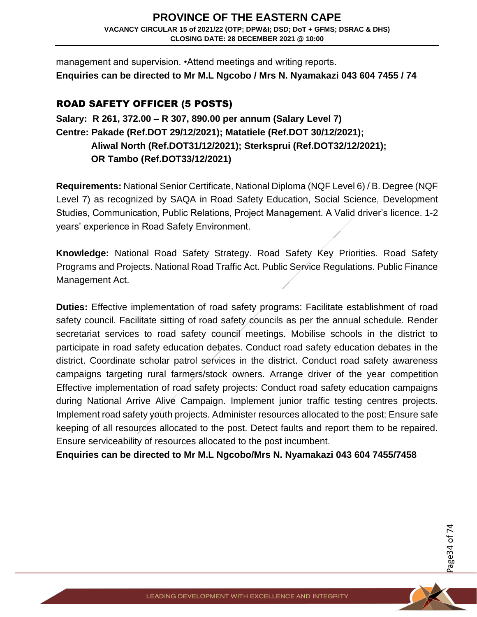management and supervision. •Attend meetings and writing reports. **Enquiries can be directed to Mr M.L Ngcobo / Mrs N. Nyamakazi 043 604 7455 / 74** 

### ROAD SAFETY OFFICER (5 POSTS)

## **Salary: R 261, 372.00 – R 307, 890.00 per annum (Salary Level 7) Centre: Pakade (Ref.DOT 29/12/2021); Matatiele (Ref.DOT 30/12/2021); Aliwal North (Ref.DOT31/12/2021); Sterksprui (Ref.DOT32/12/2021); OR Tambo (Ref.DOT33/12/2021)**

**Requirements:** National Senior Certificate, National Diploma (NQF Level 6) / B. Degree (NQF Level 7) as recognized by SAQA in Road Safety Education, Social Science, Development Studies, Communication, Public Relations, Project Management. A Valid driver's licence. 1-2 years' experience in Road Safety Environment.

**Knowledge:** National Road Safety Strategy. Road Safety Key Priorities. Road Safety Programs and Projects. National Road Traffic Act. Public Service Regulations. Public Finance Management Act.

**Duties:** Effective implementation of road safety programs: Facilitate establishment of road safety council. Facilitate sitting of road safety councils as per the annual schedule. Render secretariat services to road safety council meetings. Mobilise schools in the district to participate in road safety education debates. Conduct road safety education debates in the district. Coordinate scholar patrol services in the district. Conduct road safety awareness campaigns targeting rural farmers/stock owners. Arrange driver of the year competition Effective implementation of road safety projects: Conduct road safety education campaigns during National Arrive Alive Campaign. Implement junior traffic testing centres projects. Implement road safety youth projects. Administer resources allocated to the post: Ensure safe keeping of all resources allocated to the post. Detect faults and report them to be repaired. Ensure serviceability of resources allocated to the post incumbent.

**Enquiries can be directed to Mr M.L Ngcobo/Mrs N. Nyamakazi 043 604 7455/7458**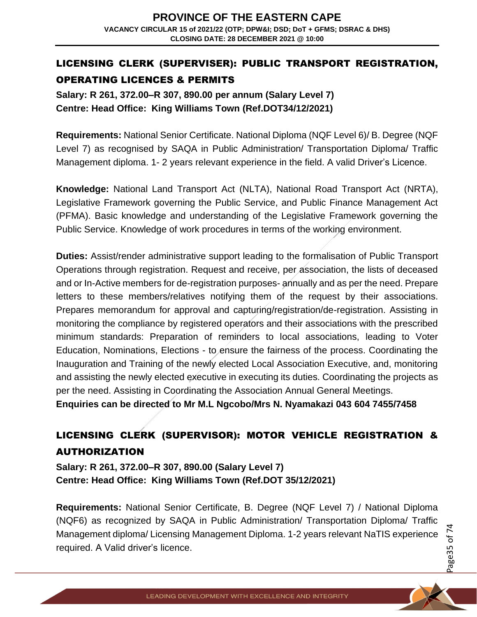## LICENSING CLERK (SUPERVISER): PUBLIC TRANSPORT REGISTRATION, OPERATING LICENCES & PERMITS

**Salary: R 261, 372.00–R 307, 890.00 per annum (Salary Level 7) Centre: Head Office: King Williams Town (Ref.DOT34/12/2021)** 

**Requirements:** National Senior Certificate. National Diploma (NQF Level 6)/ B. Degree (NQF Level 7) as recognised by SAQA in Public Administration/ Transportation Diploma/ Traffic Management diploma. 1- 2 years relevant experience in the field. A valid Driver's Licence.

**Knowledge:** National Land Transport Act (NLTA), National Road Transport Act (NRTA), Legislative Framework governing the Public Service, and Public Finance Management Act (PFMA). Basic knowledge and understanding of the Legislative Framework governing the Public Service. Knowledge of work procedures in terms of the working environment.

**Duties:** Assist/render administrative support leading to the formalisation of Public Transport Operations through registration. Request and receive, per association, the lists of deceased and or In-Active members for de-registration purposes- annually and as per the need. Prepare letters to these members/relatives notifying them of the request by their associations. Prepares memorandum for approval and capturing/registration/de-registration. Assisting in monitoring the compliance by registered operators and their associations with the prescribed minimum standards: Preparation of reminders to local associations, leading to Voter Education, Nominations, Elections - to ensure the fairness of the process. Coordinating the Inauguration and Training of the newly elected Local Association Executive, and, monitoring and assisting the newly elected executive in executing its duties. Coordinating the projects as per the need. Assisting in Coordinating the Association Annual General Meetings.

**Enquiries can be directed to Mr M.L Ngcobo/Mrs N. Nyamakazi 043 604 7455/7458**

# LICENSING CLERK (SUPERVISOR): MOTOR VEHICLE REGISTRATION & AUTHORIZATION

**Salary: R 261, 372.00–R 307, 890.00 (Salary Level 7) Centre: Head Office: King Williams Town (Ref.DOT 35/12/2021)** 

**Requirements:** National Senior Certificate, B. Degree (NQF Level 7) / National Diploma (NQF6) as recognized by SAQA in Public Administration/ Transportation Diploma/ Traffic Management diploma/ Licensing Management Diploma. 1-2 years relevant NaTIS experience required. A Valid driver's licence.

Page35 of 7 4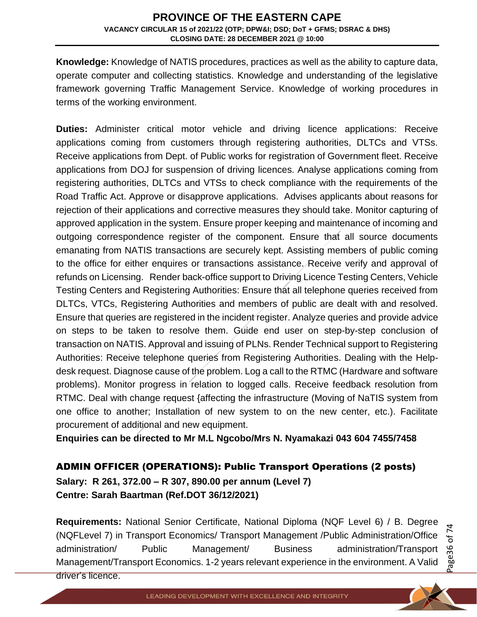**Knowledge:** Knowledge of NATIS procedures, practices as well as the ability to capture data, operate computer and collecting statistics. Knowledge and understanding of the legislative framework governing Traffic Management Service. Knowledge of working procedures in terms of the working environment.

**Duties:** Administer critical motor vehicle and driving licence applications: Receive applications coming from customers through registering authorities, DLTCs and VTSs. Receive applications from Dept. of Public works for registration of Government fleet. Receive applications from DOJ for suspension of driving licences. Analyse applications coming from registering authorities, DLTCs and VTSs to check compliance with the requirements of the Road Traffic Act. Approve or disapprove applications. Advises applicants about reasons for rejection of their applications and corrective measures they should take. Monitor capturing of approved application in the system. Ensure proper keeping and maintenance of incoming and outgoing correspondence register of the component. Ensure that all source documents emanating from NATIS transactions are securely kept. Assisting members of public coming to the office for either enquires or transactions assistance. Receive verify and approval of refunds on Licensing. Render back-office support to Driving Licence Testing Centers, Vehicle Testing Centers and Registering Authorities: Ensure that all telephone queries received from DLTCs, VTCs, Registering Authorities and members of public are dealt with and resolved. Ensure that queries are registered in the incident register. Analyze queries and provide advice on steps to be taken to resolve them. Guide end user on step-by-step conclusion of transaction on NATIS. Approval and issuing of PLNs. Render Technical support to Registering Authorities: Receive telephone queries from Registering Authorities. Dealing with the Helpdesk request. Diagnose cause of the problem. Log a call to the RTMC (Hardware and software problems). Monitor progress in relation to logged calls. Receive feedback resolution from RTMC. Deal with change request {affecting the infrastructure (Moving of NaTIS system from one office to another; Installation of new system to on the new center, etc.). Facilitate procurement of additional and new equipment.

**Enquiries can be directed to Mr M.L Ngcobo/Mrs N. Nyamakazi 043 604 7455/7458**

#### ADMIN OFFICER (OPERATIONS): Public Transport Operations (2 posts)

**Salary: R 261, 372.00 – R 307, 890.00 per annum (Level 7) Centre: Sarah Baartman (Ref.DOT 36/12/2021)** 

**Requirements:** National Senior Certificate, National Diploma (NQF Level 6) / B. Degree (NQFLevel 7) in Transport Economics/ Transport Management /Public Administration/Office administration/ Public Management/ Business administration/Transport Management/Transport Economics. 1-2 years relevant experience in the environment. A Valid driver's licence.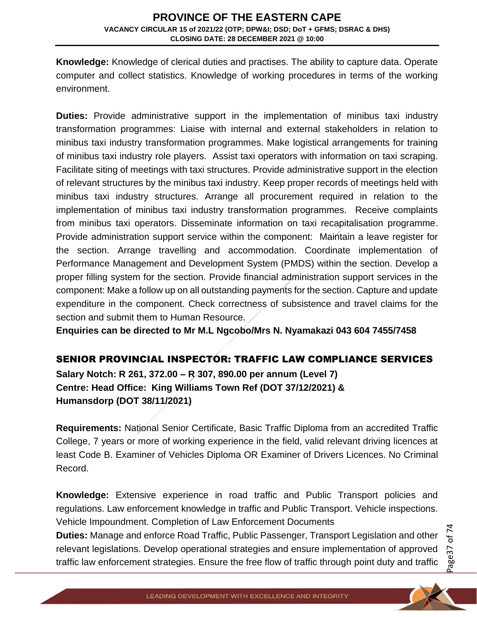**Knowledge:** Knowledge of clerical duties and practises. The ability to capture data. Operate computer and collect statistics. Knowledge of working procedures in terms of the working environment.

**Duties:** Provide administrative support in the implementation of minibus taxi industry transformation programmes: Liaise with internal and external stakeholders in relation to minibus taxi industry transformation programmes. Make logistical arrangements for training of minibus taxi industry role players. Assist taxi operators with information on taxi scraping. Facilitate siting of meetings with taxi structures. Provide administrative support in the election of relevant structures by the minibus taxi industry. Keep proper records of meetings held with minibus taxi industry structures. Arrange all procurement required in relation to the implementation of minibus taxi industry transformation programmes. Receive complaints from minibus taxi operators. Disseminate information on taxi recapitalisation programme. Provide administration support service within the component: Maintain a leave register for the section. Arrange travelling and accommodation. Coordinate implementation of Performance Management and Development System (PMDS) within the section. Develop a proper filling system for the section. Provide financial administration support services in the component: Make a follow up on all outstanding payments for the section. Capture and update expenditure in the component. Check correctness of subsistence and travel claims for the section and submit them to Human Resource.

**Enquiries can be directed to Mr M.L Ngcobo/Mrs N. Nyamakazi 043 604 7455/7458**

## SENIOR PROVINCIAL INSPECTOR: TRAFFIC LAW COMPLIANCE SERVICES

**Salary Notch: R 261, 372.00 – R 307, 890.00 per annum (Level 7) Centre: Head Office: King Williams Town Ref (DOT 37/12/2021) & Humansdorp (DOT 38/11/2021)** 

**Requirements:** National Senior Certificate, Basic Traffic Diploma from an accredited Traffic College, 7 years or more of working experience in the field, valid relevant driving licences at least Code B. Examiner of Vehicles Diploma OR Examiner of Drivers Licences. No Criminal Record.

**Knowledge:** Extensive experience in road traffic and Public Transport policies and regulations. Law enforcement knowledge in traffic and Public Transport. Vehicle inspections. Vehicle Impoundment. Completion of Law Enforcement Documents

**Duties:** Manage and enforce Road Traffic, Public Passenger, Transport Legislation and other relevant legislations. Develop operational strategies and ensure implementation of approved traffic law enforcement strategies. Ensure the free flow of traffic through point duty and traffic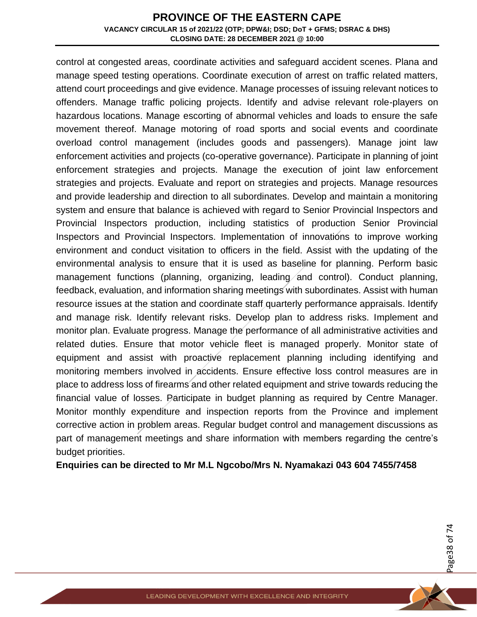control at congested areas, coordinate activities and safeguard accident scenes. Plana and manage speed testing operations. Coordinate execution of arrest on traffic related matters, attend court proceedings and give evidence. Manage processes of issuing relevant notices to offenders. Manage traffic policing projects. Identify and advise relevant role-players on hazardous locations. Manage escorting of abnormal vehicles and loads to ensure the safe movement thereof. Manage motoring of road sports and social events and coordinate overload control management (includes goods and passengers). Manage joint law enforcement activities and projects (co-operative governance). Participate in planning of joint enforcement strategies and projects. Manage the execution of joint law enforcement strategies and projects. Evaluate and report on strategies and projects. Manage resources and provide leadership and direction to all subordinates. Develop and maintain a monitoring system and ensure that balance is achieved with regard to Senior Provincial Inspectors and Provincial Inspectors production, including statistics of production Senior Provincial Inspectors and Provincial Inspectors. Implementation of innovations to improve working environment and conduct visitation to officers in the field. Assist with the updating of the environmental analysis to ensure that it is used as baseline for planning. Perform basic management functions (planning, organizing, leading and control). Conduct planning, feedback, evaluation, and information sharing meetings with subordinates. Assist with human resource issues at the station and coordinate staff quarterly performance appraisals. Identify and manage risk. Identify relevant risks. Develop plan to address risks. Implement and monitor plan. Evaluate progress. Manage the performance of all administrative activities and related duties. Ensure that motor vehicle fleet is managed properly. Monitor state of equipment and assist with proactive replacement planning including identifying and monitoring members involved in accidents. Ensure effective loss control measures are in place to address loss of firearms and other related equipment and strive towards reducing the financial value of losses. Participate in budget planning as required by Centre Manager. Monitor monthly expenditure and inspection reports from the Province and implement corrective action in problem areas. Regular budget control and management discussions as part of management meetings and share information with members regarding the centre's budget priorities.

**Enquiries can be directed to Mr M.L Ngcobo/Mrs N. Nyamakazi 043 604 7455/7458**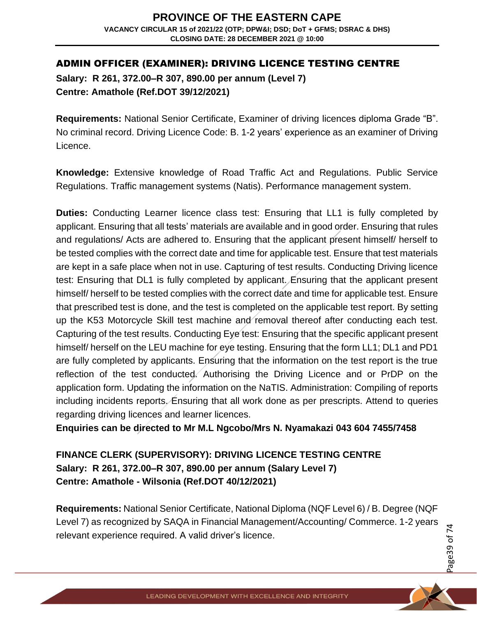## ADMIN OFFICER (EXAMINER): DRIVING LICENCE TESTING CENTRE

**Salary: R 261, 372.00–R 307, 890.00 per annum (Level 7) Centre: Amathole (Ref.DOT 39/12/2021)** 

**Requirements:** National Senior Certificate, Examiner of driving licences diploma Grade "B". No criminal record. Driving Licence Code: B. 1-2 years' experience as an examiner of Driving Licence.

**Knowledge:** Extensive knowledge of Road Traffic Act and Regulations. Public Service Regulations. Traffic management systems (Natis). Performance management system.

**Duties:** Conducting Learner licence class test: Ensuring that LL1 is fully completed by applicant. Ensuring that all tests' materials are available and in good order. Ensuring that rules and regulations/ Acts are adhered to. Ensuring that the applicant present himself/ herself to be tested complies with the correct date and time for applicable test. Ensure that test materials are kept in a safe place when not in use. Capturing of test results. Conducting Driving licence test: Ensuring that DL1 is fully completed by applicant. Ensuring that the applicant present himself/ herself to be tested complies with the correct date and time for applicable test. Ensure that prescribed test is done, and the test is completed on the applicable test report. By setting up the K53 Motorcycle Skill test machine and removal thereof after conducting each test. Capturing of the test results. Conducting Eye test: Ensuring that the specific applicant present himself/ herself on the LEU machine for eye testing. Ensuring that the form LL1; DL1 and PD1 are fully completed by applicants. Ensuring that the information on the test report is the true reflection of the test conducted. Authorising the Driving Licence and or PrDP on the application form. Updating the information on the NaTIS. Administration: Compiling of reports including incidents reports. Ensuring that all work done as per prescripts. Attend to queries regarding driving licences and learner licences.

**Enquiries can be directed to Mr M.L Ngcobo/Mrs N. Nyamakazi 043 604 7455/7458**

**FINANCE CLERK (SUPERVISORY): DRIVING LICENCE TESTING CENTRE Salary: R 261, 372.00–R 307, 890.00 per annum (Salary Level 7) Centre: Amathole - Wilsonia (Ref.DOT 40/12/2021)** 

**Requirements:** National Senior Certificate, National Diploma (NQF Level 6) / B. Degree (NQF Level 7) as recognized by SAQA in Financial Management/Accounting/ Commerce. 1-2 years relevant experience required. A valid driver's licence.

Page39 of 7 4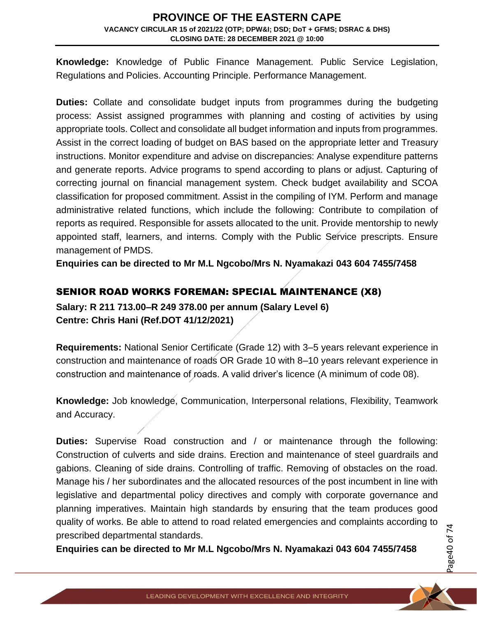**Knowledge:** Knowledge of Public Finance Management. Public Service Legislation, Regulations and Policies. Accounting Principle. Performance Management.

**Duties:** Collate and consolidate budget inputs from programmes during the budgeting process: Assist assigned programmes with planning and costing of activities by using appropriate tools. Collect and consolidate all budget information and inputs from programmes. Assist in the correct loading of budget on BAS based on the appropriate letter and Treasury instructions. Monitor expenditure and advise on discrepancies: Analyse expenditure patterns and generate reports. Advice programs to spend according to plans or adjust. Capturing of correcting journal on financial management system. Check budget availability and SCOA classification for proposed commitment. Assist in the compiling of IYM. Perform and manage administrative related functions, which include the following: Contribute to compilation of reports as required. Responsible for assets allocated to the unit. Provide mentorship to newly appointed staff, learners, and interns. Comply with the Public Service prescripts. Ensure management of PMDS.

**Enquiries can be directed to Mr M.L Ngcobo/Mrs N. Nyamakazi 043 604 7455/7458**

## SENIOR ROAD WORKS FOREMAN: SPECIAL MAINTENANCE (X8)

**Salary: R 211 713.00–R 249 378.00 per annum (Salary Level 6) Centre: Chris Hani (Ref.DOT 41/12/2021)** 

**Requirements:** National Senior Certificate (Grade 12) with 3–5 years relevant experience in construction and maintenance of roads OR Grade 10 with 8–10 years relevant experience in construction and maintenance of roads. A valid driver's licence (A minimum of code 08).

**Knowledge:** Job knowledge, Communication, Interpersonal relations, Flexibility, Teamwork and Accuracy.

**Duties:** Supervise Road construction and / or maintenance through the following: Construction of culverts and side drains. Erection and maintenance of steel guardrails and gabions. Cleaning of side drains. Controlling of traffic. Removing of obstacles on the road. Manage his / her subordinates and the allocated resources of the post incumbent in line with legislative and departmental policy directives and comply with corporate governance and planning imperatives. Maintain high standards by ensuring that the team produces good quality of works. Be able to attend to road related emergencies and complaints according to prescribed departmental standards.

**Enquiries can be directed to Mr M.L Ngcobo/Mrs N. Nyamakazi 043 604 7455/7458**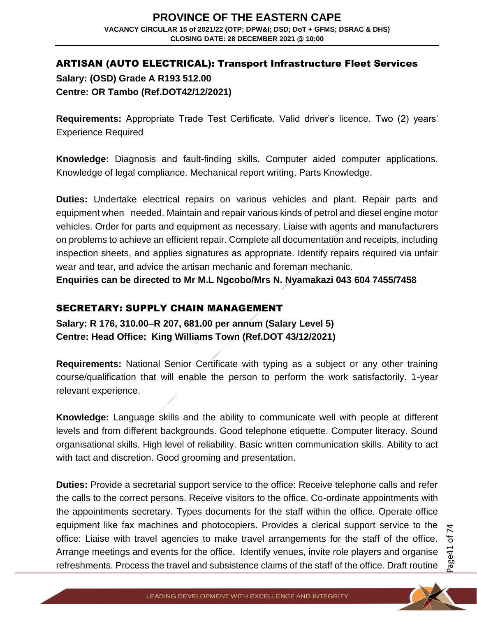## ARTISAN (AUTO ELECTRICAL): Transport Infrastructure Fleet Services **Salary: (OSD) Grade A R193 512.00 Centre: OR Tambo (Ref.DOT42/12/2021)**

**Requirements:** Appropriate Trade Test Certificate. Valid driver's licence. Two (2) years' Experience Required

**Knowledge:** Diagnosis and fault-finding skills. Computer aided computer applications. Knowledge of legal compliance. Mechanical report writing. Parts Knowledge.

**Duties:** Undertake electrical repairs on various vehicles and plant. Repair parts and equipment when needed. Maintain and repair various kinds of petrol and diesel engine motor vehicles. Order for parts and equipment as necessary. Liaise with agents and manufacturers on problems to achieve an efficient repair. Complete all documentation and receipts, including inspection sheets, and applies signatures as appropriate. Identify repairs required via unfair wear and tear, and advice the artisan mechanic and foreman mechanic.

**Enquiries can be directed to Mr M.L Ngcobo/Mrs N. Nyamakazi 043 604 7455/7458**

## SECRETARY: SUPPLY CHAIN MANAGEMENT

**Salary: R 176, 310.00–R 207, 681.00 per annum (Salary Level 5) Centre: Head Office: King Williams Town (Ref.DOT 43/12/2021)** 

**Requirements:** National Senior Certificate with typing as a subject or any other training course/qualification that will enable the person to perform the work satisfactorily. 1-year relevant experience.

**Knowledge:** Language skills and the ability to communicate well with people at different levels and from different backgrounds. Good telephone etiquette. Computer literacy. Sound organisational skills. High level of reliability. Basic written communication skills. Ability to act with tact and discretion. Good grooming and presentation.

**Duties:** Provide a secretarial support service to the office: Receive telephone calls and refer the calls to the correct persons. Receive visitors to the office. Co-ordinate appointments with the appointments secretary. Types documents for the staff within the office. Operate office equipment like fax machines and photocopiers. Provides a clerical support service to the office: Liaise with travel agencies to make travel arrangements for the staff of the office. Arrange meetings and events for the office. Identify venues, invite role players and organise refreshments. Process the travel and subsistence claims of the staff of the office. Draft routine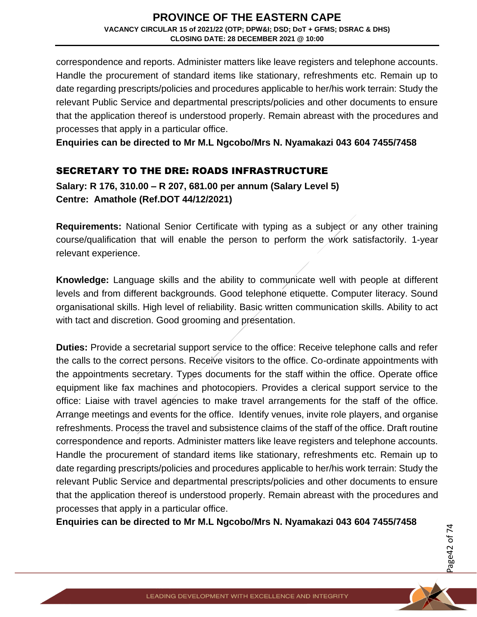correspondence and reports. Administer matters like leave registers and telephone accounts. Handle the procurement of standard items like stationary, refreshments etc. Remain up to date regarding prescripts/policies and procedures applicable to her/his work terrain: Study the relevant Public Service and departmental prescripts/policies and other documents to ensure that the application thereof is understood properly. Remain abreast with the procedures and processes that apply in a particular office.

**Enquiries can be directed to Mr M.L Ngcobo/Mrs N. Nyamakazi 043 604 7455/7458**

## SECRETARY TO THE DRE: ROADS INFRASTRUCTURE

**Salary: R 176, 310.00 – R 207, 681.00 per annum (Salary Level 5) Centre: Amathole (Ref.DOT 44/12/2021)** 

**Requirements:** National Senior Certificate with typing as a subject or any other training course/qualification that will enable the person to perform the work satisfactorily. 1-year relevant experience.

**Knowledge:** Language skills and the ability to communicate well with people at different levels and from different backgrounds. Good telephone etiquette. Computer literacy. Sound organisational skills. High level of reliability. Basic written communication skills. Ability to act with tact and discretion. Good grooming and presentation.

**Duties:** Provide a secretarial support service to the office: Receive telephone calls and refer the calls to the correct persons. Receive visitors to the office. Co-ordinate appointments with the appointments secretary. Types documents for the staff within the office. Operate office equipment like fax machines and photocopiers. Provides a clerical support service to the office: Liaise with travel agencies to make travel arrangements for the staff of the office. Arrange meetings and events for the office. Identify venues, invite role players, and organise refreshments. Process the travel and subsistence claims of the staff of the office. Draft routine correspondence and reports. Administer matters like leave registers and telephone accounts. Handle the procurement of standard items like stationary, refreshments etc. Remain up to date regarding prescripts/policies and procedures applicable to her/his work terrain: Study the relevant Public Service and departmental prescripts/policies and other documents to ensure that the application thereof is understood properly. Remain abreast with the procedures and processes that apply in a particular office.

**Enquiries can be directed to Mr M.L Ngcobo/Mrs N. Nyamakazi 043 604 7455/7458**

Page42 of 7 4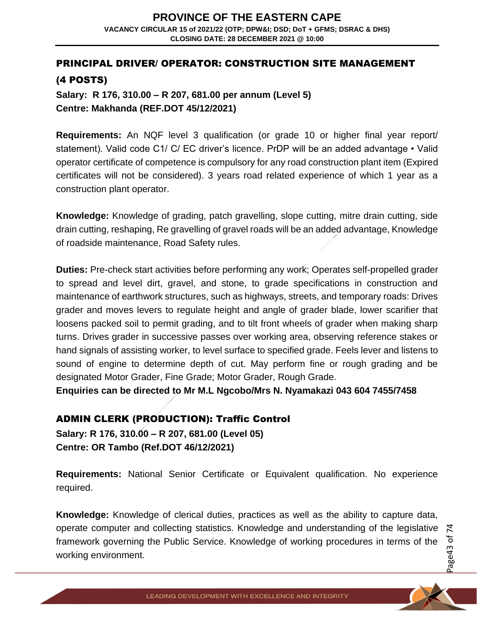## PRINCIPAL DRIVER/ OPERATOR: CONSTRUCTION SITE MANAGEMENT (4 POSTS)

**Salary: R 176, 310.00 – R 207, 681.00 per annum (Level 5) Centre: Makhanda (REF.DOT 45/12/2021)** 

**Requirements:** An NQF level 3 qualification (or grade 10 or higher final year report/ statement). Valid code C1/ C/ EC driver's licence. PrDP will be an added advantage • Valid operator certificate of competence is compulsory for any road construction plant item (Expired certificates will not be considered). 3 years road related experience of which 1 year as a construction plant operator.

**Knowledge:** Knowledge of grading, patch gravelling, slope cutting, mitre drain cutting, side drain cutting, reshaping, Re gravelling of gravel roads will be an added advantage, Knowledge of roadside maintenance, Road Safety rules.

**Duties:** Pre-check start activities before performing any work; Operates self-propelled grader to spread and level dirt, gravel, and stone, to grade specifications in construction and maintenance of earthwork structures, such as highways, streets, and temporary roads: Drives grader and moves levers to regulate height and angle of grader blade, lower scarifier that loosens packed soil to permit grading, and to tilt front wheels of grader when making sharp turns. Drives grader in successive passes over working area, observing reference stakes or hand signals of assisting worker, to level surface to specified grade. Feels lever and listens to sound of engine to determine depth of cut. May perform fine or rough grading and be designated Motor Grader, Fine Grade; Motor Grader, Rough Grade.

**Enquiries can be directed to Mr M.L Ngcobo/Mrs N. Nyamakazi 043 604 7455/7458**

## ADMIN CLERK (PRODUCTION): Traffic Control

**Salary: R 176, 310.00 – R 207, 681.00 (Level 05) Centre: OR Tambo (Ref.DOT 46/12/2021)** 

**Requirements:** National Senior Certificate or Equivalent qualification. No experience required.

**Knowledge:** Knowledge of clerical duties, practices as well as the ability to capture data, operate computer and collecting statistics. Knowledge and understanding of the legislative framework governing the Public Service. Knowledge of working procedures in terms of the working environment.

Page43 of 7 4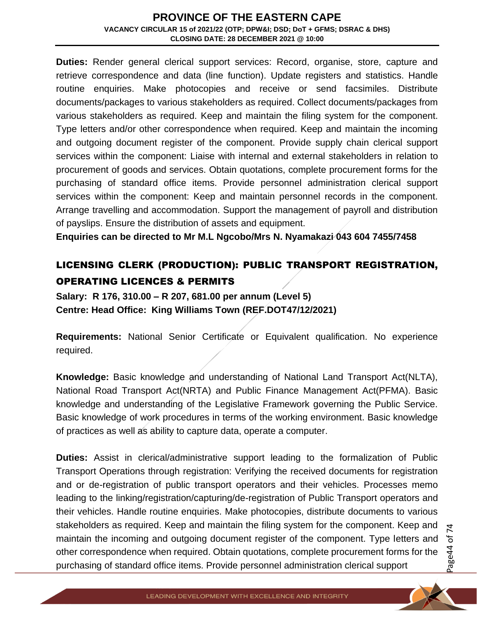**Duties:** Render general clerical support services: Record, organise, store, capture and retrieve correspondence and data (line function). Update registers and statistics. Handle routine enquiries. Make photocopies and receive or send facsimiles. Distribute documents/packages to various stakeholders as required. Collect documents/packages from various stakeholders as required. Keep and maintain the filing system for the component. Type letters and/or other correspondence when required. Keep and maintain the incoming and outgoing document register of the component. Provide supply chain clerical support services within the component: Liaise with internal and external stakeholders in relation to procurement of goods and services. Obtain quotations, complete procurement forms for the purchasing of standard office items. Provide personnel administration clerical support services within the component: Keep and maintain personnel records in the component. Arrange travelling and accommodation. Support the management of payroll and distribution of payslips. Ensure the distribution of assets and equipment.

**Enquiries can be directed to Mr M.L Ngcobo/Mrs N. Nyamakazi 043 604 7455/7458**

## LICENSING CLERK (PRODUCTION): PUBLIC TRANSPORT REGISTRATION, OPERATING LICENCES & PERMITS

**Salary: R 176, 310.00 – R 207, 681.00 per annum (Level 5) Centre: Head Office: King Williams Town (REF.DOT47/12/2021)** 

**Requirements:** National Senior Certificate or Equivalent qualification. No experience required.

**Knowledge:** Basic knowledge and understanding of National Land Transport Act(NLTA), National Road Transport Act(NRTA) and Public Finance Management Act(PFMA). Basic knowledge and understanding of the Legislative Framework governing the Public Service. Basic knowledge of work procedures in terms of the working environment. Basic knowledge of practices as well as ability to capture data, operate a computer.

**Duties:** Assist in clerical/administrative support leading to the formalization of Public Transport Operations through registration: Verifying the received documents for registration and or de-registration of public transport operators and their vehicles. Processes memo leading to the linking/registration/capturing/de-registration of Public Transport operators and their vehicles. Handle routine enquiries. Make photocopies, distribute documents to various stakeholders as required. Keep and maintain the filing system for the component. Keep and maintain the incoming and outgoing document register of the component. Type letters and other correspondence when required. Obtain quotations, complete procurement forms for the purchasing of standard office items. Provide personnel administration clerical support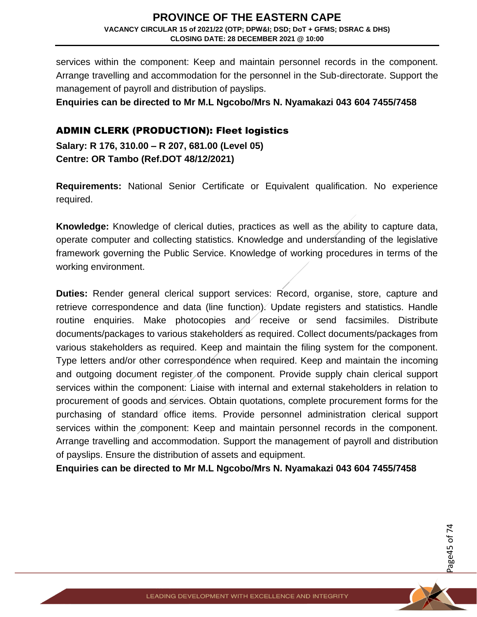services within the component: Keep and maintain personnel records in the component. Arrange travelling and accommodation for the personnel in the Sub-directorate. Support the management of payroll and distribution of payslips.

**Enquiries can be directed to Mr M.L Ngcobo/Mrs N. Nyamakazi 043 604 7455/7458**

## ADMIN CLERK (PRODUCTION): Fleet logistics

**Salary: R 176, 310.00 – R 207, 681.00 (Level 05) Centre: OR Tambo (Ref.DOT 48/12/2021)** 

**Requirements:** National Senior Certificate or Equivalent qualification. No experience required.

**Knowledge:** Knowledge of clerical duties, practices as well as the ability to capture data, operate computer and collecting statistics. Knowledge and understanding of the legislative framework governing the Public Service. Knowledge of working procedures in terms of the working environment.

**Duties:** Render general clerical support services: Record, organise, store, capture and retrieve correspondence and data (line function). Update registers and statistics. Handle routine enquiries. Make photocopies and receive or send facsimiles. Distribute documents/packages to various stakeholders as required. Collect documents/packages from various stakeholders as required. Keep and maintain the filing system for the component. Type letters and/or other correspondence when required. Keep and maintain the incoming and outgoing document register of the component. Provide supply chain clerical support services within the component: Liaise with internal and external stakeholders in relation to procurement of goods and services. Obtain quotations, complete procurement forms for the purchasing of standard office items. Provide personnel administration clerical support services within the component: Keep and maintain personnel records in the component. Arrange travelling and accommodation. Support the management of payroll and distribution of payslips. Ensure the distribution of assets and equipment.

**Enquiries can be directed to Mr M.L Ngcobo/Mrs N. Nyamakazi 043 604 7455/7458**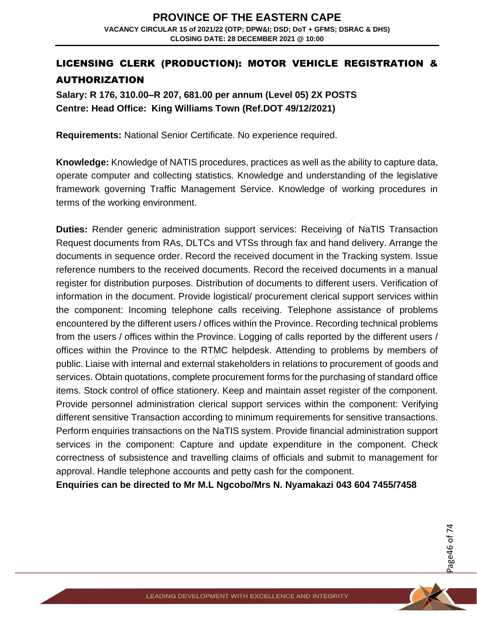## LICENSING CLERK (PRODUCTION): MOTOR VEHICLE REGISTRATION & AUTHORIZATION

**Salary: R 176, 310.00–R 207, 681.00 per annum (Level 05) 2X POSTS Centre: Head Office: King Williams Town (Ref.DOT 49/12/2021)** 

**Requirements:** National Senior Certificate. No experience required.

**Knowledge:** Knowledge of NATIS procedures, practices as well as the ability to capture data, operate computer and collecting statistics. Knowledge and understanding of the legislative framework governing Traffic Management Service. Knowledge of working procedures in terms of the working environment.

**Duties:** Render generic administration support services: Receiving of NaTIS Transaction Request documents from RAs, DLTCs and VTSs through fax and hand delivery. Arrange the documents in sequence order. Record the received document in the Tracking system. Issue reference numbers to the received documents. Record the received documents in a manual register for distribution purposes. Distribution of documents to different users. Verification of information in the document. Provide logistical/ procurement clerical support services within the component: Incoming telephone calls receiving. Telephone assistance of problems encountered by the different users / offices within the Province. Recording technical problems from the users / offices within the Province. Logging of calls reported by the different users / offices within the Province to the RTMC helpdesk. Attending to problems by members of public. Liaise with internal and external stakeholders in relations to procurement of goods and services. Obtain quotations, complete procurement forms for the purchasing of standard office items. Stock control of office stationery. Keep and maintain asset register of the component. Provide personnel administration clerical support services within the component: Verifying different sensitive Transaction according to minimum requirements for sensitive transactions. Perform enquiries transactions on the NaTIS system. Provide financial administration support services in the component: Capture and update expenditure in the component. Check correctness of subsistence and travelling claims of officials and submit to management for approval. Handle telephone accounts and petty cash for the component.

**Enquiries can be directed to Mr M.L Ngcobo/Mrs N. Nyamakazi 043 604 7455/7458**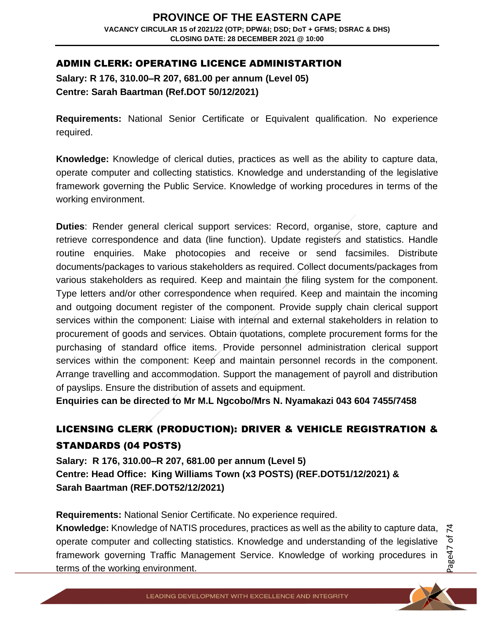## ADMIN CLERK: OPERATING LICENCE ADMINISTARTION

**Salary: R 176, 310.00–R 207, 681.00 per annum (Level 05) Centre: Sarah Baartman (Ref.DOT 50/12/2021)** 

**Requirements:** National Senior Certificate or Equivalent qualification. No experience required.

**Knowledge:** Knowledge of clerical duties, practices as well as the ability to capture data, operate computer and collecting statistics. Knowledge and understanding of the legislative framework governing the Public Service. Knowledge of working procedures in terms of the working environment.

**Duties**: Render general clerical support services: Record, organise, store, capture and retrieve correspondence and data (line function). Update registers and statistics. Handle routine enquiries. Make photocopies and receive or send facsimiles. Distribute documents/packages to various stakeholders as required. Collect documents/packages from various stakeholders as required. Keep and maintain the filing system for the component. Type letters and/or other correspondence when required. Keep and maintain the incoming and outgoing document register of the component. Provide supply chain clerical support services within the component: Liaise with internal and external stakeholders in relation to procurement of goods and services. Obtain quotations, complete procurement forms for the purchasing of standard office items. Provide personnel administration clerical support services within the component: Keep and maintain personnel records in the component. Arrange travelling and accommodation. Support the management of payroll and distribution of payslips. Ensure the distribution of assets and equipment.

**Enquiries can be directed to Mr M.L Ngcobo/Mrs N. Nyamakazi 043 604 7455/7458**

## LICENSING CLERK (PRODUCTION): DRIVER & VEHICLE REGISTRATION & STANDARDS (04 POSTS)

**Salary: R 176, 310.00–R 207, 681.00 per annum (Level 5) Centre: Head Office: King Williams Town (x3 POSTS) (REF.DOT51/12/2021) & Sarah Baartman (REF.DOT52/12/2021)** 

**Requirements:** National Senior Certificate. No experience required.

**Knowledge:** Knowledge of NATIS procedures, practices as well as the ability to capture data, operate computer and collecting statistics. Knowledge and understanding of the legislative framework governing Traffic Management Service. Knowledge of working procedures in terms of the working environment.

Page47 of 7 4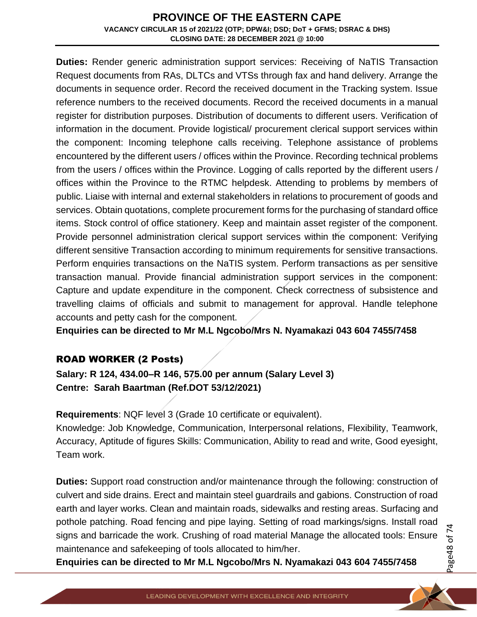**Duties:** Render generic administration support services: Receiving of NaTIS Transaction Request documents from RAs, DLTCs and VTSs through fax and hand delivery. Arrange the documents in sequence order. Record the received document in the Tracking system. Issue reference numbers to the received documents. Record the received documents in a manual register for distribution purposes. Distribution of documents to different users. Verification of information in the document. Provide logistical/ procurement clerical support services within the component: Incoming telephone calls receiving. Telephone assistance of problems encountered by the different users / offices within the Province. Recording technical problems from the users / offices within the Province. Logging of calls reported by the different users / offices within the Province to the RTMC helpdesk. Attending to problems by members of public. Liaise with internal and external stakeholders in relations to procurement of goods and services. Obtain quotations, complete procurement forms for the purchasing of standard office items. Stock control of office stationery. Keep and maintain asset register of the component. Provide personnel administration clerical support services within the component: Verifying different sensitive Transaction according to minimum requirements for sensitive transactions. Perform enquiries transactions on the NaTIS system. Perform transactions as per sensitive transaction manual. Provide financial administration support services in the component: Capture and update expenditure in the component. Check correctness of subsistence and travelling claims of officials and submit to management for approval. Handle telephone accounts and petty cash for the component.

**Enquiries can be directed to Mr M.L Ngcobo/Mrs N. Nyamakazi 043 604 7455/7458**

## ROAD WORKER (2 Posts)

**Salary: R 124, 434.00–R 146, 575.00 per annum (Salary Level 3) Centre: Sarah Baartman (Ref.DOT 53/12/2021)** 

**Requirements**: NQF level 3 (Grade 10 certificate or equivalent).

Knowledge: Job Knowledge, Communication, Interpersonal relations, Flexibility, Teamwork, Accuracy, Aptitude of figures Skills: Communication, Ability to read and write, Good eyesight, Team work.

**Duties:** Support road construction and/or maintenance through the following: construction of culvert and side drains. Erect and maintain steel guardrails and gabions. Construction of road earth and layer works. Clean and maintain roads, sidewalks and resting areas. Surfacing and pothole patching. Road fencing and pipe laying. Setting of road markings/signs. Install road signs and barricade the work. Crushing of road material Manage the allocated tools: Ensure maintenance and safekeeping of tools allocated to him/her.

**Enquiries can be directed to Mr M.L Ngcobo/Mrs N. Nyamakazi 043 604 7455/7458**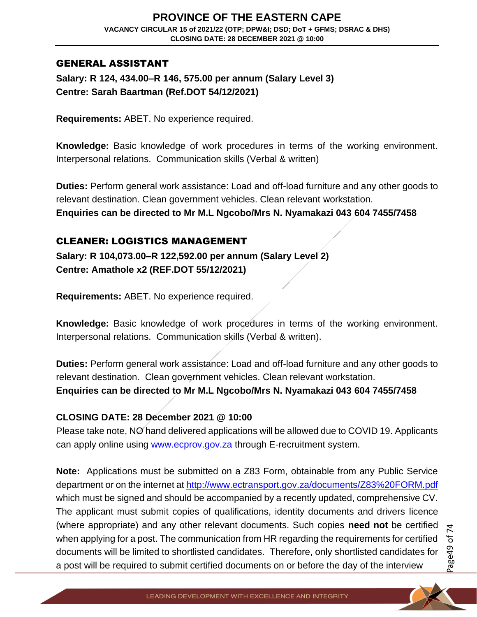## GENERAL ASSISTANT

**Salary: R 124, 434.00–R 146, 575.00 per annum (Salary Level 3) Centre: Sarah Baartman (Ref.DOT 54/12/2021)** 

**Requirements:** ABET. No experience required.

**Knowledge:** Basic knowledge of work procedures in terms of the working environment. Interpersonal relations. Communication skills (Verbal & written)

**Duties:** Perform general work assistance: Load and off-load furniture and any other goods to relevant destination. Clean government vehicles. Clean relevant workstation. **Enquiries can be directed to Mr M.L Ngcobo/Mrs N. Nyamakazi 043 604 7455/7458**

## CLEANER: LOGISTICS MANAGEMENT

**Salary: R 104,073.00–R 122,592.00 per annum (Salary Level 2) Centre: Amathole x2 (REF.DOT 55/12/2021)** 

**Requirements:** ABET. No experience required.

**Knowledge:** Basic knowledge of work procedures in terms of the working environment. Interpersonal relations. Communication skills (Verbal & written).

**Duties:** Perform general work assistance: Load and off-load furniture and any other goods to relevant destination. Clean government vehicles. Clean relevant workstation. **Enquiries can be directed to Mr M.L Ngcobo/Mrs N. Nyamakazi 043 604 7455/7458**

#### **CLOSING DATE: 28 December 2021 @ 10:00**

Please take note, NO hand delivered applications will be allowed due to COVID 19. Applicants can apply online using [www.ecprov.gov.za](http://www.ecprov.gov.za/) through E-recruitment system.

**Note:** Applications must be submitted on a Z83 Form, obtainable from any Public Service department or on the internet at<http://www.ectransport.gov.za/documents/Z83%20FORM.pdf> which must be signed and should be accompanied by a recently updated, comprehensive CV. The applicant must submit copies of qualifications, identity documents and drivers licence (where appropriate) and any other relevant documents. Such copies **need not** be certified when applying for a post. The communication from HR regarding the requirements for certified documents will be limited to shortlisted candidates. Therefore, only shortlisted candidates for a post will be required to submit certified documents on or before the day of the interview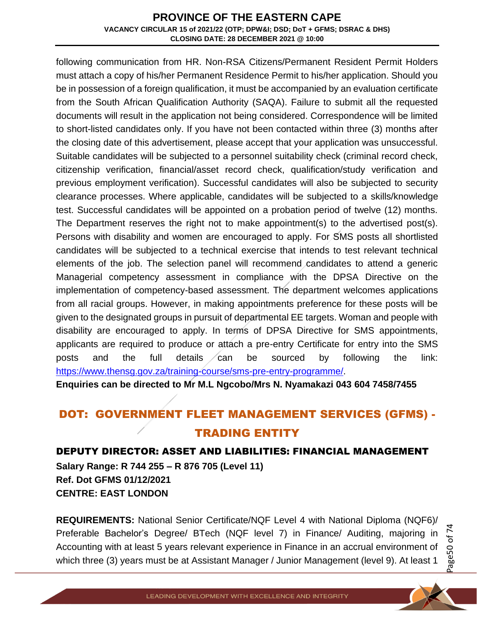following communication from HR. Non-RSA Citizens/Permanent Resident Permit Holders must attach a copy of his/her Permanent Residence Permit to his/her application. Should you be in possession of a foreign qualification, it must be accompanied by an evaluation certificate from the South African Qualification Authority (SAQA). Failure to submit all the requested documents will result in the application not being considered. Correspondence will be limited to short-listed candidates only. If you have not been contacted within three (3) months after the closing date of this advertisement, please accept that your application was unsuccessful. Suitable candidates will be subjected to a personnel suitability check (criminal record check, citizenship verification, financial/asset record check, qualification/study verification and previous employment verification). Successful candidates will also be subjected to security clearance processes. Where applicable, candidates will be subjected to a skills/knowledge test. Successful candidates will be appointed on a probation period of twelve (12) months. The Department reserves the right not to make appointment(s) to the advertised post(s). Persons with disability and women are encouraged to apply. For SMS posts all shortlisted candidates will be subjected to a technical exercise that intends to test relevant technical elements of the job. The selection panel will recommend candidates to attend a generic Managerial competency assessment in compliance with the DPSA Directive on the implementation of competency-based assessment. The department welcomes applications from all racial groups. However, in making appointments preference for these posts will be given to the designated groups in pursuit of departmental EE targets. Woman and people with disability are encouraged to apply. In terms of DPSA Directive for SMS appointments, applicants are required to produce or attach a pre-entry Certificate for entry into the SMS posts and the full details can be sourced by following the link: [https://www.thensg.gov.za/training-course/sms-pre-entry-programme/.](https://www.thensg.gov.za/training-course/sms-pre-entry-programme/)

**Enquiries can be directed to Mr M.L Ngcobo/Mrs N. Nyamakazi 043 604 7458/7455**

# DOT: GOVERNMENT FLEET MANAGEMENT SERVICES (GFMS) - TRADING ENTITY

## DEPUTY DIRECTOR: ASSET AND LIABILITIES: FINANCIAL MANAGEMENT

**Salary Range: R 744 255 – R 876 705 (Level 11) Ref. Dot GFMS 01/12/2021 CENTRE: EAST LONDON**

**REQUIREMENTS:** National Senior Certificate/NQF Level 4 with National Diploma (NQF6)/ Preferable Bachelor's Degree/ BTech (NQF level 7) in Finance/ Auditing, majoring in Accounting with at least 5 years relevant experience in Finance in an accrual environment of which three (3) years must be at Assistant Manager / Junior Management (level 9). At least 1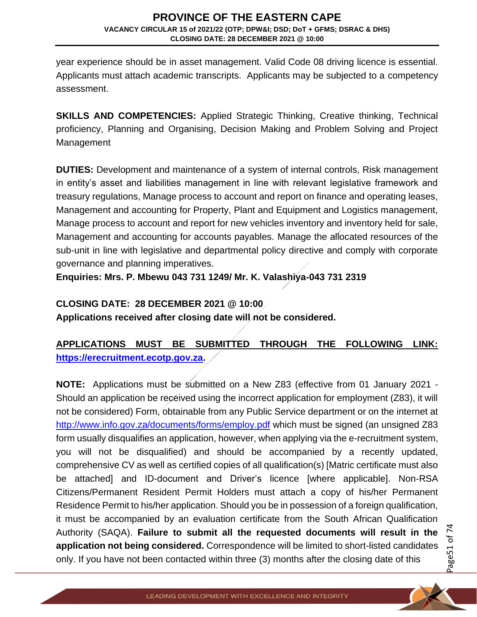year experience should be in asset management. Valid Code 08 driving licence is essential. Applicants must attach academic transcripts. Applicants may be subjected to a competency assessment.

**SKILLS AND COMPETENCIES:** Applied Strategic Thinking, Creative thinking, Technical proficiency, Planning and Organising, Decision Making and Problem Solving and Project Management

**DUTIES:** Development and maintenance of a system of internal controls, Risk management in entity's asset and liabilities management in line with relevant legislative framework and treasury regulations, Manage process to account and report on finance and operating leases, Management and accounting for Property, Plant and Equipment and Logistics management, Manage process to account and report for new vehicles inventory and inventory held for sale, Management and accounting for accounts payables. Manage the allocated resources of the sub-unit in line with legislative and departmental policy directive and comply with corporate governance and planning imperatives.

**Enquiries: Mrs. P. Mbewu 043 731 1249/ Mr. K. Valashiya-043 731 2319**

## **CLOSING DATE: 28 DECEMBER 2021 @ 10:00**

**Applications received after closing date will not be considered.** 

## **APPLICATIONS MUST BE SUBMITTED THROUGH THE FOLLOWING LINK: [https://erecruitment.ecotp.gov.za.](https://erecruitment.ecotp.gov.za/)**

**NOTE:** Applications must be submitted on a New Z83 (effective from 01 January 2021 - Should an application be received using the incorrect application for employment (Z83), it will not be considered) Form, obtainable from any Public Service department or on the internet at <http://www.info.gov.za/documents/forms/employ.pdf> which must be signed (an unsigned Z83 form usually disqualifies an application, however, when applying via the e-recruitment system, you will not be disqualified) and should be accompanied by a recently updated, comprehensive CV as well as certified copies of all qualification(s) [Matric certificate must also be attached] and ID-document and Driver's licence [where applicable]. Non-RSA Citizens/Permanent Resident Permit Holders must attach a copy of his/her Permanent Residence Permit to his/her application. Should you be in possession of a foreign qualification, it must be accompanied by an evaluation certificate from the South African Qualification Authority (SAQA). **Failure to submit all the requested documents will result in the application not being considered.** Correspondence will be limited to short-listed candidates only. If you have not been contacted within three (3) months after the closing date of this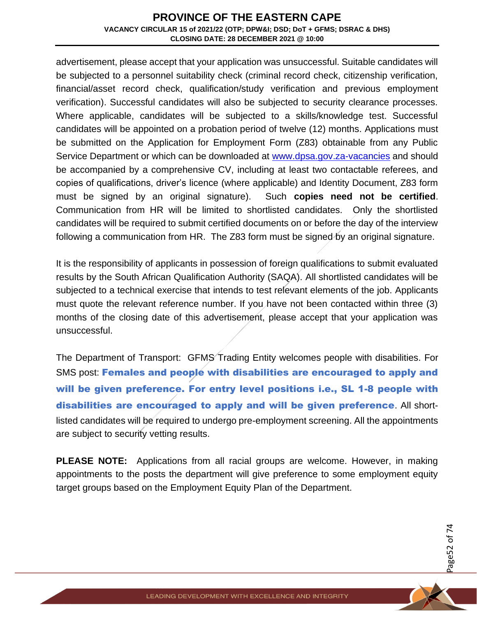advertisement, please accept that your application was unsuccessful. Suitable candidates will be subjected to a personnel suitability check (criminal record check, citizenship verification, financial/asset record check, qualification/study verification and previous employment verification). Successful candidates will also be subjected to security clearance processes. Where applicable, candidates will be subjected to a skills/knowledge test. Successful candidates will be appointed on a probation period of twelve (12) months. Applications must be submitted on the Application for Employment Form (Z83) obtainable from any Public Service Department or which can be downloaded at [www.dpsa.gov.za-vacancies](http://www.dpsa.gov.za-vacancies/) and should be accompanied by a comprehensive CV, including at least two contactable referees, and copies of qualifications, driver's licence (where applicable) and Identity Document, Z83 form must be signed by an original signature). Such **copies need not be certified**. Communication from HR will be limited to shortlisted candidates. Only the shortlisted candidates will be required to submit certified documents on or before the day of the interview following a communication from HR. The Z83 form must be signed by an original signature.

It is the responsibility of applicants in possession of foreign qualifications to submit evaluated results by the South African Qualification Authority (SAQA). All shortlisted candidates will be subjected to a technical exercise that intends to test relevant elements of the job. Applicants must quote the relevant reference number. If you have not been contacted within three (3) months of the closing date of this advertisement, please accept that your application was unsuccessful.

The Department of Transport: GFMS Trading Entity welcomes people with disabilities. For SMS post: Females and people with disabilities are encouraged to apply and will be given preference. For entry level positions i.e., SL 1-8 people with disabilities are encouraged to apply and will be given preference. All shortlisted candidates will be required to undergo pre-employment screening. All the appointments are subject to security vetting results.

**PLEASE NOTE:** Applications from all racial groups are welcome. However, in making appointments to the posts the department will give preference to some employment equity target groups based on the Employment Equity Plan of the Department.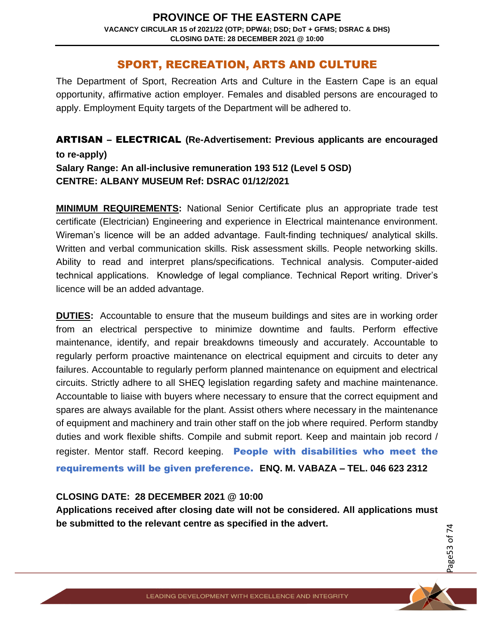## SPORT, RECREATION, ARTS AND CULTURE

The Department of Sport, Recreation Arts and Culture in the Eastern Cape is an equal opportunity, affirmative action employer. Females and disabled persons are encouraged to apply. Employment Equity targets of the Department will be adhered to.

ARTISAN – ELECTRICAL **(Re-Advertisement: Previous applicants are encouraged to re-apply) Salary Range: An all-inclusive remuneration 193 512 (Level 5 OSD) CENTRE: ALBANY MUSEUM Ref: DSRAC 01/12/2021**

**MINIMUM REQUIREMENTS:** National Senior Certificate plus an appropriate trade test certificate (Electrician) Engineering and experience in Electrical maintenance environment. Wireman's licence will be an added advantage. Fault-finding techniques/ analytical skills. Written and verbal communication skills. Risk assessment skills. People networking skills. Ability to read and interpret plans/specifications. Technical analysis. Computer-aided technical applications. Knowledge of legal compliance. Technical Report writing. Driver's licence will be an added advantage.

**DUTIES:** Accountable to ensure that the museum buildings and sites are in working order from an electrical perspective to minimize downtime and faults. Perform effective maintenance, identify, and repair breakdowns timeously and accurately. Accountable to regularly perform proactive maintenance on electrical equipment and circuits to deter any failures. Accountable to regularly perform planned maintenance on equipment and electrical circuits. Strictly adhere to all SHEQ legislation regarding safety and machine maintenance. Accountable to liaise with buyers where necessary to ensure that the correct equipment and spares are always available for the plant. Assist others where necessary in the maintenance of equipment and machinery and train other staff on the job where required. Perform standby duties and work flexible shifts. Compile and submit report. Keep and maintain job record / register. Mentor staff. Record keeping. People with disabilities who meet the requirements will be given preference. **ENQ. M. VABAZA – TEL. 046 623 2312**

#### **CLOSING DATE: 28 DECEMBER 2021 @ 10:00**

**Applications received after closing date will not be considered. All applications must be submitted to the relevant centre as specified in the advert.**

Page53 of 7 4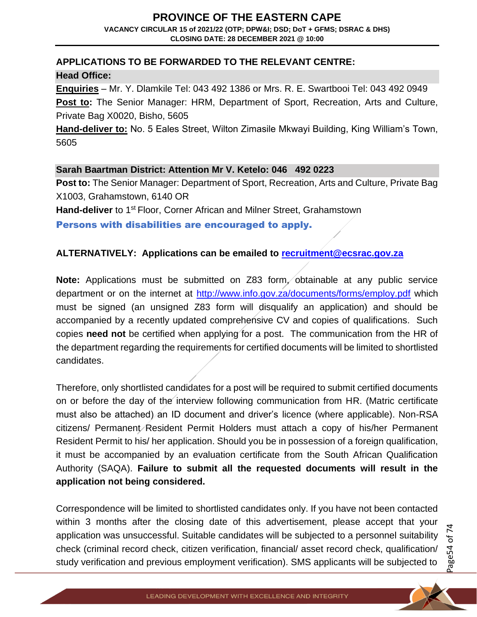## **PROVINCE OF THE EASTERN CAPE**

**VACANCY CIRCULAR 15 of 2021/22 (OTP; DPW&I; DSD; DoT + GFMS; DSRAC & DHS) CLOSING DATE: 28 DECEMBER 2021 @ 10:00**

## **APPLICATIONS TO BE FORWARDED TO THE RELEVANT CENTRE:**

**Head Office:** 

**Enquiries** – Mr. Y. Dlamkile Tel: 043 492 1386 or Mrs. R. E. Swartbooi Tel: 043 492 0949 **Post to:** The Senior Manager: HRM, Department of Sport, Recreation, Arts and Culture, Private Bag X0020, Bisho, 5605

**Hand-deliver to:** No. 5 Eales Street, Wilton Zimasile Mkwayi Building, King William's Town, 5605

## **Sarah Baartman District: Attention Mr V. Ketelo: 046 492 0223**

**Post to:** The Senior Manager: Department of Sport, Recreation, Arts and Culture, Private Bag X1003, Grahamstown, 6140 OR

Hand-deliver to 1<sup>st</sup> Floor, Corner African and Milner Street, Grahamstown

Persons with disabilities are encouraged to apply.

## **ALTERNATIVELY: Applications can be emailed to [recruitment@ecsrac.gov.za](mailto:recruitment@ecsrac.gov.za)**

**Note:** Applications must be submitted on Z83 form, obtainable at any public service department or on the internet at<http://www.info.gov.za/documents/forms/employ.pdf> which must be signed (an unsigned Z83 form will disqualify an application) and should be accompanied by a recently updated comprehensive CV and copies of qualifications. Such copies **need not** be certified when applying for a post. The communication from the HR of the department regarding the requirements for certified documents will be limited to shortlisted candidates.

Therefore, only shortlisted candidates for a post will be required to submit certified documents on or before the day of the interview following communication from HR. (Matric certificate must also be attached) an ID document and driver's licence (where applicable). Non-RSA citizens/ Permanent/Resident Permit Holders must attach a copy of his/her Permanent Resident Permit to his/ her application. Should you be in possession of a foreign qualification, it must be accompanied by an evaluation certificate from the South African Qualification Authority (SAQA). **Failure to submit all the requested documents will result in the application not being considered.**

Correspondence will be limited to shortlisted candidates only. If you have not been contacted within 3 months after the closing date of this advertisement, please accept that your application was unsuccessful. Suitable candidates will be subjected to a personnel suitability check (criminal record check, citizen verification, financial/ asset record check, qualification/ study verification and previous employment verification). SMS applicants will be subjected to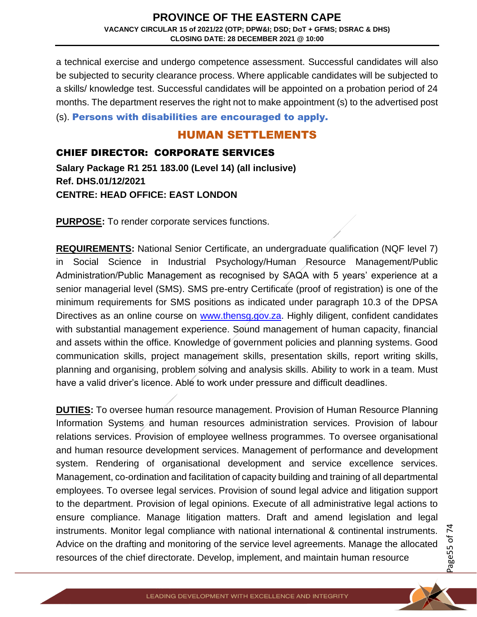a technical exercise and undergo competence assessment. Successful candidates will also be subjected to security clearance process. Where applicable candidates will be subjected to a skills/ knowledge test. Successful candidates will be appointed on a probation period of 24 months. The department reserves the right not to make appointment (s) to the advertised post

(s). Persons with disabilities are encouraged to apply.

## HUMAN SETTLEMENTS

## CHIEF DIRECTOR: CORPORATE SERVICES

**Salary Package R1 251 183.00 (Level 14) (all inclusive) Ref. DHS.01/12/2021 CENTRE: HEAD OFFICE: EAST LONDON**

**PURPOSE:** To render corporate services functions.

**REQUIREMENTS:** National Senior Certificate, an undergraduate qualification (NQF level 7) in Social Science in Industrial Psychology/Human Resource Management/Public Administration/Public Management as recognised by SAQA with 5 years' experience at a senior managerial level (SMS). SMS pre-entry Certificate (proof of registration) is one of the minimum requirements for SMS positions as indicated under paragraph 10.3 of the DPSA Directives as an online course on [www.thensg.gov.za.](http://www.thensg.gov.za/) Highly diligent, confident candidates with substantial management experience. Sound management of human capacity, financial and assets within the office. Knowledge of government policies and planning systems. Good communication skills, project management skills, presentation skills, report writing skills, planning and organising, problem solving and analysis skills. Ability to work in a team. Must have a valid driver's licence. Able to work under pressure and difficult deadlines.

**DUTIES:** To oversee human resource management. Provision of Human Resource Planning Information Systems and human resources administration services. Provision of labour relations services. Provision of employee wellness programmes. To oversee organisational and human resource development services. Management of performance and development system. Rendering of organisational development and service excellence services. Management, co-ordination and facilitation of capacity building and training of all departmental employees. To oversee legal services. Provision of sound legal advice and litigation support to the department. Provision of legal opinions. Execute of all administrative legal actions to ensure compliance. Manage litigation matters. Draft and amend legislation and legal instruments. Monitor legal compliance with national international & continental instruments. Advice on the drafting and monitoring of the service level agreements. Manage the allocated resources of the chief directorate. Develop, implement, and maintain human resource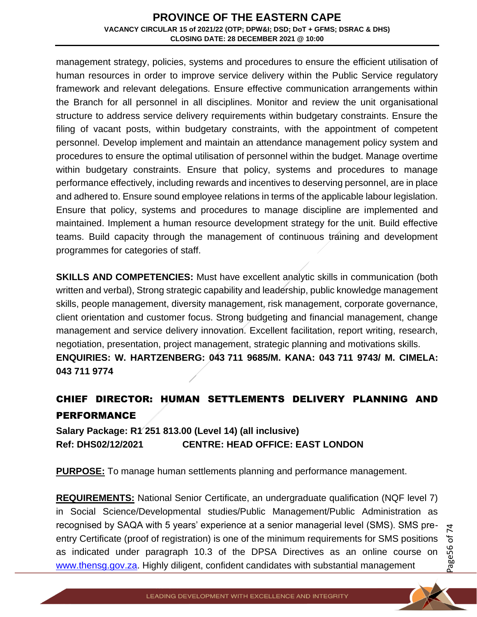management strategy, policies, systems and procedures to ensure the efficient utilisation of human resources in order to improve service delivery within the Public Service regulatory framework and relevant delegations. Ensure effective communication arrangements within the Branch for all personnel in all disciplines. Monitor and review the unit organisational structure to address service delivery requirements within budgetary constraints. Ensure the filing of vacant posts, within budgetary constraints, with the appointment of competent personnel. Develop implement and maintain an attendance management policy system and procedures to ensure the optimal utilisation of personnel within the budget. Manage overtime within budgetary constraints. Ensure that policy, systems and procedures to manage performance effectively, including rewards and incentives to deserving personnel, are in place and adhered to. Ensure sound employee relations in terms of the applicable labour legislation. Ensure that policy, systems and procedures to manage discipline are implemented and maintained. Implement a human resource development strategy for the unit. Build effective teams. Build capacity through the management of continuous training and development programmes for categories of staff.

**SKILLS AND COMPETENCIES:** Must have excellent analytic skills in communication (both written and verbal), Strong strategic capability and leadership, public knowledge management skills, people management, diversity management, risk management, corporate governance, client orientation and customer focus. Strong budgeting and financial management, change management and service delivery innovation. Excellent facilitation, report writing, research, negotiation, presentation, project management, strategic planning and motivations skills. **ENQUIRIES: W. HARTZENBERG: 043 711 9685/M. KANA: 043 711 9743/ M. CIMELA: 043 711 9774**

## CHIEF DIRECTOR: HUMAN SETTLEMENTS DELIVERY PLANNING AND PERFORMANCE

**Salary Package: R1 251 813.00 (Level 14) (all inclusive) Ref: DHS02/12/2021 CENTRE: HEAD OFFICE: EAST LONDON**

**PURPOSE:** To manage human settlements planning and performance management.

**REQUIREMENTS:** National Senior Certificate, an undergraduate qualification (NQF level 7) in Social Science/Developmental studies/Public Management/Public Administration as recognised by SAQA with 5 years' experience at a senior managerial level (SMS). SMS preentry Certificate (proof of registration) is one of the minimum requirements for SMS positions as indicated under paragraph 10.3 of the DPSA Directives as an online course on [www.thensg.gov.za.](http://www.thensg.gov.za/) Highly diligent, confident candidates with substantial management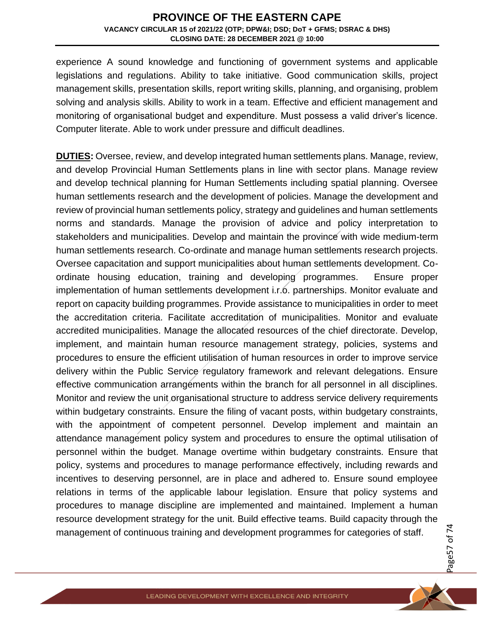experience A sound knowledge and functioning of government systems and applicable legislations and regulations. Ability to take initiative. Good communication skills, project management skills, presentation skills, report writing skills, planning, and organising, problem solving and analysis skills. Ability to work in a team. Effective and efficient management and monitoring of organisational budget and expenditure. Must possess a valid driver's licence. Computer literate. Able to work under pressure and difficult deadlines.

**DUTIES:** Oversee, review, and develop integrated human settlements plans. Manage, review, and develop Provincial Human Settlements plans in line with sector plans. Manage review and develop technical planning for Human Settlements including spatial planning. Oversee human settlements research and the development of policies. Manage the development and review of provincial human settlements policy, strategy and guidelines and human settlements norms and standards. Manage the provision of advice and policy interpretation to stakeholders and municipalities. Develop and maintain the province with wide medium-term human settlements research. Co-ordinate and manage human settlements research projects. Oversee capacitation and support municipalities about human settlements development. Coordinate housing education, training and developing programmes. Ensure proper implementation of human settlements development i.r.o. partnerships. Monitor evaluate and report on capacity building programmes. Provide assistance to municipalities in order to meet the accreditation criteria. Facilitate accreditation of municipalities. Monitor and evaluate accredited municipalities. Manage the allocated resources of the chief directorate. Develop, implement, and maintain human resource management strategy, policies, systems and procedures to ensure the efficient utilisation of human resources in order to improve service delivery within the Public Service regulatory framework and relevant delegations. Ensure effective communication arrangements within the branch for all personnel in all disciplines. Monitor and review the unit organisational structure to address service delivery requirements within budgetary constraints. Ensure the filing of vacant posts, within budgetary constraints, with the appointment of competent personnel. Develop implement and maintain an attendance management policy system and procedures to ensure the optimal utilisation of personnel within the budget. Manage overtime within budgetary constraints. Ensure that policy, systems and procedures to manage performance effectively, including rewards and incentives to deserving personnel, are in place and adhered to. Ensure sound employee relations in terms of the applicable labour legislation. Ensure that policy systems and procedures to manage discipline are implemented and maintained. Implement a human resource development strategy for the unit. Build effective teams. Build capacity through the management of continuous training and development programmes for categories of staff.

Page57 of 7 4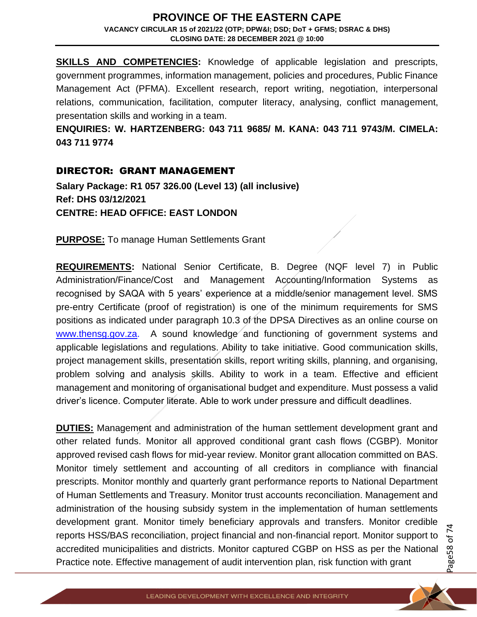**SKILLS AND COMPETENCIES:** Knowledge of applicable legislation and prescripts, government programmes, information management, policies and procedures, Public Finance Management Act (PFMA). Excellent research, report writing, negotiation, interpersonal relations, communication, facilitation, computer literacy, analysing, conflict management, presentation skills and working in a team.

**ENQUIRIES: W. HARTZENBERG: 043 711 9685/ M. KANA: 043 711 9743/M. CIMELA: 043 711 9774**

#### DIRECTOR: GRANT MANAGEMENT

**Salary Package: R1 057 326.00 (Level 13) (all inclusive) Ref: DHS 03/12/2021 CENTRE: HEAD OFFICE: EAST LONDON**

**PURPOSE:** To manage Human Settlements Grant

**REQUIREMENTS:** National Senior Certificate, B. Degree (NQF level 7) in Public Administration/Finance/Cost and Management Accounting/Information Systems as recognised by SAQA with 5 years' experience at a middle/senior management level. SMS pre-entry Certificate (proof of registration) is one of the minimum requirements for SMS positions as indicated under paragraph 10.3 of the DPSA Directives as an online course on [www.thensg.gov.za.](http://www.thensg.gov.za/) A sound knowledge and functioning of government systems and applicable legislations and regulations. Ability to take initiative. Good communication skills, project management skills, presentation skills, report writing skills, planning, and organising, problem solving and analysis skills. Ability to work in a team. Effective and efficient management and monitoring of organisational budget and expenditure. Must possess a valid driver's licence. Computer literate. Able to work under pressure and difficult deadlines.

**DUTIES:** Management and administration of the human settlement development grant and other related funds. Monitor all approved conditional grant cash flows (CGBP). Monitor approved revised cash flows for mid-year review. Monitor grant allocation committed on BAS. Monitor timely settlement and accounting of all creditors in compliance with financial prescripts. Monitor monthly and quarterly grant performance reports to National Department of Human Settlements and Treasury. Monitor trust accounts reconciliation. Management and administration of the housing subsidy system in the implementation of human settlements development grant. Monitor timely beneficiary approvals and transfers. Monitor credible reports HSS/BAS reconciliation, project financial and non-financial report. Monitor support to accredited municipalities and districts. Monitor captured CGBP on HSS as per the National Practice note. Effective management of audit intervention plan, risk function with grant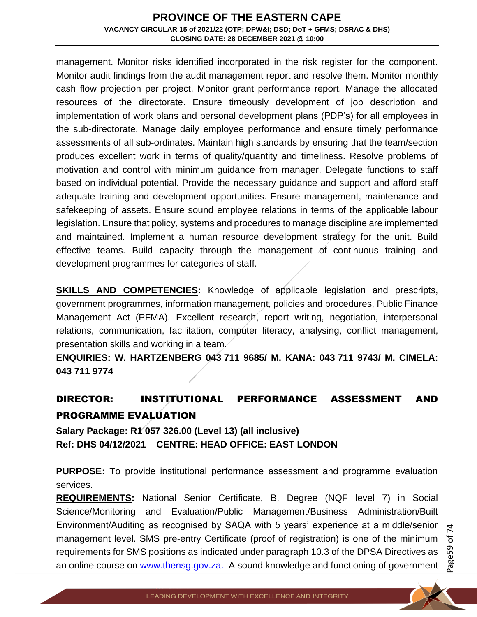management. Monitor risks identified incorporated in the risk register for the component. Monitor audit findings from the audit management report and resolve them. Monitor monthly cash flow projection per project. Monitor grant performance report. Manage the allocated resources of the directorate. Ensure timeously development of job description and implementation of work plans and personal development plans (PDP's) for all employees in the sub-directorate. Manage daily employee performance and ensure timely performance assessments of all sub-ordinates. Maintain high standards by ensuring that the team/section produces excellent work in terms of quality/quantity and timeliness. Resolve problems of motivation and control with minimum guidance from manager. Delegate functions to staff based on individual potential. Provide the necessary guidance and support and afford staff adequate training and development opportunities. Ensure management, maintenance and safekeeping of assets. Ensure sound employee relations in terms of the applicable labour legislation. Ensure that policy, systems and procedures to manage discipline are implemented and maintained. Implement a human resource development strategy for the unit. Build effective teams. Build capacity through the management of continuous training and development programmes for categories of staff.

**SKILLS AND COMPETENCIES:** Knowledge of applicable legislation and prescripts, government programmes, information management, policies and procedures, Public Finance Management Act (PFMA). Excellent research, report writing, negotiation, interpersonal relations, communication, facilitation, computer literacy, analysing, conflict management, presentation skills and working in a team.

**ENQUIRIES: W. HARTZENBERG 043 711 9685/ M. KANA: 043 711 9743/ M. CIMELA: 043 711 9774**

## DIRECTOR: INSTITUTIONAL PERFORMANCE ASSESSMENT AND PROGRAMME EVALUATION

**Salary Package: R1 057 326.00 (Level 13) (all inclusive) Ref: DHS 04/12/2021 CENTRE: HEAD OFFICE: EAST LONDON**

**PURPOSE:** To provide institutional performance assessment and programme evaluation services.

**REQUIREMENTS:** National Senior Certificate, B. Degree (NQF level 7) in Social Science/Monitoring and Evaluation/Public Management/Business Administration/Built Environment/Auditing as recognised by SAQA with 5 years' experience at a middle/senior management level. SMS pre-entry Certificate (proof of registration) is one of the minimum requirements for SMS positions as indicated under paragraph 10.3 of the DPSA Directives as an online course on [www.thensg.gov.za.](http://www.thensg.gov.za/) A sound knowledge and functioning of government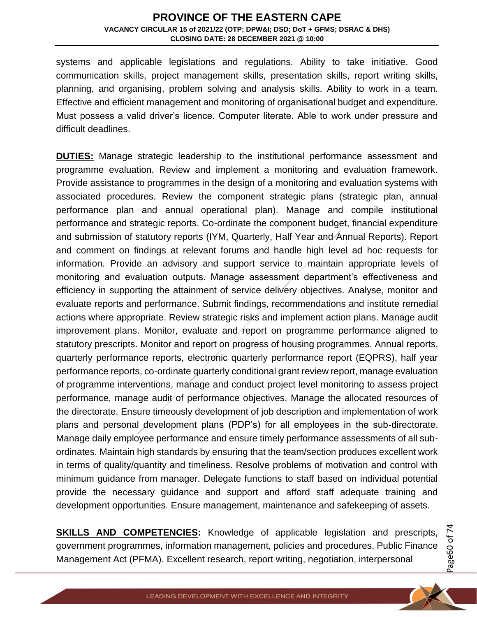systems and applicable legislations and regulations. Ability to take initiative. Good communication skills, project management skills, presentation skills, report writing skills, planning, and organising, problem solving and analysis skills. Ability to work in a team. Effective and efficient management and monitoring of organisational budget and expenditure. Must possess a valid driver's licence. Computer literate. Able to work under pressure and difficult deadlines.

**DUTIES:** Manage strategic leadership to the institutional performance assessment and programme evaluation. Review and implement a monitoring and evaluation framework. Provide assistance to programmes in the design of a monitoring and evaluation systems with associated procedures. Review the component strategic plans (strategic plan, annual performance plan and annual operational plan). Manage and compile institutional performance and strategic reports. Co-ordinate the component budget, financial expenditure and submission of statutory reports (IYM, Quarterly, Half Year and Annual Reports). Report and comment on findings at relevant forums and handle high level ad hoc requests for information. Provide an advisory and support service to maintain appropriate levels of monitoring and evaluation outputs. Manage assessment department's effectiveness and efficiency in supporting the attainment of service delivery objectives. Analyse, monitor and evaluate reports and performance. Submit findings, recommendations and institute remedial actions where appropriate. Review strategic risks and implement action plans. Manage audit improvement plans. Monitor, evaluate and report on programme performance aligned to statutory prescripts. Monitor and report on progress of housing programmes. Annual reports, quarterly performance reports, electronic quarterly performance report (EQPRS), half year performance reports, co-ordinate quarterly conditional grant review report, manage evaluation of programme interventions, manage and conduct project level monitoring to assess project performance, manage audit of performance objectives. Manage the allocated resources of the directorate. Ensure timeously development of job description and implementation of work plans and personal development plans (PDP's) for all employees in the sub-directorate. Manage daily employee performance and ensure timely performance assessments of all subordinates. Maintain high standards by ensuring that the team/section produces excellent work in terms of quality/quantity and timeliness. Resolve problems of motivation and control with minimum guidance from manager. Delegate functions to staff based on individual potential provide the necessary guidance and support and afford staff adequate training and development opportunities. Ensure management, maintenance and safekeeping of assets.

**SKILLS AND COMPETENCIES:** Knowledge of applicable legislation and prescripts, government programmes, information management, policies and procedures, Public Finance Management Act (PFMA). Excellent research, report writing, negotiation, interpersonal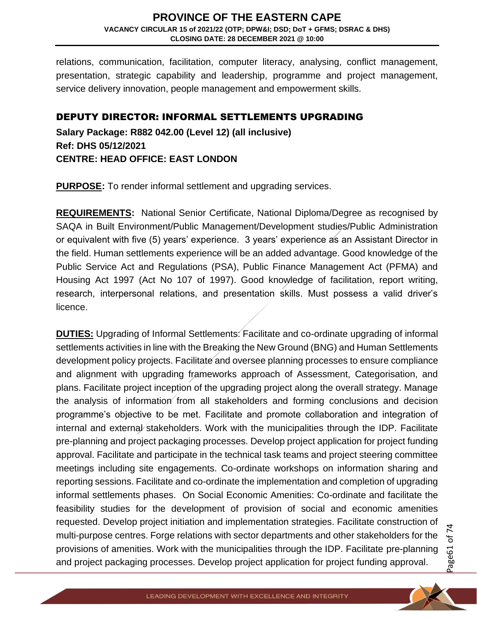relations, communication, facilitation, computer literacy, analysing, conflict management, presentation, strategic capability and leadership, programme and project management, service delivery innovation, people management and empowerment skills.

## DEPUTY DIRECTOR: INFORMAL SETTLEMENTS UPGRADING

**Salary Package: R882 042.00 (Level 12) (all inclusive) Ref: DHS 05/12/2021 CENTRE: HEAD OFFICE: EAST LONDON**

**PURPOSE:** To render informal settlement and upgrading services.

**REQUIREMENTS:** National Senior Certificate, National Diploma/Degree as recognised by SAQA in Built Environment/Public Management/Development studies/Public Administration or equivalent with five (5) years' experience. 3 years' experience as an Assistant Director in the field. Human settlements experience will be an added advantage. Good knowledge of the Public Service Act and Regulations (PSA), Public Finance Management Act (PFMA) and Housing Act 1997 (Act No 107 of 1997). Good knowledge of facilitation, report writing, research, interpersonal relations, and presentation skills. Must possess a valid driver's licence.

**DUTIES:** Upgrading of Informal Settlements: Facilitate and co-ordinate upgrading of informal settlements activities in line with the Breaking the New Ground (BNG) and Human Settlements development policy projects. Facilitate and oversee planning processes to ensure compliance and alignment with upgrading frameworks approach of Assessment, Categorisation, and plans. Facilitate project inception of the upgrading project along the overall strategy. Manage the analysis of information from all stakeholders and forming conclusions and decision programme's objective to be met. Facilitate and promote collaboration and integration of internal and external stakeholders. Work with the municipalities through the IDP. Facilitate pre-planning and project packaging processes. Develop project application for project funding approval. Facilitate and participate in the technical task teams and project steering committee meetings including site engagements. Co-ordinate workshops on information sharing and reporting sessions. Facilitate and co-ordinate the implementation and completion of upgrading informal settlements phases. On Social Economic Amenities: Co-ordinate and facilitate the feasibility studies for the development of provision of social and economic amenities requested. Develop project initiation and implementation strategies. Facilitate construction of multi-purpose centres. Forge relations with sector departments and other stakeholders for the provisions of amenities. Work with the municipalities through the IDP. Facilitate pre-planning and project packaging processes. Develop project application for project funding approval.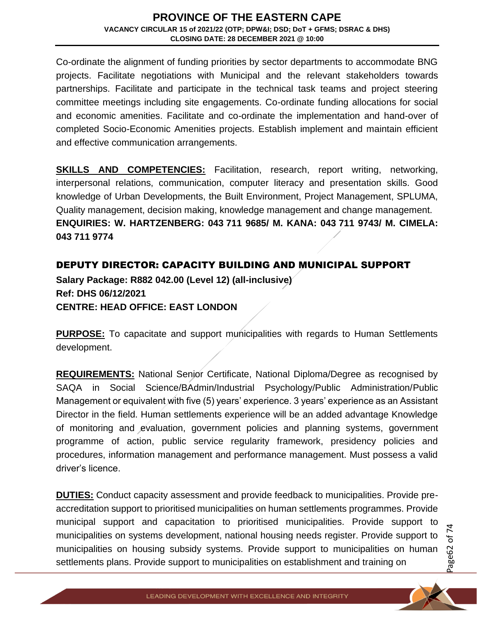Co-ordinate the alignment of funding priorities by sector departments to accommodate BNG projects. Facilitate negotiations with Municipal and the relevant stakeholders towards partnerships. Facilitate and participate in the technical task teams and project steering committee meetings including site engagements. Co-ordinate funding allocations for social and economic amenities. Facilitate and co-ordinate the implementation and hand-over of completed Socio-Economic Amenities projects. Establish implement and maintain efficient and effective communication arrangements.

**SKILLS AND COMPETENCIES:** Facilitation, research, report writing, networking, interpersonal relations, communication, computer literacy and presentation skills. Good knowledge of Urban Developments, the Built Environment, Project Management, SPLUMA, Quality management, decision making, knowledge management and change management. **ENQUIRIES: W. HARTZENBERG: 043 711 9685/ M. KANA: 043 711 9743/ M. CIMELA: 043 711 9774**

## DEPUTY DIRECTOR: CAPACITY BUILDING AND MUNICIPAL SUPPORT

**Salary Package: R882 042.00 (Level 12) (all-inclusive) Ref: DHS 06/12/2021 CENTRE: HEAD OFFICE: EAST LONDON**

**PURPOSE:** To capacitate and support municipalities with regards to Human Settlements development.

**REQUIREMENTS:** National Senior Certificate, National Diploma/Degree as recognised by SAQA in Social Science/BAdmin/Industrial Psychology/Public Administration/Public Management or equivalent with five (5) years' experience. 3 years' experience as an Assistant Director in the field. Human settlements experience will be an added advantage Knowledge of monitoring and evaluation, government policies and planning systems, government programme of action, public service regularity framework, presidency policies and procedures, information management and performance management. Must possess a valid driver's licence.

**DUTIES:** Conduct capacity assessment and provide feedback to municipalities. Provide preaccreditation support to prioritised municipalities on human settlements programmes. Provide municipal support and capacitation to prioritised municipalities. Provide support to municipalities on systems development, national housing needs register. Provide support to municipalities on housing subsidy systems. Provide support to municipalities on human settlements plans. Provide support to municipalities on establishment and training on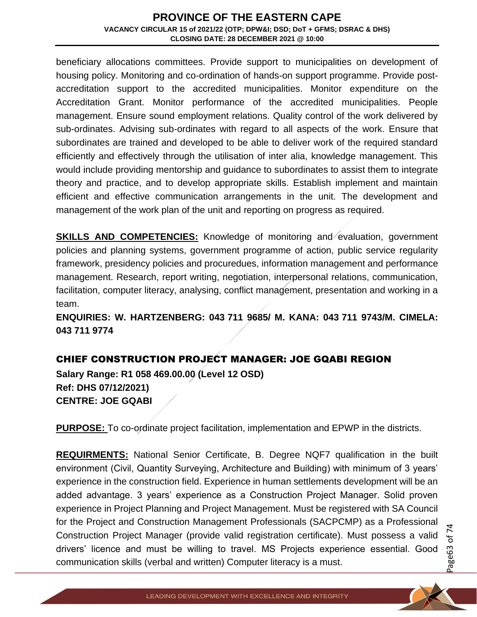beneficiary allocations committees. Provide support to municipalities on development of housing policy. Monitoring and co-ordination of hands-on support programme. Provide postaccreditation support to the accredited municipalities. Monitor expenditure on the Accreditation Grant. Monitor performance of the accredited municipalities. People management. Ensure sound employment relations. Quality control of the work delivered by sub-ordinates. Advising sub-ordinates with regard to all aspects of the work. Ensure that subordinates are trained and developed to be able to deliver work of the required standard efficiently and effectively through the utilisation of inter alia, knowledge management. This would include providing mentorship and guidance to subordinates to assist them to integrate theory and practice, and to develop appropriate skills. Establish implement and maintain efficient and effective communication arrangements in the unit. The development and management of the work plan of the unit and reporting on progress as required.

**SKILLS AND COMPETENCIES:** Knowledge of monitoring and evaluation, government policies and planning systems, government programme of action, public service regularity framework, presidency policies and procuredues, information management and performance management. Research, report writing, negotiation, interpersonal relations, communication, facilitation, computer literacy, analysing, conflict management, presentation and working in a team.

**ENQUIRIES: W. HARTZENBERG: 043 711 9685/ M. KANA: 043 711 9743/M. CIMELA: 043 711 9774**

## CHIEF CONSTRUCTION PROJECT MANAGER: JOE GQABI REGION

**Salary Range: R1 058 469.00.00 (Level 12 OSD) Ref: DHS 07/12/2021) CENTRE: JOE GQABI** 

**PURPOSE:** To co-ordinate project facilitation, implementation and EPWP in the districts.

**REQUIRMENTS:** National Senior Certificate, B. Degree NQF7 qualification in the built environment (Civil, Quantity Surveying, Architecture and Building) with minimum of 3 years' experience in the construction field. Experience in human settlements development will be an added advantage. 3 years' experience as a Construction Project Manager. Solid proven experience in Project Planning and Project Management. Must be registered with SA Council for the Project and Construction Management Professionals (SACPCMP) as a Professional Construction Project Manager (provide valid registration certificate). Must possess a valid drivers' licence and must be willing to travel. MS Projects experience essential. Good communication skills (verbal and written) Computer literacy is a must.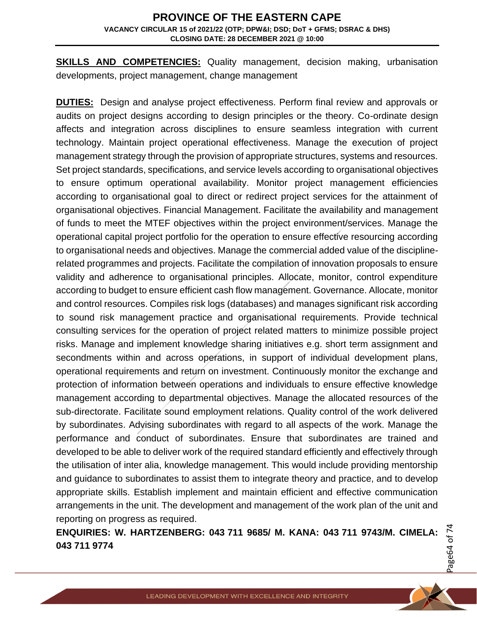**SKILLS AND COMPETENCIES:** Quality management, decision making, urbanisation developments, project management, change management

**DUTIES:** Design and analyse project effectiveness. Perform final review and approvals or audits on project designs according to design principles or the theory. Co-ordinate design affects and integration across disciplines to ensure seamless integration with current technology. Maintain project operational effectiveness. Manage the execution of project management strategy through the provision of appropriate structures, systems and resources. Set project standards, specifications, and service levels according to organisational objectives to ensure optimum operational availability. Monitor project management efficiencies according to organisational goal to direct or redirect project services for the attainment of organisational objectives. Financial Management. Facilitate the availability and management of funds to meet the MTEF objectives within the project environment/services. Manage the operational capital project portfolio for the operation to ensure effective resourcing according to organisational needs and objectives. Manage the commercial added value of the disciplinerelated programmes and projects. Facilitate the compilation of innovation proposals to ensure validity and adherence to organisational principles. Allocate, monitor, control expenditure according to budget to ensure efficient cash flow management. Governance. Allocate, monitor and control resources. Compiles risk logs (databases) and manages significant risk according to sound risk management practice and organisational requirements. Provide technical consulting services for the operation of project related matters to minimize possible project risks. Manage and implement knowledge sharing initiatives e.g. short term assignment and secondments within and across operations, in support of individual development plans, operational requirements and return on investment. Continuously monitor the exchange and protection of information between operations and individuals to ensure effective knowledge management according to departmental objectives. Manage the allocated resources of the sub-directorate. Facilitate sound employment relations. Quality control of the work delivered by subordinates. Advising subordinates with regard to all aspects of the work. Manage the performance and conduct of subordinates. Ensure that subordinates are trained and developed to be able to deliver work of the required standard efficiently and effectively through the utilisation of inter alia, knowledge management. This would include providing mentorship and guidance to subordinates to assist them to integrate theory and practice, and to develop appropriate skills. Establish implement and maintain efficient and effective communication arrangements in the unit. The development and management of the work plan of the unit and reporting on progress as required.

**ENQUIRIES: W. HARTZENBERG: 043 711 9685/ M. KANA: 043 711 9743/M. CIMELA: 043 711 9774**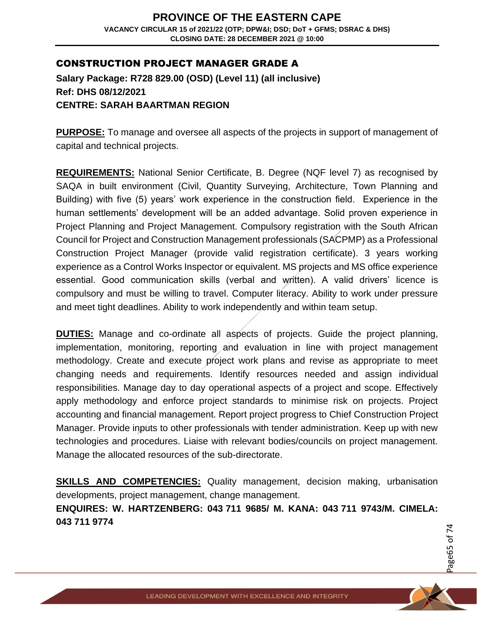## CONSTRUCTION PROJECT MANAGER GRADE A

**Salary Package: R728 829.00 (OSD) (Level 11) (all inclusive) Ref: DHS 08/12/2021 CENTRE: SARAH BAARTMAN REGION**

**PURPOSE:** To manage and oversee all aspects of the projects in support of management of capital and technical projects.

**REQUIREMENTS:** National Senior Certificate, B. Degree (NQF level 7) as recognised by SAQA in built environment (Civil, Quantity Surveying, Architecture, Town Planning and Building) with five (5) years' work experience in the construction field. Experience in the human settlements' development will be an added advantage. Solid proven experience in Project Planning and Project Management. Compulsory registration with the South African Council for Project and Construction Management professionals (SACPMP) as a Professional Construction Project Manager (provide valid registration certificate). 3 years working experience as a Control Works Inspector or equivalent. MS projects and MS office experience essential. Good communication skills (verbal and written). A valid drivers' licence is compulsory and must be willing to travel. Computer literacy. Ability to work under pressure and meet tight deadlines. Ability to work independently and within team setup.

**DUTIES:** Manage and co-ordinate all aspects of projects. Guide the project planning, implementation, monitoring, reporting and evaluation in line with project management methodology. Create and execute project work plans and revise as appropriate to meet changing needs and requirements. Identify resources needed and assign individual responsibilities. Manage day to day operational aspects of a project and scope. Effectively apply methodology and enforce project standards to minimise risk on projects. Project accounting and financial management. Report project progress to Chief Construction Project Manager. Provide inputs to other professionals with tender administration. Keep up with new technologies and procedures. Liaise with relevant bodies/councils on project management. Manage the allocated resources of the sub-directorate.

**SKILLS AND COMPETENCIES:** Quality management, decision making, urbanisation developments, project management, change management.

**ENQUIRES: W. HARTZENBERG: 043 711 9685/ M. KANA: 043 711 9743/M. CIMELA: 043 711 9774**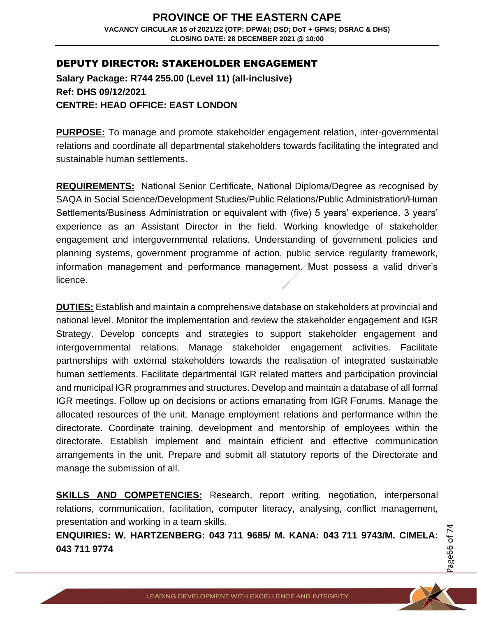## DEPUTY DIRECTOR: STAKEHOLDER ENGAGEMENT

**Salary Package: R744 255.00 (Level 11) (all-inclusive) Ref: DHS 09/12/2021 CENTRE: HEAD OFFICE: EAST LONDON**

**PURPOSE:** To manage and promote stakeholder engagement relation, inter-governmental relations and coordinate all departmental stakeholders towards facilitating the integrated and sustainable human settlements.

**REQUIREMENTS:** National Senior Certificate, National Diploma/Degree as recognised by SAQA in Social Science/Development Studies/Public Relations/Public Administration/Human Settlements/Business Administration or equivalent with (five) 5 years' experience. 3 years' experience as an Assistant Director in the field. Working knowledge of stakeholder engagement and intergovernmental relations. Understanding of government policies and planning systems, government programme of action, public service regularity framework, information management and performance management. Must possess a valid driver's licence.

**DUTIES:** Establish and maintain a comprehensive database on stakeholders at provincial and national level. Monitor the implementation and review the stakeholder engagement and IGR Strategy. Develop concepts and strategies to support stakeholder engagement and intergovernmental relations. Manage stakeholder engagement activities. Facilitate partnerships with external stakeholders towards the realisation of integrated sustainable human settlements. Facilitate departmental IGR related matters and participation provincial and municipal IGR programmes and structures. Develop and maintain a database of all formal IGR meetings. Follow up on decisions or actions emanating from IGR Forums. Manage the allocated resources of the unit. Manage employment relations and performance within the directorate. Coordinate training, development and mentorship of employees within the directorate. Establish implement and maintain efficient and effective communication arrangements in the unit. Prepare and submit all statutory reports of the Directorate and manage the submission of all.

**SKILLS AND COMPETENCIES:** Research, report writing, negotiation, interpersonal relations, communication, facilitation, computer literacy, analysing, conflict management, presentation and working in a team skills.

**ENQUIRIES: W. HARTZENBERG: 043 711 9685/ M. KANA: 043 711 9743/M. CIMELA: 043 711 9774**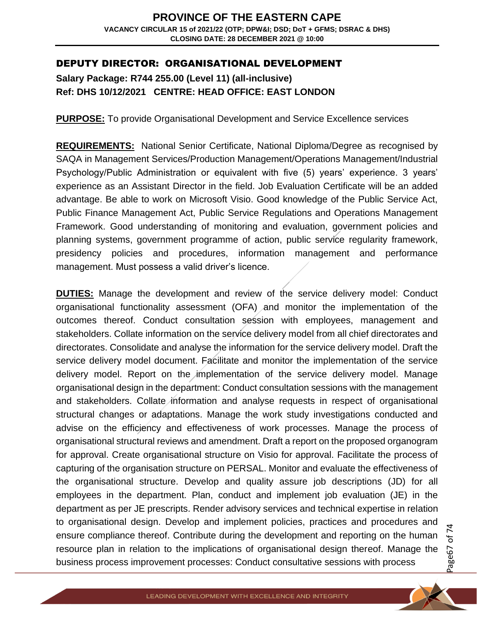## DEPUTY DIRECTOR: ORGANISATIONAL DEVELOPMENT

**Salary Package: R744 255.00 (Level 11) (all-inclusive) Ref: DHS 10/12/2021 CENTRE: HEAD OFFICE: EAST LONDON**

**PURPOSE:** To provide Organisational Development and Service Excellence services

**REQUIREMENTS:** National Senior Certificate, National Diploma/Degree as recognised by SAQA in Management Services/Production Management/Operations Management/Industrial Psychology/Public Administration or equivalent with five (5) years' experience. 3 years' experience as an Assistant Director in the field. Job Evaluation Certificate will be an added advantage. Be able to work on Microsoft Visio. Good knowledge of the Public Service Act, Public Finance Management Act, Public Service Regulations and Operations Management Framework. Good understanding of monitoring and evaluation, government policies and planning systems, government programme of action, public service regularity framework, presidency policies and procedures, information management and performance management. Must possess a valid driver's licence.

**DUTIES:** Manage the development and review of the service delivery model: Conduct organisational functionality assessment (OFA) and monitor the implementation of the outcomes thereof. Conduct consultation session with employees, management and stakeholders. Collate information on the service delivery model from all chief directorates and directorates. Consolidate and analyse the information for the service delivery model. Draft the service delivery model document. Facilitate and monitor the implementation of the service delivery model. Report on the implementation of the service delivery model. Manage organisational design in the department: Conduct consultation sessions with the management and stakeholders. Collate information and analyse requests in respect of organisational structural changes or adaptations. Manage the work study investigations conducted and advise on the efficiency and effectiveness of work processes. Manage the process of organisational structural reviews and amendment. Draft a report on the proposed organogram for approval. Create organisational structure on Visio for approval. Facilitate the process of capturing of the organisation structure on PERSAL. Monitor and evaluate the effectiveness of the organisational structure. Develop and quality assure job descriptions (JD) for all employees in the department. Plan, conduct and implement job evaluation (JE) in the department as per JE prescripts. Render advisory services and technical expertise in relation to organisational design. Develop and implement policies, practices and procedures and ensure compliance thereof. Contribute during the development and reporting on the human resource plan in relation to the implications of organisational design thereof. Manage the business process improvement processes: Conduct consultative sessions with process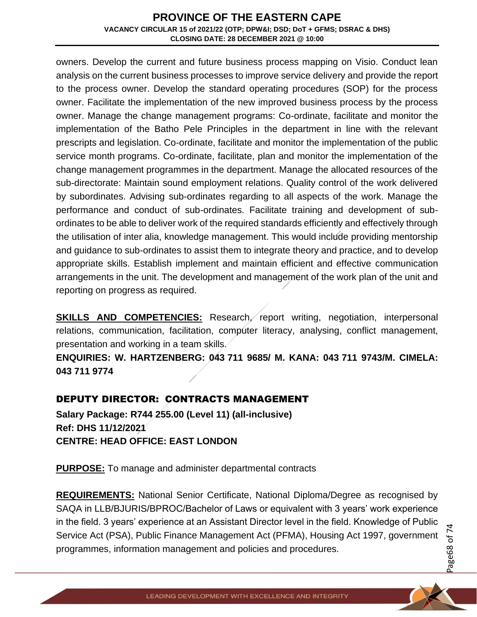owners. Develop the current and future business process mapping on Visio. Conduct lean analysis on the current business processes to improve service delivery and provide the report to the process owner. Develop the standard operating procedures (SOP) for the process owner. Facilitate the implementation of the new improved business process by the process owner. Manage the change management programs: Co-ordinate, facilitate and monitor the implementation of the Batho Pele Principles in the department in line with the relevant prescripts and legislation. Co-ordinate, facilitate and monitor the implementation of the public service month programs. Co-ordinate, facilitate, plan and monitor the implementation of the change management programmes in the department. Manage the allocated resources of the sub-directorate: Maintain sound employment relations. Quality control of the work delivered by subordinates. Advising sub-ordinates regarding to all aspects of the work. Manage the performance and conduct of sub-ordinates. Facilitate training and development of subordinates to be able to deliver work of the required standards efficiently and effectively through the utilisation of inter alia, knowledge management. This would include providing mentorship and guidance to sub-ordinates to assist them to integrate theory and practice, and to develop appropriate skills. Establish implement and maintain efficient and effective communication arrangements in the unit. The development and management of the work plan of the unit and reporting on progress as required.

**SKILLS AND COMPETENCIES:** Research, report writing, negotiation, interpersonal relations, communication, facilitation, computer literacy, analysing, conflict management, presentation and working in a team skills.

**ENQUIRIES: W. HARTZENBERG: 043 711 9685/ M. KANA: 043 711 9743/M. CIMELA: 043 711 9774**

## DEPUTY DIRECTOR: CONTRACTS MANAGEMENT

**Salary Package: R744 255.00 (Level 11) (all-inclusive) Ref: DHS 11/12/2021 CENTRE: HEAD OFFICE: EAST LONDON**

**PURPOSE:** To manage and administer departmental contracts

**REQUIREMENTS:** National Senior Certificate, National Diploma/Degree as recognised by SAQA in LLB/BJURIS/BPROC/Bachelor of Laws or equivalent with 3 years' work experience in the field. 3 years' experience at an Assistant Director level in the field. Knowledge of Public Service Act (PSA), Public Finance Management Act (PFMA), Housing Act 1997, government programmes, information management and policies and procedures.

Page68 of 7 4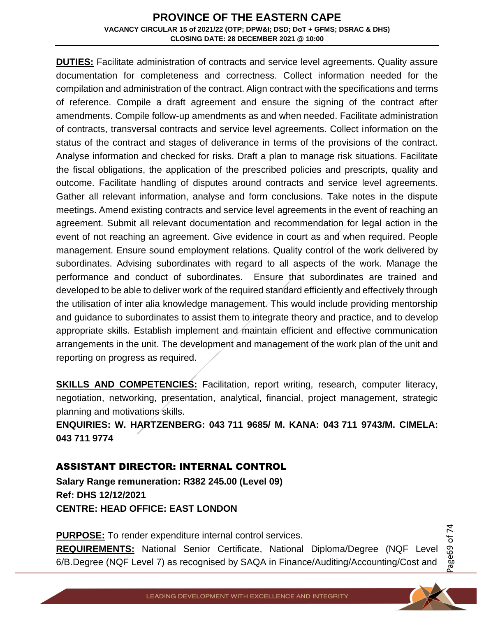**DUTIES:** Facilitate administration of contracts and service level agreements. Quality assure documentation for completeness and correctness. Collect information needed for the compilation and administration of the contract. Align contract with the specifications and terms of reference. Compile a draft agreement and ensure the signing of the contract after amendments. Compile follow-up amendments as and when needed. Facilitate administration of contracts, transversal contracts and service level agreements. Collect information on the status of the contract and stages of deliverance in terms of the provisions of the contract. Analyse information and checked for risks. Draft a plan to manage risk situations. Facilitate the fiscal obligations, the application of the prescribed policies and prescripts, quality and outcome. Facilitate handling of disputes around contracts and service level agreements. Gather all relevant information, analyse and form conclusions. Take notes in the dispute meetings. Amend existing contracts and service level agreements in the event of reaching an agreement. Submit all relevant documentation and recommendation for legal action in the event of not reaching an agreement. Give evidence in court as and when required. People management. Ensure sound employment relations. Quality control of the work delivered by subordinates. Advising subordinates with regard to all aspects of the work. Manage the performance and conduct of subordinates. Ensure that subordinates are trained and developed to be able to deliver work of the required standard efficiently and effectively through the utilisation of inter alia knowledge management. This would include providing mentorship and guidance to subordinates to assist them to integrate theory and practice, and to develop appropriate skills. Establish implement and maintain efficient and effective communication arrangements in the unit. The development and management of the work plan of the unit and reporting on progress as required.

**SKILLS AND COMPETENCIES:** Facilitation, report writing, research, computer literacy, negotiation, networking, presentation, analytical, financial, project management, strategic planning and motivations skills.

**ENQUIRIES: W. HARTZENBERG: 043 711 9685/ M. KANA: 043 711 9743/M. CIMELA: 043 711 9774**

## ASSISTANT DIRECTOR: INTERNAL CONTROL

**Salary Range remuneration: R382 245.00 (Level 09) Ref: DHS 12/12/2021 CENTRE: HEAD OFFICE: EAST LONDON**

**PURPOSE:** To render expenditure internal control services. **REQUIREMENTS:** National Senior Certificate, National Diploma/Degree (NQF Level 6/B.Degree (NQF Level 7) as recognised by SAQA in Finance/Auditing/Accounting/Cost and

LEADING DEVELOPMENT WITH EXCELLENCE AND INTEGRITY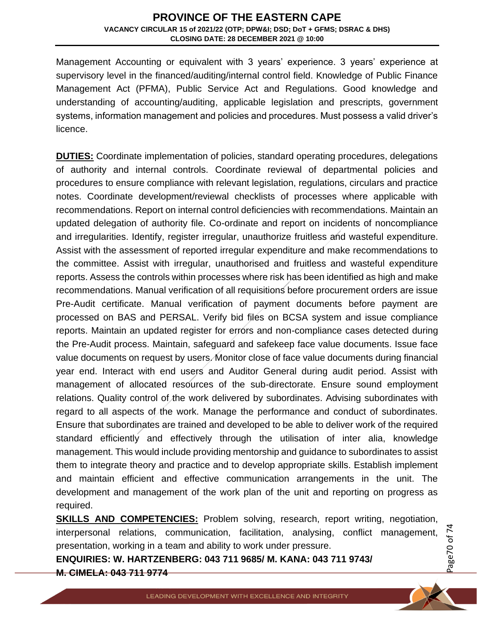Management Accounting or equivalent with 3 years' experience. 3 years' experience at supervisory level in the financed/auditing/internal control field. Knowledge of Public Finance Management Act (PFMA), Public Service Act and Regulations. Good knowledge and understanding of accounting/auditing, applicable legislation and prescripts, government systems, information management and policies and procedures. Must possess a valid driver's licence.

**DUTIES:** Coordinate implementation of policies, standard operating procedures, delegations of authority and internal controls. Coordinate reviewal of departmental policies and procedures to ensure compliance with relevant legislation, regulations, circulars and practice notes. Coordinate development/reviewal checklists of processes where applicable with recommendations. Report on internal control deficiencies with recommendations. Maintain an updated delegation of authority file. Co-ordinate and report on incidents of noncompliance and irregularities. Identify, register irregular, unauthorize fruitless and wasteful expenditure. Assist with the assessment of reported irregular expenditure and make recommendations to the committee. Assist with irregular, unauthorised and fruitless and wasteful expenditure reports. Assess the controls within processes where risk has been identified as high and make recommendations. Manual verification of all requisitions before procurement orders are issue Pre-Audit certificate. Manual verification of payment documents before payment are processed on BAS and PERSAL. Verify bid files on BCSA system and issue compliance reports. Maintain an updated register for errors and non-compliance cases detected during the Pre-Audit process. Maintain, safeguard and safekeep face value documents. Issue face value documents on request by users. Monitor close of face value documents during financial year end. Interact with end users and Auditor General during audit period. Assist with management of allocated resources of the sub-directorate. Ensure sound employment relations. Quality control of the work delivered by subordinates. Advising subordinates with regard to all aspects of the work. Manage the performance and conduct of subordinates. Ensure that subordinates are trained and developed to be able to deliver work of the required standard efficiently and effectively through the utilisation of inter alia, knowledge management. This would include providing mentorship and guidance to subordinates to assist them to integrate theory and practice and to develop appropriate skills. Establish implement and maintain efficient and effective communication arrangements in the unit. The development and management of the work plan of the unit and reporting on progress as required.

**SKILLS AND COMPETENCIES:** Problem solving, research, report writing, negotiation, interpersonal relations, communication, facilitation, analysing, conflict management, presentation, working in a team and ability to work under pressure.

**ENQUIRIES: W. HARTZENBERG: 043 711 9685/ M. KANA: 043 711 9743/ M. CIMELA: 043 711 9774**

Page70 of 7 4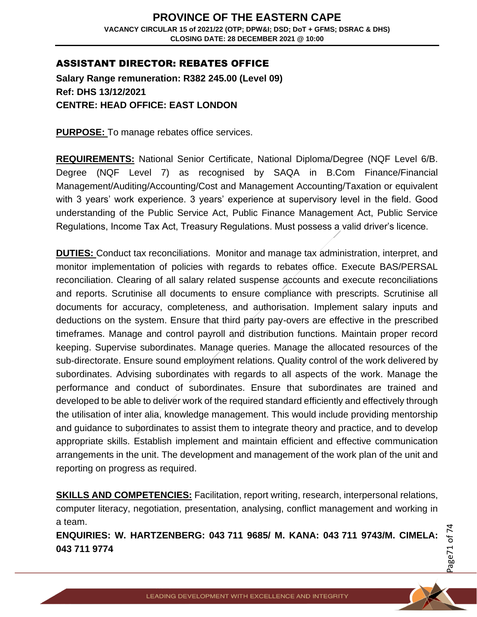## ASSISTANT DIRECTOR: REBATES OFFICE

**Salary Range remuneration: R382 245.00 (Level 09) Ref: DHS 13/12/2021 CENTRE: HEAD OFFICE: EAST LONDON**

**PURPOSE:** To manage rebates office services.

**REQUIREMENTS:** National Senior Certificate, National Diploma/Degree (NQF Level 6/B. Degree (NQF Level 7) as recognised by SAQA in B.Com Finance/Financial Management/Auditing/Accounting/Cost and Management Accounting/Taxation or equivalent with 3 years' work experience. 3 years' experience at supervisory level in the field. Good understanding of the Public Service Act, Public Finance Management Act, Public Service Regulations, Income Tax Act, Treasury Regulations. Must possess a valid driver's licence.

**DUTIES:** Conduct tax reconciliations. Monitor and manage tax administration, interpret, and monitor implementation of policies with regards to rebates office. Execute BAS/PERSAL reconciliation. Clearing of all salary related suspense accounts and execute reconciliations and reports. Scrutinise all documents to ensure compliance with prescripts. Scrutinise all documents for accuracy, completeness, and authorisation. Implement salary inputs and deductions on the system. Ensure that third party pay-overs are effective in the prescribed timeframes. Manage and control payroll and distribution functions. Maintain proper record keeping. Supervise subordinates. Manage queries. Manage the allocated resources of the sub-directorate. Ensure sound employment relations. Quality control of the work delivered by subordinates. Advising subordinates with regards to all aspects of the work. Manage the performance and conduct of subordinates. Ensure that subordinates are trained and developed to be able to deliver work of the required standard efficiently and effectively through the utilisation of inter alia, knowledge management. This would include providing mentorship and guidance to subordinates to assist them to integrate theory and practice, and to develop appropriate skills. Establish implement and maintain efficient and effective communication arrangements in the unit. The development and management of the work plan of the unit and reporting on progress as required.

**SKILLS AND COMPETENCIES:** Facilitation, report writing, research, interpersonal relations, computer literacy, negotiation, presentation, analysing, conflict management and working in a team.

**ENQUIRIES: W. HARTZENBERG: 043 711 9685/ M. KANA: 043 711 9743/M. CIMELA: 043 711 9774**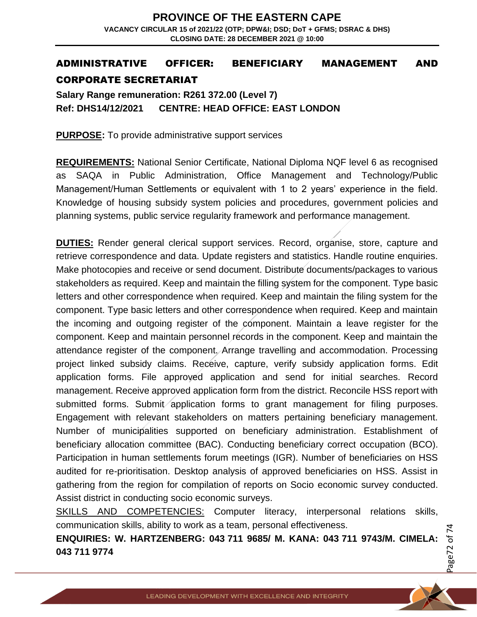## ADMINISTRATIVE OFFICER: BENEFICIARY MANAGEMENT AND CORPORATE SECRETARIAT

**Salary Range remuneration: R261 372.00 (Level 7) Ref: DHS14/12/2021 CENTRE: HEAD OFFICE: EAST LONDON**

**PURPOSE:** To provide administrative support services

**REQUIREMENTS:** National Senior Certificate, National Diploma NQF level 6 as recognised as SAQA in Public Administration, Office Management and Technology/Public Management/Human Settlements or equivalent with 1 to 2 years' experience in the field. Knowledge of housing subsidy system policies and procedures, government policies and planning systems, public service regularity framework and performance management.

**DUTIES:** Render general clerical support services. Record, organise, store, capture and retrieve correspondence and data. Update registers and statistics. Handle routine enquiries. Make photocopies and receive or send document. Distribute documents/packages to various stakeholders as required. Keep and maintain the filling system for the component. Type basic letters and other correspondence when required. Keep and maintain the filing system for the component. Type basic letters and other correspondence when required. Keep and maintain the incoming and outgoing register of the component. Maintain a leave register for the component. Keep and maintain personnel records in the component. Keep and maintain the attendance register of the component. Arrange travelling and accommodation. Processing project linked subsidy claims. Receive, capture, verify subsidy application forms. Edit application forms. File approved application and send for initial searches. Record management. Receive approved application form from the district. Reconcile HSS report with submitted forms. Submit application forms to grant management for filing purposes. Engagement with relevant stakeholders on matters pertaining beneficiary management. Number of municipalities supported on beneficiary administration. Establishment of beneficiary allocation committee (BAC). Conducting beneficiary correct occupation (BCO). Participation in human settlements forum meetings (IGR). Number of beneficiaries on HSS audited for re-prioritisation. Desktop analysis of approved beneficiaries on HSS. Assist in gathering from the region for compilation of reports on Socio economic survey conducted. Assist district in conducting socio economic surveys.

SKILLS AND COMPETENCIES: Computer literacy, interpersonal relations skills, communication skills, ability to work as a team, personal effectiveness.

**ENQUIRIES: W. HARTZENBERG: 043 711 9685/ M. KANA: 043 711 9743/M. CIMELA: 043 711 9774**

Page72 of 7 4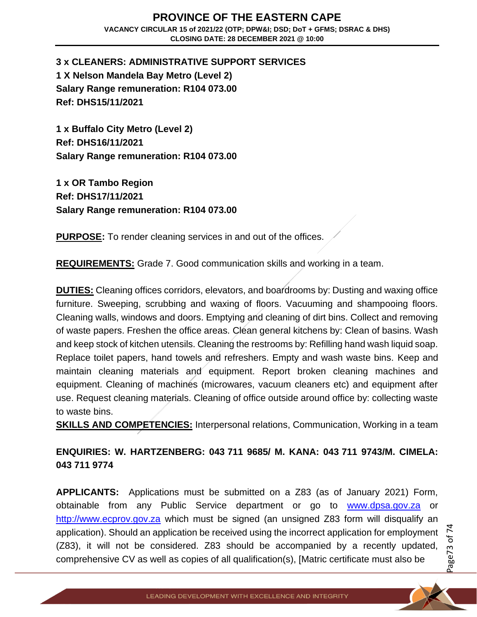## **PROVINCE OF THE EASTERN CAPE VACANCY CIRCULAR 15 of 2021/22 (OTP; DPW&I; DSD; DoT + GFMS; DSRAC & DHS) CLOSING DATE: 28 DECEMBER 2021 @ 10:00**

**3 x CLEANERS: ADMINISTRATIVE SUPPORT SERVICES 1 X Nelson Mandela Bay Metro (Level 2) Salary Range remuneration: R104 073.00 Ref: DHS15/11/2021**

**1 x Buffalo City Metro (Level 2) Ref: DHS16/11/2021 Salary Range remuneration: R104 073.00**

**1 x OR Tambo Region Ref: DHS17/11/2021 Salary Range remuneration: R104 073.00**

**PURPOSE:** To render cleaning services in and out of the offices.

**REQUIREMENTS:** Grade 7. Good communication skills and working in a team.

**DUTIES:** Cleaning offices corridors, elevators, and boardrooms by: Dusting and waxing office furniture. Sweeping, scrubbing and waxing of floors. Vacuuming and shampooing floors. Cleaning walls, windows and doors. Emptying and cleaning of dirt bins. Collect and removing of waste papers. Freshen the office areas. Clean general kitchens by: Clean of basins. Wash and keep stock of kitchen utensils. Cleaning the restrooms by: Refilling hand wash liquid soap. Replace toilet papers, hand towels and refreshers. Empty and wash waste bins. Keep and maintain cleaning materials and equipment. Report broken cleaning machines and equipment. Cleaning of machines (microwares, vacuum cleaners etc) and equipment after use. Request cleaning materials. Cleaning of office outside around office by: collecting waste to waste bins.

**SKILLS AND COMPETENCIES:** Interpersonal relations, Communication, Working in a team

**ENQUIRIES: W. HARTZENBERG: 043 711 9685/ M. KANA: 043 711 9743/M. CIMELA: 043 711 9774**

**APPLICANTS:** Applications must be submitted on a Z83 (as of January 2021) Form, obtainable from any Public Service department or go to [www.dpsa.gov.za](http://www.dpsa.gov.za/) or [http://www.ecprov.gov.za](http://www.ecprov.gov.za/) which must be signed (an unsigned Z83 form will disqualify an application). Should an application be received using the incorrect application for employment (Z83), it will not be considered. Z83 should be accompanied by a recently updated, comprehensive CV as well as copies of all qualification(s), [Matric certificate must also be

Page73 of 7 4